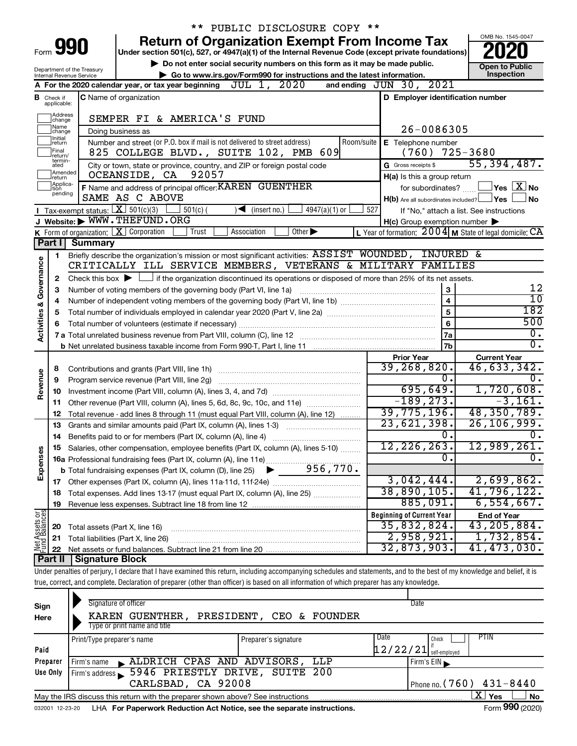| OMB No. 1545-0047<br><b>Return of Organization Exempt From Income Tax</b><br>Form 990<br>Under section 501(c), 527, or 4947(a)(1) of the Internal Revenue Code (except private foundations)<br>Do not enter social security numbers on this form as it may be made public.<br><b>Open to Public</b><br>Department of the Treasury<br>Inspection<br>Go to www.irs.gov/Form990 for instructions and the latest information.<br>Internal Revenue Service<br>and ending JUN 30, 2021<br>JUL 1, 2020<br>A For the 2020 calendar year, or tax year beginning<br>D Employer identification number<br><b>C</b> Name of organization<br><b>B</b> Check if applicable:<br>Address<br>SEMPER FI & AMERICA'S FUND<br>change<br> Name<br>26-0086305<br>Doing business as<br>change<br>Initial<br>Number and street (or P.O. box if mail is not delivered to street address)<br>Room/suite<br>E Telephone number<br> return<br>725-3680<br> Final<br>825 COLLEGE BLVD., SUITE 102, PMB 609<br>(760)<br>return/<br>termin-<br>55, 394, 487.<br>City or town, state or province, country, and ZIP or foreign postal code<br>G Gross receipts \$<br>ated<br>Amended<br>92057<br>OCEANSIDE, CA<br>H(a) Is this a group return<br>Ireturn<br>Applica-<br>F Name and address of principal officer: KAREN GUENTHER<br>$ {\mathsf Y}$ es $ \overline{{\mathbf X}} $ No<br>for subordinates?<br>tion<br>pending<br>SAME AS C ABOVE<br>No.<br>$H(b)$ Are all subordinates included? $\Box$ Yes<br>Tax-exempt status: $X \over 301(c)(3)$<br>$501(c)$ (<br>$\sqrt{\frac{1}{1}}$ (insert no.)<br>$4947(a)(1)$ or<br>527<br>If "No," attach a list. See instructions<br>J Website: WWW.THEFUND.ORG<br>$H(c)$ Group exemption number $\blacktriangleright$<br><b>K</b> Form of organization: $\boxed{\mathbf{X}}$ Corporation<br>Other $\blacktriangleright$<br>Trust<br>Association<br>Part I<br><b>Summary</b><br>Briefly describe the organization's mission or most significant activities: ASSIST WOUNDED, INJURED &<br>1<br>Governance<br>CRITICALLY ILL SERVICE MEMBERS, VETERANS & MILITARY FAMILIES<br>Check this box $\blacktriangleright$ $\Box$ if the organization discontinued its operations or disposed of more than 25% of its net assets.<br>2<br>12<br>Number of voting members of the governing body (Part VI, line 1a)<br>3<br>3<br>$\overline{10}$<br>$\overline{\mathbf{4}}$<br>4<br><b>Activities &amp;</b><br>182<br>5<br>5<br>500<br>6<br>6<br>$\overline{0}$ .<br><b>7a</b><br>$\overline{0}$ .<br>7 <sub>b</sub><br><b>Current Year</b><br><b>Prior Year</b><br>39,268,820.<br>46,633,342.<br>8<br>Revenue<br>0.<br>0.<br>Program service revenue (Part VIII, line 2g)<br>9<br>695, 649.<br>1,720,608.<br>10<br>$-189, 273.$<br>$-3,161.$<br>Other revenue (Part VIII, column (A), lines 5, 6d, 8c, 9c, 10c, and 11e)<br>11<br>39,775,196.<br>48,350,789.<br>Total revenue - add lines 8 through 11 (must equal Part VIII, column (A), line 12)<br>12<br>23,621,398.<br>26, 106, 999.<br>Grants and similar amounts paid (Part IX, column (A), lines 1-3)<br>13<br>$\overline{0}$ .<br>ο.<br>$\overline{12,226,263.}$<br>12,989,261.<br>Salaries, other compensation, employee benefits (Part IX, column (A), lines 5-10)<br>Expenses<br>σ.<br>σ. |
|---------------------------------------------------------------------------------------------------------------------------------------------------------------------------------------------------------------------------------------------------------------------------------------------------------------------------------------------------------------------------------------------------------------------------------------------------------------------------------------------------------------------------------------------------------------------------------------------------------------------------------------------------------------------------------------------------------------------------------------------------------------------------------------------------------------------------------------------------------------------------------------------------------------------------------------------------------------------------------------------------------------------------------------------------------------------------------------------------------------------------------------------------------------------------------------------------------------------------------------------------------------------------------------------------------------------------------------------------------------------------------------------------------------------------------------------------------------------------------------------------------------------------------------------------------------------------------------------------------------------------------------------------------------------------------------------------------------------------------------------------------------------------------------------------------------------------------------------------------------------------------------------------------------------------------------------------------------------------------------------------------------------------------------------------------------------------------------------------------------------------------------------------------------------------------------------------------------------------------------------------------------------------------------------------------------------------------------------------------------------------------------------------------------------------------------------------------------------------------------------------------------------------------------------------------------------------------------------------------------------------------------------------------------------------------------------------------------------------------------------------------------------------------------------------------------------------------------------------------------------------------------------------------------------------------------------------------------------------------------------------------------------------------------------------------------------------------------------------------------------------------------------------------------------------------------------------------------------------------------------------|
|                                                                                                                                                                                                                                                                                                                                                                                                                                                                                                                                                                                                                                                                                                                                                                                                                                                                                                                                                                                                                                                                                                                                                                                                                                                                                                                                                                                                                                                                                                                                                                                                                                                                                                                                                                                                                                                                                                                                                                                                                                                                                                                                                                                                                                                                                                                                                                                                                                                                                                                                                                                                                                                                                                                                                                                                                                                                                                                                                                                                                                                                                                                                                                                                                                                   |
|                                                                                                                                                                                                                                                                                                                                                                                                                                                                                                                                                                                                                                                                                                                                                                                                                                                                                                                                                                                                                                                                                                                                                                                                                                                                                                                                                                                                                                                                                                                                                                                                                                                                                                                                                                                                                                                                                                                                                                                                                                                                                                                                                                                                                                                                                                                                                                                                                                                                                                                                                                                                                                                                                                                                                                                                                                                                                                                                                                                                                                                                                                                                                                                                                                                   |
|                                                                                                                                                                                                                                                                                                                                                                                                                                                                                                                                                                                                                                                                                                                                                                                                                                                                                                                                                                                                                                                                                                                                                                                                                                                                                                                                                                                                                                                                                                                                                                                                                                                                                                                                                                                                                                                                                                                                                                                                                                                                                                                                                                                                                                                                                                                                                                                                                                                                                                                                                                                                                                                                                                                                                                                                                                                                                                                                                                                                                                                                                                                                                                                                                                                   |
|                                                                                                                                                                                                                                                                                                                                                                                                                                                                                                                                                                                                                                                                                                                                                                                                                                                                                                                                                                                                                                                                                                                                                                                                                                                                                                                                                                                                                                                                                                                                                                                                                                                                                                                                                                                                                                                                                                                                                                                                                                                                                                                                                                                                                                                                                                                                                                                                                                                                                                                                                                                                                                                                                                                                                                                                                                                                                                                                                                                                                                                                                                                                                                                                                                                   |
|                                                                                                                                                                                                                                                                                                                                                                                                                                                                                                                                                                                                                                                                                                                                                                                                                                                                                                                                                                                                                                                                                                                                                                                                                                                                                                                                                                                                                                                                                                                                                                                                                                                                                                                                                                                                                                                                                                                                                                                                                                                                                                                                                                                                                                                                                                                                                                                                                                                                                                                                                                                                                                                                                                                                                                                                                                                                                                                                                                                                                                                                                                                                                                                                                                                   |
|                                                                                                                                                                                                                                                                                                                                                                                                                                                                                                                                                                                                                                                                                                                                                                                                                                                                                                                                                                                                                                                                                                                                                                                                                                                                                                                                                                                                                                                                                                                                                                                                                                                                                                                                                                                                                                                                                                                                                                                                                                                                                                                                                                                                                                                                                                                                                                                                                                                                                                                                                                                                                                                                                                                                                                                                                                                                                                                                                                                                                                                                                                                                                                                                                                                   |
|                                                                                                                                                                                                                                                                                                                                                                                                                                                                                                                                                                                                                                                                                                                                                                                                                                                                                                                                                                                                                                                                                                                                                                                                                                                                                                                                                                                                                                                                                                                                                                                                                                                                                                                                                                                                                                                                                                                                                                                                                                                                                                                                                                                                                                                                                                                                                                                                                                                                                                                                                                                                                                                                                                                                                                                                                                                                                                                                                                                                                                                                                                                                                                                                                                                   |
|                                                                                                                                                                                                                                                                                                                                                                                                                                                                                                                                                                                                                                                                                                                                                                                                                                                                                                                                                                                                                                                                                                                                                                                                                                                                                                                                                                                                                                                                                                                                                                                                                                                                                                                                                                                                                                                                                                                                                                                                                                                                                                                                                                                                                                                                                                                                                                                                                                                                                                                                                                                                                                                                                                                                                                                                                                                                                                                                                                                                                                                                                                                                                                                                                                                   |
|                                                                                                                                                                                                                                                                                                                                                                                                                                                                                                                                                                                                                                                                                                                                                                                                                                                                                                                                                                                                                                                                                                                                                                                                                                                                                                                                                                                                                                                                                                                                                                                                                                                                                                                                                                                                                                                                                                                                                                                                                                                                                                                                                                                                                                                                                                                                                                                                                                                                                                                                                                                                                                                                                                                                                                                                                                                                                                                                                                                                                                                                                                                                                                                                                                                   |
|                                                                                                                                                                                                                                                                                                                                                                                                                                                                                                                                                                                                                                                                                                                                                                                                                                                                                                                                                                                                                                                                                                                                                                                                                                                                                                                                                                                                                                                                                                                                                                                                                                                                                                                                                                                                                                                                                                                                                                                                                                                                                                                                                                                                                                                                                                                                                                                                                                                                                                                                                                                                                                                                                                                                                                                                                                                                                                                                                                                                                                                                                                                                                                                                                                                   |
|                                                                                                                                                                                                                                                                                                                                                                                                                                                                                                                                                                                                                                                                                                                                                                                                                                                                                                                                                                                                                                                                                                                                                                                                                                                                                                                                                                                                                                                                                                                                                                                                                                                                                                                                                                                                                                                                                                                                                                                                                                                                                                                                                                                                                                                                                                                                                                                                                                                                                                                                                                                                                                                                                                                                                                                                                                                                                                                                                                                                                                                                                                                                                                                                                                                   |
|                                                                                                                                                                                                                                                                                                                                                                                                                                                                                                                                                                                                                                                                                                                                                                                                                                                                                                                                                                                                                                                                                                                                                                                                                                                                                                                                                                                                                                                                                                                                                                                                                                                                                                                                                                                                                                                                                                                                                                                                                                                                                                                                                                                                                                                                                                                                                                                                                                                                                                                                                                                                                                                                                                                                                                                                                                                                                                                                                                                                                                                                                                                                                                                                                                                   |
|                                                                                                                                                                                                                                                                                                                                                                                                                                                                                                                                                                                                                                                                                                                                                                                                                                                                                                                                                                                                                                                                                                                                                                                                                                                                                                                                                                                                                                                                                                                                                                                                                                                                                                                                                                                                                                                                                                                                                                                                                                                                                                                                                                                                                                                                                                                                                                                                                                                                                                                                                                                                                                                                                                                                                                                                                                                                                                                                                                                                                                                                                                                                                                                                                                                   |
| L Year of formation: $2004$ M State of legal domicile: CA                                                                                                                                                                                                                                                                                                                                                                                                                                                                                                                                                                                                                                                                                                                                                                                                                                                                                                                                                                                                                                                                                                                                                                                                                                                                                                                                                                                                                                                                                                                                                                                                                                                                                                                                                                                                                                                                                                                                                                                                                                                                                                                                                                                                                                                                                                                                                                                                                                                                                                                                                                                                                                                                                                                                                                                                                                                                                                                                                                                                                                                                                                                                                                                         |
|                                                                                                                                                                                                                                                                                                                                                                                                                                                                                                                                                                                                                                                                                                                                                                                                                                                                                                                                                                                                                                                                                                                                                                                                                                                                                                                                                                                                                                                                                                                                                                                                                                                                                                                                                                                                                                                                                                                                                                                                                                                                                                                                                                                                                                                                                                                                                                                                                                                                                                                                                                                                                                                                                                                                                                                                                                                                                                                                                                                                                                                                                                                                                                                                                                                   |
|                                                                                                                                                                                                                                                                                                                                                                                                                                                                                                                                                                                                                                                                                                                                                                                                                                                                                                                                                                                                                                                                                                                                                                                                                                                                                                                                                                                                                                                                                                                                                                                                                                                                                                                                                                                                                                                                                                                                                                                                                                                                                                                                                                                                                                                                                                                                                                                                                                                                                                                                                                                                                                                                                                                                                                                                                                                                                                                                                                                                                                                                                                                                                                                                                                                   |
|                                                                                                                                                                                                                                                                                                                                                                                                                                                                                                                                                                                                                                                                                                                                                                                                                                                                                                                                                                                                                                                                                                                                                                                                                                                                                                                                                                                                                                                                                                                                                                                                                                                                                                                                                                                                                                                                                                                                                                                                                                                                                                                                                                                                                                                                                                                                                                                                                                                                                                                                                                                                                                                                                                                                                                                                                                                                                                                                                                                                                                                                                                                                                                                                                                                   |
|                                                                                                                                                                                                                                                                                                                                                                                                                                                                                                                                                                                                                                                                                                                                                                                                                                                                                                                                                                                                                                                                                                                                                                                                                                                                                                                                                                                                                                                                                                                                                                                                                                                                                                                                                                                                                                                                                                                                                                                                                                                                                                                                                                                                                                                                                                                                                                                                                                                                                                                                                                                                                                                                                                                                                                                                                                                                                                                                                                                                                                                                                                                                                                                                                                                   |
|                                                                                                                                                                                                                                                                                                                                                                                                                                                                                                                                                                                                                                                                                                                                                                                                                                                                                                                                                                                                                                                                                                                                                                                                                                                                                                                                                                                                                                                                                                                                                                                                                                                                                                                                                                                                                                                                                                                                                                                                                                                                                                                                                                                                                                                                                                                                                                                                                                                                                                                                                                                                                                                                                                                                                                                                                                                                                                                                                                                                                                                                                                                                                                                                                                                   |
|                                                                                                                                                                                                                                                                                                                                                                                                                                                                                                                                                                                                                                                                                                                                                                                                                                                                                                                                                                                                                                                                                                                                                                                                                                                                                                                                                                                                                                                                                                                                                                                                                                                                                                                                                                                                                                                                                                                                                                                                                                                                                                                                                                                                                                                                                                                                                                                                                                                                                                                                                                                                                                                                                                                                                                                                                                                                                                                                                                                                                                                                                                                                                                                                                                                   |
|                                                                                                                                                                                                                                                                                                                                                                                                                                                                                                                                                                                                                                                                                                                                                                                                                                                                                                                                                                                                                                                                                                                                                                                                                                                                                                                                                                                                                                                                                                                                                                                                                                                                                                                                                                                                                                                                                                                                                                                                                                                                                                                                                                                                                                                                                                                                                                                                                                                                                                                                                                                                                                                                                                                                                                                                                                                                                                                                                                                                                                                                                                                                                                                                                                                   |
|                                                                                                                                                                                                                                                                                                                                                                                                                                                                                                                                                                                                                                                                                                                                                                                                                                                                                                                                                                                                                                                                                                                                                                                                                                                                                                                                                                                                                                                                                                                                                                                                                                                                                                                                                                                                                                                                                                                                                                                                                                                                                                                                                                                                                                                                                                                                                                                                                                                                                                                                                                                                                                                                                                                                                                                                                                                                                                                                                                                                                                                                                                                                                                                                                                                   |
|                                                                                                                                                                                                                                                                                                                                                                                                                                                                                                                                                                                                                                                                                                                                                                                                                                                                                                                                                                                                                                                                                                                                                                                                                                                                                                                                                                                                                                                                                                                                                                                                                                                                                                                                                                                                                                                                                                                                                                                                                                                                                                                                                                                                                                                                                                                                                                                                                                                                                                                                                                                                                                                                                                                                                                                                                                                                                                                                                                                                                                                                                                                                                                                                                                                   |
|                                                                                                                                                                                                                                                                                                                                                                                                                                                                                                                                                                                                                                                                                                                                                                                                                                                                                                                                                                                                                                                                                                                                                                                                                                                                                                                                                                                                                                                                                                                                                                                                                                                                                                                                                                                                                                                                                                                                                                                                                                                                                                                                                                                                                                                                                                                                                                                                                                                                                                                                                                                                                                                                                                                                                                                                                                                                                                                                                                                                                                                                                                                                                                                                                                                   |
|                                                                                                                                                                                                                                                                                                                                                                                                                                                                                                                                                                                                                                                                                                                                                                                                                                                                                                                                                                                                                                                                                                                                                                                                                                                                                                                                                                                                                                                                                                                                                                                                                                                                                                                                                                                                                                                                                                                                                                                                                                                                                                                                                                                                                                                                                                                                                                                                                                                                                                                                                                                                                                                                                                                                                                                                                                                                                                                                                                                                                                                                                                                                                                                                                                                   |
|                                                                                                                                                                                                                                                                                                                                                                                                                                                                                                                                                                                                                                                                                                                                                                                                                                                                                                                                                                                                                                                                                                                                                                                                                                                                                                                                                                                                                                                                                                                                                                                                                                                                                                                                                                                                                                                                                                                                                                                                                                                                                                                                                                                                                                                                                                                                                                                                                                                                                                                                                                                                                                                                                                                                                                                                                                                                                                                                                                                                                                                                                                                                                                                                                                                   |
|                                                                                                                                                                                                                                                                                                                                                                                                                                                                                                                                                                                                                                                                                                                                                                                                                                                                                                                                                                                                                                                                                                                                                                                                                                                                                                                                                                                                                                                                                                                                                                                                                                                                                                                                                                                                                                                                                                                                                                                                                                                                                                                                                                                                                                                                                                                                                                                                                                                                                                                                                                                                                                                                                                                                                                                                                                                                                                                                                                                                                                                                                                                                                                                                                                                   |
|                                                                                                                                                                                                                                                                                                                                                                                                                                                                                                                                                                                                                                                                                                                                                                                                                                                                                                                                                                                                                                                                                                                                                                                                                                                                                                                                                                                                                                                                                                                                                                                                                                                                                                                                                                                                                                                                                                                                                                                                                                                                                                                                                                                                                                                                                                                                                                                                                                                                                                                                                                                                                                                                                                                                                                                                                                                                                                                                                                                                                                                                                                                                                                                                                                                   |
|                                                                                                                                                                                                                                                                                                                                                                                                                                                                                                                                                                                                                                                                                                                                                                                                                                                                                                                                                                                                                                                                                                                                                                                                                                                                                                                                                                                                                                                                                                                                                                                                                                                                                                                                                                                                                                                                                                                                                                                                                                                                                                                                                                                                                                                                                                                                                                                                                                                                                                                                                                                                                                                                                                                                                                                                                                                                                                                                                                                                                                                                                                                                                                                                                                                   |
|                                                                                                                                                                                                                                                                                                                                                                                                                                                                                                                                                                                                                                                                                                                                                                                                                                                                                                                                                                                                                                                                                                                                                                                                                                                                                                                                                                                                                                                                                                                                                                                                                                                                                                                                                                                                                                                                                                                                                                                                                                                                                                                                                                                                                                                                                                                                                                                                                                                                                                                                                                                                                                                                                                                                                                                                                                                                                                                                                                                                                                                                                                                                                                                                                                                   |
|                                                                                                                                                                                                                                                                                                                                                                                                                                                                                                                                                                                                                                                                                                                                                                                                                                                                                                                                                                                                                                                                                                                                                                                                                                                                                                                                                                                                                                                                                                                                                                                                                                                                                                                                                                                                                                                                                                                                                                                                                                                                                                                                                                                                                                                                                                                                                                                                                                                                                                                                                                                                                                                                                                                                                                                                                                                                                                                                                                                                                                                                                                                                                                                                                                                   |
|                                                                                                                                                                                                                                                                                                                                                                                                                                                                                                                                                                                                                                                                                                                                                                                                                                                                                                                                                                                                                                                                                                                                                                                                                                                                                                                                                                                                                                                                                                                                                                                                                                                                                                                                                                                                                                                                                                                                                                                                                                                                                                                                                                                                                                                                                                                                                                                                                                                                                                                                                                                                                                                                                                                                                                                                                                                                                                                                                                                                                                                                                                                                                                                                                                                   |
|                                                                                                                                                                                                                                                                                                                                                                                                                                                                                                                                                                                                                                                                                                                                                                                                                                                                                                                                                                                                                                                                                                                                                                                                                                                                                                                                                                                                                                                                                                                                                                                                                                                                                                                                                                                                                                                                                                                                                                                                                                                                                                                                                                                                                                                                                                                                                                                                                                                                                                                                                                                                                                                                                                                                                                                                                                                                                                                                                                                                                                                                                                                                                                                                                                                   |
|                                                                                                                                                                                                                                                                                                                                                                                                                                                                                                                                                                                                                                                                                                                                                                                                                                                                                                                                                                                                                                                                                                                                                                                                                                                                                                                                                                                                                                                                                                                                                                                                                                                                                                                                                                                                                                                                                                                                                                                                                                                                                                                                                                                                                                                                                                                                                                                                                                                                                                                                                                                                                                                                                                                                                                                                                                                                                                                                                                                                                                                                                                                                                                                                                                                   |
|                                                                                                                                                                                                                                                                                                                                                                                                                                                                                                                                                                                                                                                                                                                                                                                                                                                                                                                                                                                                                                                                                                                                                                                                                                                                                                                                                                                                                                                                                                                                                                                                                                                                                                                                                                                                                                                                                                                                                                                                                                                                                                                                                                                                                                                                                                                                                                                                                                                                                                                                                                                                                                                                                                                                                                                                                                                                                                                                                                                                                                                                                                                                                                                                                                                   |
|                                                                                                                                                                                                                                                                                                                                                                                                                                                                                                                                                                                                                                                                                                                                                                                                                                                                                                                                                                                                                                                                                                                                                                                                                                                                                                                                                                                                                                                                                                                                                                                                                                                                                                                                                                                                                                                                                                                                                                                                                                                                                                                                                                                                                                                                                                                                                                                                                                                                                                                                                                                                                                                                                                                                                                                                                                                                                                                                                                                                                                                                                                                                                                                                                                                   |
| 3,042,444.<br>2,699,862.                                                                                                                                                                                                                                                                                                                                                                                                                                                                                                                                                                                                                                                                                                                                                                                                                                                                                                                                                                                                                                                                                                                                                                                                                                                                                                                                                                                                                                                                                                                                                                                                                                                                                                                                                                                                                                                                                                                                                                                                                                                                                                                                                                                                                                                                                                                                                                                                                                                                                                                                                                                                                                                                                                                                                                                                                                                                                                                                                                                                                                                                                                                                                                                                                          |
| 38,890,105.<br>41,796,122.<br>Total expenses. Add lines 13-17 (must equal Part IX, column (A), line 25)<br>18                                                                                                                                                                                                                                                                                                                                                                                                                                                                                                                                                                                                                                                                                                                                                                                                                                                                                                                                                                                                                                                                                                                                                                                                                                                                                                                                                                                                                                                                                                                                                                                                                                                                                                                                                                                                                                                                                                                                                                                                                                                                                                                                                                                                                                                                                                                                                                                                                                                                                                                                                                                                                                                                                                                                                                                                                                                                                                                                                                                                                                                                                                                                     |
| 6,554,667.<br>885,091.<br>19                                                                                                                                                                                                                                                                                                                                                                                                                                                                                                                                                                                                                                                                                                                                                                                                                                                                                                                                                                                                                                                                                                                                                                                                                                                                                                                                                                                                                                                                                                                                                                                                                                                                                                                                                                                                                                                                                                                                                                                                                                                                                                                                                                                                                                                                                                                                                                                                                                                                                                                                                                                                                                                                                                                                                                                                                                                                                                                                                                                                                                                                                                                                                                                                                      |
| Net Assets or<br><b>Beginning of Current Year</b><br><b>End of Year</b>                                                                                                                                                                                                                                                                                                                                                                                                                                                                                                                                                                                                                                                                                                                                                                                                                                                                                                                                                                                                                                                                                                                                                                                                                                                                                                                                                                                                                                                                                                                                                                                                                                                                                                                                                                                                                                                                                                                                                                                                                                                                                                                                                                                                                                                                                                                                                                                                                                                                                                                                                                                                                                                                                                                                                                                                                                                                                                                                                                                                                                                                                                                                                                           |
| 35,832,824.<br>43, 205, 884.<br>Total assets (Part X, line 16)<br>20                                                                                                                                                                                                                                                                                                                                                                                                                                                                                                                                                                                                                                                                                                                                                                                                                                                                                                                                                                                                                                                                                                                                                                                                                                                                                                                                                                                                                                                                                                                                                                                                                                                                                                                                                                                                                                                                                                                                                                                                                                                                                                                                                                                                                                                                                                                                                                                                                                                                                                                                                                                                                                                                                                                                                                                                                                                                                                                                                                                                                                                                                                                                                                              |
| 2,958,921.<br>1,732,854.<br>Total liabilities (Part X, line 26)<br>21<br>41, 473, 030.<br>32,873,903.                                                                                                                                                                                                                                                                                                                                                                                                                                                                                                                                                                                                                                                                                                                                                                                                                                                                                                                                                                                                                                                                                                                                                                                                                                                                                                                                                                                                                                                                                                                                                                                                                                                                                                                                                                                                                                                                                                                                                                                                                                                                                                                                                                                                                                                                                                                                                                                                                                                                                                                                                                                                                                                                                                                                                                                                                                                                                                                                                                                                                                                                                                                                             |
| 22<br>Part II<br><b>Signature Block</b>                                                                                                                                                                                                                                                                                                                                                                                                                                                                                                                                                                                                                                                                                                                                                                                                                                                                                                                                                                                                                                                                                                                                                                                                                                                                                                                                                                                                                                                                                                                                                                                                                                                                                                                                                                                                                                                                                                                                                                                                                                                                                                                                                                                                                                                                                                                                                                                                                                                                                                                                                                                                                                                                                                                                                                                                                                                                                                                                                                                                                                                                                                                                                                                                           |
| Under penalties of perjury, I declare that I have examined this return, including accompanying schedules and statements, and to the best of my knowledge and belief, it is                                                                                                                                                                                                                                                                                                                                                                                                                                                                                                                                                                                                                                                                                                                                                                                                                                                                                                                                                                                                                                                                                                                                                                                                                                                                                                                                                                                                                                                                                                                                                                                                                                                                                                                                                                                                                                                                                                                                                                                                                                                                                                                                                                                                                                                                                                                                                                                                                                                                                                                                                                                                                                                                                                                                                                                                                                                                                                                                                                                                                                                                        |
| true, correct, and complete. Declaration of preparer (other than officer) is based on all information of which preparer has any knowledge.                                                                                                                                                                                                                                                                                                                                                                                                                                                                                                                                                                                                                                                                                                                                                                                                                                                                                                                                                                                                                                                                                                                                                                                                                                                                                                                                                                                                                                                                                                                                                                                                                                                                                                                                                                                                                                                                                                                                                                                                                                                                                                                                                                                                                                                                                                                                                                                                                                                                                                                                                                                                                                                                                                                                                                                                                                                                                                                                                                                                                                                                                                        |

| Sign<br>Here | Signature of officer<br>KAREN GUENTHER,<br>Type or print name and title         | PRESIDENT, CEO & FOUNDER | Date                                      |                  |
|--------------|---------------------------------------------------------------------------------|--------------------------|-------------------------------------------|------------------|
| Paid         | Print/Type preparer's name                                                      | Preparer's signature     | Date<br>Check<br>$12/22/21$ self-employed | <b>PTIN</b>      |
| Preparer     | ALDRICH CPAS AND ADVISORS, LLP<br>r Firm's name                                 |                          | Firm's $EIN$                              |                  |
| Use Only     | 5946 PRIESTLY DRIVE, SUITE 200<br>Firm's address<br>CARLSBAD, CA 92008          |                          | Phone no. (760) $431 - 8440$              |                  |
|              | May the IRS discuss this return with the preparer shown above? See instructions |                          | ΧI                                        | No<br>Yes        |
|              |                                                                                 |                          |                                           | $0.00 \div 0.00$ |

032001 12-23-20 LHA **For Paperwork Reduction Act Notice, see the separate instructions.** Form 990 (2020)

Form **990** (2020)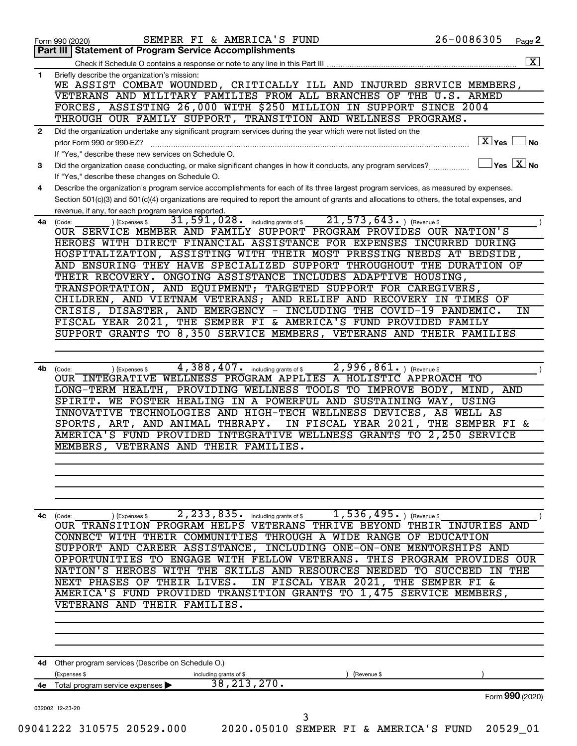|              | SEMPER FI & AMERICA'S FUND<br>Form 990 (2020)<br><b>Statement of Program Service Accomplishments</b><br>Part III I                                                                      | 26-0086305 | Page 2                               |
|--------------|-----------------------------------------------------------------------------------------------------------------------------------------------------------------------------------------|------------|--------------------------------------|
|              |                                                                                                                                                                                         |            |                                      |
| 1            | Briefly describe the organization's mission:                                                                                                                                            |            |                                      |
|              | WE ASSIST COMBAT WOUNDED, CRITICALLY ILL AND INJURED SERVICE MEMBERS,                                                                                                                   |            |                                      |
|              | VETERANS AND MILITARY FAMILIES FROM ALL BRANCHES OF THE U.S. ARMED<br>FORCES, ASSISTING 26,000 WITH \$250 MILLION IN SUPPORT SINCE 2004                                                 |            |                                      |
|              | THROUGH OUR FAMILY SUPPORT, TRANSITION AND WELLNESS PROGRAMS.                                                                                                                           |            |                                      |
| $\mathbf{2}$ | Did the organization undertake any significant program services during the year which were not listed on the                                                                            |            |                                      |
|              | prior Form 990 or 990-EZ?                                                                                                                                                               |            | $X$ Yes $\Box$ No                    |
|              | If "Yes," describe these new services on Schedule O.                                                                                                                                    |            |                                      |
| 3            | Did the organization cease conducting, or make significant changes in how it conducts, any program services?                                                                            |            | $\sqrt{\mathsf{Yes}\ \mathbf{X}}$ No |
| 4            | If "Yes," describe these changes on Schedule O.<br>Describe the organization's program service accomplishments for each of its three largest program services, as measured by expenses. |            |                                      |
|              | Section 501(c)(3) and 501(c)(4) organizations are required to report the amount of grants and allocations to others, the total expenses, and                                            |            |                                      |
|              | revenue, if any, for each program service reported.                                                                                                                                     |            |                                      |
| 4a           | $\overline{21,573,643\cdot}$ (Revenue \$<br>$\overline{31}$ , $\overline{591}$ , $028$ . including grants of \$<br>(Code:<br>(Expenses \$                                               |            |                                      |
|              | OUR SERVICE MEMBER AND FAMILY SUPPORT PROGRAM PROVIDES OUR NATION'S                                                                                                                     |            |                                      |
|              | HEROES WITH DIRECT FINANCIAL ASSISTANCE FOR EXPENSES INCURRED DURING                                                                                                                    |            |                                      |
|              | HOSPITALIZATION, ASSISTING WITH THEIR MOST PRESSING NEEDS AT BEDSIDE,<br>AND ENSURING THEY HAVE SPECIALIZED SUPPORT THROUGHOUT THE DURATION OF                                          |            |                                      |
|              | THEIR RECOVERY. ONGOING ASSISTANCE INCLUDES ADAPTIVE HOUSING,                                                                                                                           |            |                                      |
|              | TRANSPORTATION, AND EQUIPMENT; TARGETED SUPPORT FOR CAREGIVERS,                                                                                                                         |            |                                      |
|              | CHILDREN, AND VIETNAM VETERANS; AND RELIEF AND RECOVERY IN TIMES OF                                                                                                                     |            |                                      |
|              | CRISIS, DISASTER, AND EMERGENCY - INCLUDING THE COVID-19 PANDEMIC.                                                                                                                      |            | IN                                   |
|              | FISCAL YEAR 2021, THE SEMPER FI & AMERICA'S FUND PROVIDED FAMILY                                                                                                                        |            |                                      |
|              | SUPPORT GRANTS TO 8,350 SERVICE MEMBERS, VETERANS AND THEIR FAMILIES                                                                                                                    |            |                                      |
|              |                                                                                                                                                                                         |            |                                      |
| 4b           | 4,388,407.<br>2,996,861.<br>including grants of \$<br>) (Revenue \$<br>(Code:<br>) (Expenses \$                                                                                         |            |                                      |
|              | OUR INTEGRATIVE WELLNESS PROGRAM APPLIES A HOLISTIC APPROACH TO                                                                                                                         |            |                                      |
|              | LONG-TERM HEALTH, PROVIDING WELLNESS TOOLS TO IMPROVE BODY, MIND, AND                                                                                                                   |            |                                      |
|              | SPIRIT. WE FOSTER HEALING IN A POWERFUL AND SUSTAINING WAY, USING                                                                                                                       |            |                                      |
|              | INNOVATIVE TECHNOLOGIES AND HIGH-TECH WELLNESS DEVICES, AS WELL AS                                                                                                                      |            |                                      |
|              | SPORTS, ART, AND ANIMAL THERAPY.<br>IN FISCAL YEAR 2021, THE SEMPER FI &<br>AMERICA'S FUND PROVIDED INTEGRATIVE WELLNESS GRANTS TO 2,250 SERVICE                                        |            |                                      |
|              | MEMBERS, VETERANS AND THEIR FAMILIES.                                                                                                                                                   |            |                                      |
|              |                                                                                                                                                                                         |            |                                      |
|              |                                                                                                                                                                                         |            |                                      |
|              |                                                                                                                                                                                         |            |                                      |
|              |                                                                                                                                                                                         |            |                                      |
|              | $1,536,495.$ (Revenue \$<br>$2,233,835.$ including grants of \$<br>4c (Code:<br>) (Expenses \$                                                                                          |            |                                      |
|              | OUR TRANSITION PROGRAM HELPS VETERANS THRIVE BEYOND THEIR INJURIES AND                                                                                                                  |            |                                      |
|              | CONNECT WITH THEIR COMMUNITIES THROUGH A WIDE RANGE OF EDUCATION                                                                                                                        |            |                                      |
|              | SUPPORT AND CAREER ASSISTANCE, INCLUDING ONE-ON-ONE MENTORSHIPS AND<br>OPPORTUNITIES TO ENGAGE WITH FELLOW VETERANS. THIS PROGRAM PROVIDES OUR                                          |            |                                      |
|              | NATION'S HEROES WITH THE SKILLS AND RESOURCES NEEDED TO SUCCEED IN THE                                                                                                                  |            |                                      |
|              | NEXT PHASES OF THEIR LIVES.<br>IN FISCAL YEAR 2021, THE SEMPER FI &                                                                                                                     |            |                                      |
|              | AMERICA'S FUND PROVIDED TRANSITION GRANTS TO 1,475 SERVICE MEMBERS,                                                                                                                     |            |                                      |
|              | VETERANS AND THEIR FAMILIES.                                                                                                                                                            |            |                                      |
|              |                                                                                                                                                                                         |            |                                      |
|              |                                                                                                                                                                                         |            |                                      |
| 4d           | Other program services (Describe on Schedule O.)                                                                                                                                        |            |                                      |
|              | (Expenses \$<br>including grants of \$<br>(Revenue \$                                                                                                                                   |            |                                      |
| 4е           | 38, 213, 270.<br>Total program service expenses ▶                                                                                                                                       |            |                                      |
|              |                                                                                                                                                                                         |            | Form 990 (2020)                      |
|              | 032002 12-23-20<br>3                                                                                                                                                                    |            |                                      |
|              | 09041222 310575 20529.000<br>2020.05010 SEMPER FI & AMERICA'S FUND                                                                                                                      |            | 20529 01                             |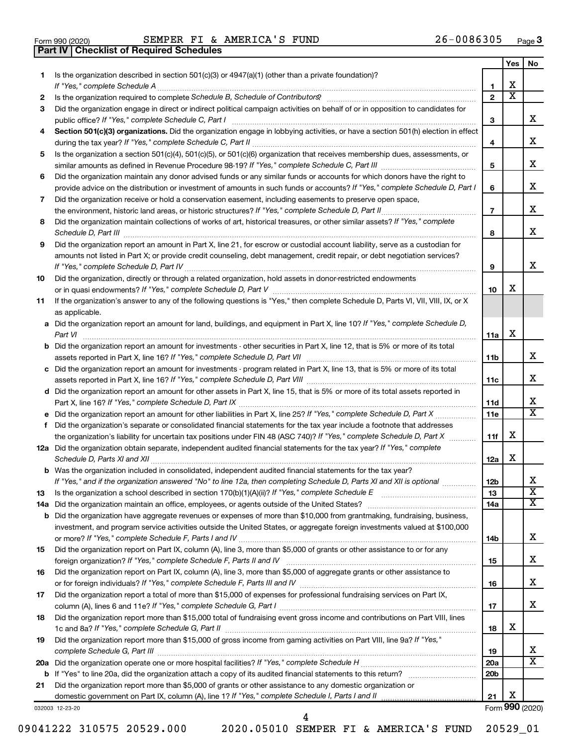|  | Form 990 (2020) |  |
|--|-----------------|--|

**Part IV Checklist of Required Schedules**

Form 990 (2020) Page SEMPER FI & AMERICA'S FUND 26-0086305

|    |                                                                                                                                                                                                                                                   |                        | Yes    | No                      |
|----|---------------------------------------------------------------------------------------------------------------------------------------------------------------------------------------------------------------------------------------------------|------------------------|--------|-------------------------|
| 1  | Is the organization described in section $501(c)(3)$ or $4947(a)(1)$ (other than a private foundation)?                                                                                                                                           |                        |        |                         |
|    | If "Yes," complete Schedule A                                                                                                                                                                                                                     | 1                      | x<br>х |                         |
| 2  |                                                                                                                                                                                                                                                   | $\mathbf{2}$           |        |                         |
| 3  | Did the organization engage in direct or indirect political campaign activities on behalf of or in opposition to candidates for                                                                                                                   |                        |        | х                       |
|    | public office? If "Yes," complete Schedule C, Part I                                                                                                                                                                                              | з                      |        |                         |
| 4  | Section 501(c)(3) organizations. Did the organization engage in lobbying activities, or have a section 501(h) election in effect<br>during the tax year? If "Yes," complete Schedule C, Part II                                                   | 4                      |        | х                       |
| 5  | Is the organization a section 501(c)(4), 501(c)(5), or 501(c)(6) organization that receives membership dues, assessments, or                                                                                                                      |                        |        |                         |
|    |                                                                                                                                                                                                                                                   | 5                      |        | x                       |
| 6  | Did the organization maintain any donor advised funds or any similar funds or accounts for which donors have the right to                                                                                                                         |                        |        |                         |
|    | provide advice on the distribution or investment of amounts in such funds or accounts? If "Yes," complete Schedule D, Part I                                                                                                                      | 6                      |        | х                       |
| 7  | Did the organization receive or hold a conservation easement, including easements to preserve open space,                                                                                                                                         |                        |        |                         |
|    | the environment, historic land areas, or historic structures? If "Yes," complete Schedule D, Part II                                                                                                                                              | $\overline{7}$         |        | x.                      |
| 8  | Did the organization maintain collections of works of art, historical treasures, or other similar assets? If "Yes," complete                                                                                                                      |                        |        |                         |
|    | Schedule D, Part III                                                                                                                                                                                                                              | 8                      |        | x                       |
| 9  | Did the organization report an amount in Part X, line 21, for escrow or custodial account liability, serve as a custodian for                                                                                                                     |                        |        |                         |
|    | amounts not listed in Part X; or provide credit counseling, debt management, credit repair, or debt negotiation services?                                                                                                                         |                        |        |                         |
|    |                                                                                                                                                                                                                                                   | 9                      |        | х                       |
| 10 | Did the organization, directly or through a related organization, hold assets in donor-restricted endowments                                                                                                                                      |                        |        |                         |
|    |                                                                                                                                                                                                                                                   | 10                     | x      |                         |
| 11 | If the organization's answer to any of the following questions is "Yes," then complete Schedule D, Parts VI, VII, VIII, IX, or X                                                                                                                  |                        |        |                         |
|    | as applicable.                                                                                                                                                                                                                                    |                        |        |                         |
|    | a Did the organization report an amount for land, buildings, and equipment in Part X, line 10? If "Yes," complete Schedule D,                                                                                                                     |                        |        |                         |
|    | Part VI                                                                                                                                                                                                                                           | 11a                    | х      |                         |
|    | <b>b</b> Did the organization report an amount for investments - other securities in Part X, line 12, that is 5% or more of its total                                                                                                             |                        |        |                         |
|    |                                                                                                                                                                                                                                                   | 11b                    |        | x.                      |
|    | c Did the organization report an amount for investments - program related in Part X, line 13, that is 5% or more of its total                                                                                                                     |                        |        |                         |
|    |                                                                                                                                                                                                                                                   | 11c                    |        | х                       |
|    | d Did the organization report an amount for other assets in Part X, line 15, that is 5% or more of its total assets reported in                                                                                                                   |                        |        | X.                      |
|    |                                                                                                                                                                                                                                                   | 11d                    |        | х                       |
|    | e Did the organization report an amount for other liabilities in Part X, line 25? If "Yes," complete Schedule D, Part X                                                                                                                           | 11e                    |        |                         |
| f. | Did the organization's separate or consolidated financial statements for the tax year include a footnote that addresses<br>the organization's liability for uncertain tax positions under FIN 48 (ASC 740)? If "Yes," complete Schedule D, Part X | 11f                    | x      |                         |
|    | 12a Did the organization obtain separate, independent audited financial statements for the tax year? If "Yes," complete                                                                                                                           |                        |        |                         |
|    | Schedule D, Parts XI and XII                                                                                                                                                                                                                      | 12a                    | x      |                         |
|    | <b>b</b> Was the organization included in consolidated, independent audited financial statements for the tax year?                                                                                                                                |                        |        |                         |
|    | If "Yes," and if the organization answered "No" to line 12a, then completing Schedule D, Parts XI and XII is optional                                                                                                                             | 12 <sub>b</sub>        |        | x                       |
| 13 |                                                                                                                                                                                                                                                   | 13                     |        | $\overline{\texttt{x}}$ |
|    | 14a Did the organization maintain an office, employees, or agents outside of the United States?                                                                                                                                                   | 14a                    |        | x                       |
|    | <b>b</b> Did the organization have aggregate revenues or expenses of more than \$10,000 from grantmaking, fundraising, business,                                                                                                                  |                        |        |                         |
|    | investment, and program service activities outside the United States, or aggregate foreign investments valued at \$100,000                                                                                                                        |                        |        |                         |
|    |                                                                                                                                                                                                                                                   | 14b                    |        | x                       |
| 15 | Did the organization report on Part IX, column (A), line 3, more than \$5,000 of grants or other assistance to or for any                                                                                                                         |                        |        |                         |
|    |                                                                                                                                                                                                                                                   | 15                     |        | X.                      |
| 16 | Did the organization report on Part IX, column (A), line 3, more than \$5,000 of aggregate grants or other assistance to                                                                                                                          |                        |        |                         |
|    |                                                                                                                                                                                                                                                   | 16                     |        | X.                      |
| 17 | Did the organization report a total of more than \$15,000 of expenses for professional fundraising services on Part IX,                                                                                                                           |                        |        |                         |
|    |                                                                                                                                                                                                                                                   | 17                     |        | x                       |
| 18 | Did the organization report more than \$15,000 total of fundraising event gross income and contributions on Part VIII, lines                                                                                                                      |                        |        |                         |
|    |                                                                                                                                                                                                                                                   | 18                     | X      |                         |
| 19 | Did the organization report more than \$15,000 of gross income from gaming activities on Part VIII, line 9a? If "Yes,"                                                                                                                            |                        |        | X                       |
|    |                                                                                                                                                                                                                                                   | 19                     |        | х                       |
|    |                                                                                                                                                                                                                                                   | 20a<br>20 <sub>b</sub> |        |                         |
| 21 | Did the organization report more than \$5,000 of grants or other assistance to any domestic organization or                                                                                                                                       |                        |        |                         |
|    |                                                                                                                                                                                                                                                   | 21                     | х      |                         |
|    | 032003 12-23-20                                                                                                                                                                                                                                   |                        |        | Form 990 (2020)         |
|    |                                                                                                                                                                                                                                                   |                        |        |                         |

09041222 310575 20529.000 2020.05010 SEMPER FI & AMERICA'S FUND 20529\_01

4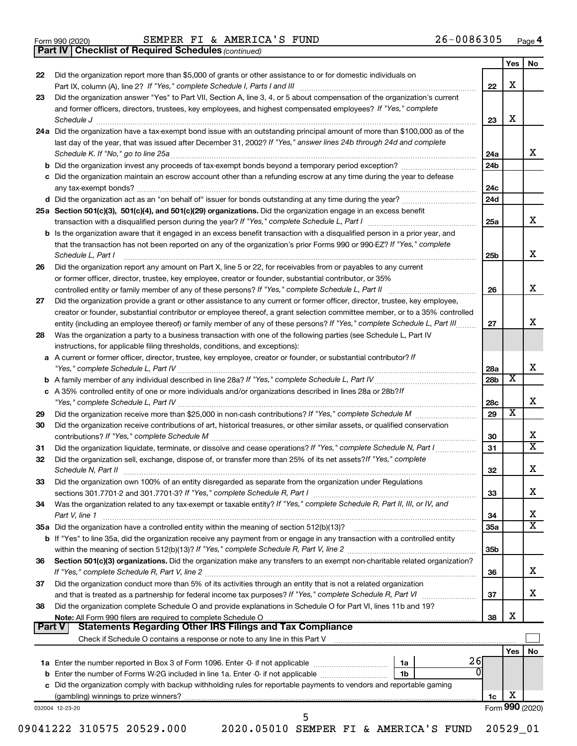*(continued)* **Part IV Checklist of Required Schedules**

|                                       |                                                                                                                                                                                                                                                                                    |                 | Yes                     | No |
|---------------------------------------|------------------------------------------------------------------------------------------------------------------------------------------------------------------------------------------------------------------------------------------------------------------------------------|-----------------|-------------------------|----|
| 22                                    | Did the organization report more than \$5,000 of grants or other assistance to or for domestic individuals on                                                                                                                                                                      | 22              | х                       |    |
| 23                                    | Did the organization answer "Yes" to Part VII, Section A, line 3, 4, or 5 about compensation of the organization's current                                                                                                                                                         |                 |                         |    |
|                                       | and former officers, directors, trustees, key employees, and highest compensated employees? If "Yes," complete<br>Schedule J <b>Execute Schedule J Execute Schedule J</b>                                                                                                          | 23              | X                       |    |
|                                       | 24a Did the organization have a tax-exempt bond issue with an outstanding principal amount of more than \$100,000 as of the<br>last day of the year, that was issued after December 31, 2002? If "Yes," answer lines 24b through 24d and complete                                  | 24a             |                         | X  |
|                                       | b Did the organization invest any proceeds of tax-exempt bonds beyond a temporary period exception?                                                                                                                                                                                | 24b             |                         |    |
|                                       | c Did the organization maintain an escrow account other than a refunding escrow at any time during the year to defease                                                                                                                                                             | 24c             |                         |    |
|                                       |                                                                                                                                                                                                                                                                                    | 24d             |                         |    |
|                                       | 25a Section 501(c)(3), 501(c)(4), and 501(c)(29) organizations. Did the organization engage in an excess benefit                                                                                                                                                                   |                 |                         |    |
|                                       |                                                                                                                                                                                                                                                                                    | 25a             |                         | x  |
|                                       | <b>b</b> Is the organization aware that it engaged in an excess benefit transaction with a disqualified person in a prior year, and<br>that the transaction has not been reported on any of the organization's prior Forms 990 or 990-EZ? If "Yes," complete<br>Schedule L, Part I | 25b             |                         | x  |
| 26                                    | Did the organization report any amount on Part X, line 5 or 22, for receivables from or payables to any current                                                                                                                                                                    |                 |                         |    |
|                                       | or former officer, director, trustee, key employee, creator or founder, substantial contributor, or 35%                                                                                                                                                                            |                 |                         |    |
|                                       | controlled entity or family member of any of these persons? If "Yes," complete Schedule L, Part II [[[[[[[[[[                                                                                                                                                                      | 26              |                         | x  |
| 27                                    | Did the organization provide a grant or other assistance to any current or former officer, director, trustee, key employee,                                                                                                                                                        |                 |                         |    |
|                                       | creator or founder, substantial contributor or employee thereof, a grant selection committee member, or to a 35% controlled                                                                                                                                                        |                 |                         |    |
|                                       | entity (including an employee thereof) or family member of any of these persons? If "Yes," complete Schedule L, Part III                                                                                                                                                           | 27              |                         |    |
| 28                                    | Was the organization a party to a business transaction with one of the following parties (see Schedule L, Part IV                                                                                                                                                                  |                 |                         |    |
|                                       | instructions, for applicable filing thresholds, conditions, and exceptions):<br>a A current or former officer, director, trustee, key employee, creator or founder, or substantial contributor? If                                                                                 | 28a             |                         |    |
|                                       |                                                                                                                                                                                                                                                                                    | 28b             | $\overline{\textbf{x}}$ |    |
|                                       | c A 35% controlled entity of one or more individuals and/or organizations described in lines 28a or 28b? If                                                                                                                                                                        |                 |                         |    |
|                                       |                                                                                                                                                                                                                                                                                    | 28c             |                         |    |
| 29                                    |                                                                                                                                                                                                                                                                                    | 29              | $\overline{\textbf{x}}$ |    |
| 30                                    | Did the organization receive contributions of art, historical treasures, or other similar assets, or qualified conservation                                                                                                                                                        | 30              |                         |    |
| 31                                    | Did the organization liquidate, terminate, or dissolve and cease operations? If "Yes," complete Schedule N, Part I                                                                                                                                                                 | 31              |                         |    |
| 32                                    | Did the organization sell, exchange, dispose of, or transfer more than 25% of its net assets? If "Yes," complete                                                                                                                                                                   |                 |                         |    |
| 33                                    | Did the organization own 100% of an entity disregarded as separate from the organization under Regulations                                                                                                                                                                         | 32              |                         |    |
|                                       |                                                                                                                                                                                                                                                                                    |                 |                         |    |
|                                       |                                                                                                                                                                                                                                                                                    | 33              |                         |    |
|                                       | Was the organization related to any tax-exempt or taxable entity? If "Yes," complete Schedule R, Part II, III, or IV, and<br>Part V, line 1                                                                                                                                        | 34              |                         |    |
|                                       |                                                                                                                                                                                                                                                                                    | <b>35a</b>      |                         |    |
|                                       | b If "Yes" to line 35a, did the organization receive any payment from or engage in any transaction with a controlled entity                                                                                                                                                        | 35 <sub>b</sub> |                         |    |
|                                       | Section 501(c)(3) organizations. Did the organization make any transfers to an exempt non-charitable related organization?                                                                                                                                                         | 36              |                         |    |
|                                       | Did the organization conduct more than 5% of its activities through an entity that is not a related organization                                                                                                                                                                   |                 |                         |    |
|                                       | Did the organization complete Schedule O and provide explanations in Schedule O for Part VI, lines 11b and 19?                                                                                                                                                                     | 37              |                         |    |
|                                       |                                                                                                                                                                                                                                                                                    | 38              | х                       |    |
|                                       |                                                                                                                                                                                                                                                                                    |                 |                         |    |
| 34<br>36<br>37<br>38<br><b>Part V</b> |                                                                                                                                                                                                                                                                                    |                 | Yes                     |    |
|                                       | 26<br>0                                                                                                                                                                                                                                                                            |                 |                         |    |
|                                       |                                                                                                                                                                                                                                                                                    |                 |                         |    |
|                                       | c Did the organization comply with backup withholding rules for reportable payments to vendors and reportable gaming                                                                                                                                                               | 1c              | х                       | No |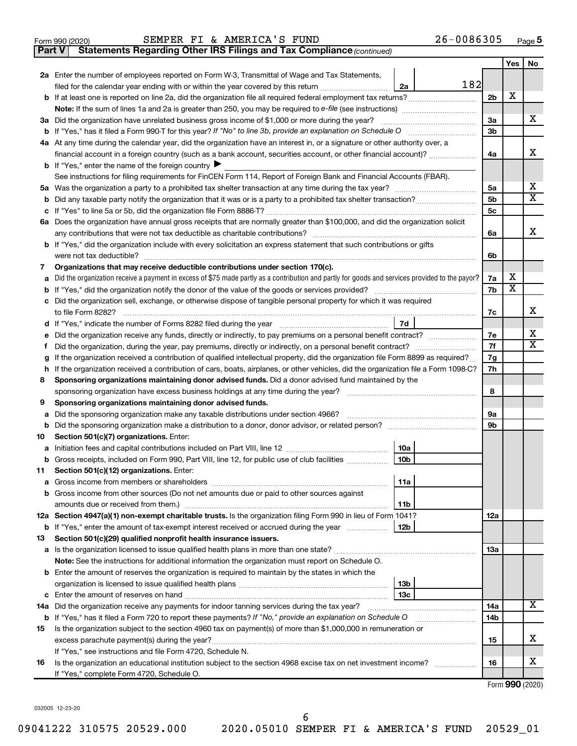|  | Form 990 (2020) |
|--|-----------------|
|  |                 |

**Part V** Statements Regarding Other IRS Filings and Tax Compliance (continued)

|                                                                                                |                                                                                                                                                 |                | Yes | No                           |  |  |  |
|------------------------------------------------------------------------------------------------|-------------------------------------------------------------------------------------------------------------------------------------------------|----------------|-----|------------------------------|--|--|--|
|                                                                                                | 2a Enter the number of employees reported on Form W-3, Transmittal of Wage and Tax Statements,                                                  |                |     |                              |  |  |  |
|                                                                                                | 182<br>filed for the calendar year ending with or within the year covered by this return <i>[[[[[[[[[[[[[[[]]]]</i> ]]<br>2a                    |                |     |                              |  |  |  |
|                                                                                                |                                                                                                                                                 | 2 <sub>b</sub> | х   |                              |  |  |  |
|                                                                                                |                                                                                                                                                 |                |     |                              |  |  |  |
|                                                                                                | 3a Did the organization have unrelated business gross income of \$1,000 or more during the year?                                                | 3a             |     | х                            |  |  |  |
|                                                                                                |                                                                                                                                                 | 3b             |     |                              |  |  |  |
|                                                                                                | 4a At any time during the calendar year, did the organization have an interest in, or a signature or other authority over, a                    |                |     |                              |  |  |  |
|                                                                                                | financial account in a foreign country (such as a bank account, securities account, or other financial account)?                                | 4a             |     | х                            |  |  |  |
|                                                                                                | <b>b</b> If "Yes," enter the name of the foreign country $\blacktriangleright$                                                                  |                |     |                              |  |  |  |
|                                                                                                | See instructions for filing requirements for FinCEN Form 114, Report of Foreign Bank and Financial Accounts (FBAR).                             |                |     |                              |  |  |  |
|                                                                                                |                                                                                                                                                 | 5a             |     | x<br>$\overline{\mathbf{X}}$ |  |  |  |
|                                                                                                |                                                                                                                                                 | 5b             |     |                              |  |  |  |
|                                                                                                |                                                                                                                                                 | 5 <sub>c</sub> |     |                              |  |  |  |
|                                                                                                | 6a Does the organization have annual gross receipts that are normally greater than \$100,000, and did the organization solicit                  | 6a             |     | х                            |  |  |  |
|                                                                                                | <b>b</b> If "Yes," did the organization include with every solicitation an express statement that such contributions or gifts                   |                |     |                              |  |  |  |
|                                                                                                |                                                                                                                                                 | 6b             |     |                              |  |  |  |
| 7                                                                                              | Organizations that may receive deductible contributions under section 170(c).                                                                   |                |     |                              |  |  |  |
| a                                                                                              | Did the organization receive a payment in excess of \$75 made partly as a contribution and partly for goods and services provided to the payor? | 7a             | х   |                              |  |  |  |
|                                                                                                |                                                                                                                                                 | 7b             | х   |                              |  |  |  |
|                                                                                                | c Did the organization sell, exchange, or otherwise dispose of tangible personal property for which it was required                             |                |     |                              |  |  |  |
|                                                                                                |                                                                                                                                                 | 7c             |     | х                            |  |  |  |
|                                                                                                | 7d                                                                                                                                              |                |     |                              |  |  |  |
| е                                                                                              | Did the organization receive any funds, directly or indirectly, to pay premiums on a personal benefit contract?                                 | 7e             |     | х                            |  |  |  |
| f                                                                                              | Did the organization, during the year, pay premiums, directly or indirectly, on a personal benefit contract?                                    |                |     |                              |  |  |  |
| g                                                                                              | If the organization received a contribution of qualified intellectual property, did the organization file Form 8899 as required?                |                |     |                              |  |  |  |
| h                                                                                              | If the organization received a contribution of cars, boats, airplanes, or other vehicles, did the organization file a Form 1098-C?              | 7h             |     |                              |  |  |  |
| 8                                                                                              | Sponsoring organizations maintaining donor advised funds. Did a donor advised fund maintained by the                                            |                |     |                              |  |  |  |
|                                                                                                |                                                                                                                                                 | 8              |     |                              |  |  |  |
| 9                                                                                              | Sponsoring organizations maintaining donor advised funds.                                                                                       |                |     |                              |  |  |  |
| a                                                                                              | Did the sponsoring organization make any taxable distributions under section 4966?                                                              | 9а             |     |                              |  |  |  |
|                                                                                                | b Did the sponsoring organization make a distribution to a donor, donor advisor, or related person? [111] [12]                                  | 9b             |     |                              |  |  |  |
| 10                                                                                             | Section 501(c)(7) organizations. Enter:                                                                                                         |                |     |                              |  |  |  |
|                                                                                                | 10a                                                                                                                                             |                |     |                              |  |  |  |
|                                                                                                | 10 <sub>b</sub><br>b Gross receipts, included on Form 990, Part VIII, line 12, for public use of club facilities                                |                |     |                              |  |  |  |
|                                                                                                | 11 Section 501(c)(12) organizations. Enter:<br>  11a                                                                                            |                |     |                              |  |  |  |
|                                                                                                |                                                                                                                                                 |                |     |                              |  |  |  |
|                                                                                                | b Gross income from other sources (Do not net amounts due or paid to other sources against<br>11b                                               |                |     |                              |  |  |  |
|                                                                                                | 12a Section 4947(a)(1) non-exempt charitable trusts. Is the organization filing Form 990 in lieu of Form 1041?                                  | 12a            |     |                              |  |  |  |
|                                                                                                | <b>b</b> If "Yes," enter the amount of tax-exempt interest received or accrued during the year<br>12 <sub>b</sub>                               |                |     |                              |  |  |  |
| 13                                                                                             | Section 501(c)(29) qualified nonprofit health insurance issuers.                                                                                |                |     |                              |  |  |  |
|                                                                                                | a Is the organization licensed to issue qualified health plans in more than one state?                                                          | 13a            |     |                              |  |  |  |
|                                                                                                | Note: See the instructions for additional information the organization must report on Schedule O.                                               |                |     |                              |  |  |  |
|                                                                                                | <b>b</b> Enter the amount of reserves the organization is required to maintain by the states in which the                                       |                |     |                              |  |  |  |
|                                                                                                | 13 <sub>b</sub>                                                                                                                                 |                |     |                              |  |  |  |
|                                                                                                | 13 <sub>c</sub>                                                                                                                                 |                |     |                              |  |  |  |
| 14a Did the organization receive any payments for indoor tanning services during the tax year? |                                                                                                                                                 |                |     |                              |  |  |  |
|                                                                                                | <b>b</b> If "Yes," has it filed a Form 720 to report these payments? If "No," provide an explanation on Schedule O                              | 14b            |     |                              |  |  |  |
| 15                                                                                             | Is the organization subject to the section 4960 tax on payment(s) of more than \$1,000,000 in remuneration or                                   |                |     |                              |  |  |  |
|                                                                                                | excess parachute payment(s) during the year?                                                                                                    | 15             |     | x                            |  |  |  |
|                                                                                                | If "Yes," see instructions and file Form 4720, Schedule N.                                                                                      |                |     |                              |  |  |  |
| 16                                                                                             | Is the organization an educational institution subject to the section 4968 excise tax on net investment income?                                 | 16             |     | x                            |  |  |  |
|                                                                                                | If "Yes," complete Form 4720, Schedule O.                                                                                                       |                |     |                              |  |  |  |

Form (2020) **990**

032005 12-23-20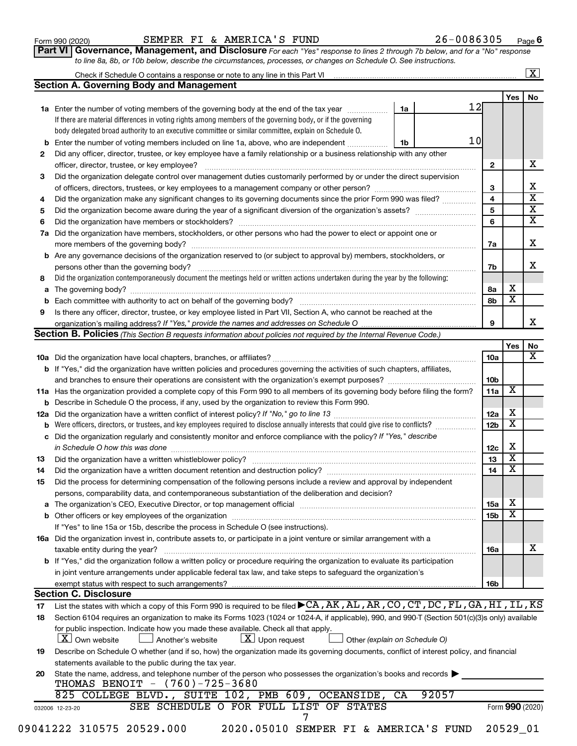| Form 990 (2020) |  |  |  |
|-----------------|--|--|--|
|-----------------|--|--|--|

#### Form 990 (2020) Page SEMPER FI & AMERICA'S FUND 26-0086305

**Part VI** Governance, Management, and Disclosure For each "Yes" response to lines 2 through 7b below, and for a "No" response *to line 8a, 8b, or 10b below, describe the circumstances, processes, or changes on Schedule O. See instructions.*

|          | <b>Section A. Governing Body and Management</b>                                                                                                                                                                                |    |                 |                 |                         |  |
|----------|--------------------------------------------------------------------------------------------------------------------------------------------------------------------------------------------------------------------------------|----|-----------------|-----------------|-------------------------|--|
|          |                                                                                                                                                                                                                                |    |                 |                 | Yes                     |  |
|          | 1a Enter the number of voting members of the governing body at the end of the tax year                                                                                                                                         | 1a | 12              |                 |                         |  |
|          | If there are material differences in voting rights among members of the governing body, or if the governing                                                                                                                    |    |                 |                 |                         |  |
|          | body delegated broad authority to an executive committee or similar committee, explain on Schedule O.                                                                                                                          |    |                 |                 |                         |  |
|          |                                                                                                                                                                                                                                | 1b | 10 <sub>l</sub> |                 |                         |  |
| b        | Enter the number of voting members included on line 1a, above, who are independent                                                                                                                                             |    |                 |                 |                         |  |
| 2        | Did any officer, director, trustee, or key employee have a family relationship or a business relationship with any other                                                                                                       |    |                 |                 |                         |  |
|          |                                                                                                                                                                                                                                |    |                 | $\mathbf{2}$    |                         |  |
| 3        | Did the organization delegate control over management duties customarily performed by or under the direct supervision                                                                                                          |    |                 |                 |                         |  |
|          |                                                                                                                                                                                                                                |    |                 | 3               |                         |  |
| 4        | Did the organization make any significant changes to its governing documents since the prior Form 990 was filed?                                                                                                               |    |                 | 4               |                         |  |
| 5        |                                                                                                                                                                                                                                |    |                 | 5               |                         |  |
| 6        |                                                                                                                                                                                                                                |    |                 | 6               |                         |  |
| 7a       | Did the organization have members, stockholders, or other persons who had the power to elect or appoint one or                                                                                                                 |    |                 |                 |                         |  |
|          |                                                                                                                                                                                                                                |    |                 | 7a              |                         |  |
| b        | Are any governance decisions of the organization reserved to (or subject to approval by) members, stockholders, or                                                                                                             |    |                 |                 |                         |  |
|          |                                                                                                                                                                                                                                |    |                 | 7b              |                         |  |
| 8        | Did the organization contemporaneously document the meetings held or written actions undertaken during the year by the following:                                                                                              |    |                 |                 |                         |  |
| а        |                                                                                                                                                                                                                                |    |                 | 8а              | Х                       |  |
|          |                                                                                                                                                                                                                                |    |                 | 8b              | $\overline{\mathbf{x}}$ |  |
| 9        | Is there any officer, director, trustee, or key employee listed in Part VII, Section A, who cannot be reached at the                                                                                                           |    |                 |                 |                         |  |
|          |                                                                                                                                                                                                                                |    |                 | 9               |                         |  |
|          | <b>Section B. Policies</b> (This Section B requests information about policies not required by the Internal Revenue Code.)                                                                                                     |    |                 |                 |                         |  |
|          |                                                                                                                                                                                                                                |    |                 |                 | Yes                     |  |
|          |                                                                                                                                                                                                                                |    |                 | <b>10a</b>      |                         |  |
|          | <b>b</b> If "Yes," did the organization have written policies and procedures governing the activities of such chapters, affiliates,                                                                                            |    |                 |                 |                         |  |
|          |                                                                                                                                                                                                                                |    |                 | 10 <sub>b</sub> |                         |  |
|          |                                                                                                                                                                                                                                |    |                 | 11a             | X                       |  |
|          | 11a Has the organization provided a complete copy of this Form 990 to all members of its governing body before filing the form?                                                                                                |    |                 |                 |                         |  |
|          | Describe in Schedule O the process, if any, used by the organization to review this Form 990.                                                                                                                                  |    |                 |                 | х                       |  |
| 12a      |                                                                                                                                                                                                                                |    |                 | 12a             | $\overline{\mathbf{X}}$ |  |
|          | Were officers, directors, or trustees, and key employees required to disclose annually interests that could give rise to conflicts?                                                                                            |    |                 | 12 <sub>b</sub> |                         |  |
| с        | Did the organization regularly and consistently monitor and enforce compliance with the policy? If "Yes," describe                                                                                                             |    |                 |                 |                         |  |
|          |                                                                                                                                                                                                                                |    |                 | 12c             | Х                       |  |
| 13       |                                                                                                                                                                                                                                |    |                 | 13              | $\overline{\mathbf{X}}$ |  |
| 14       |                                                                                                                                                                                                                                |    |                 | 14              | $\overline{\mathbf{X}}$ |  |
| 15       | Did the process for determining compensation of the following persons include a review and approval by independent                                                                                                             |    |                 |                 |                         |  |
|          | persons, comparability data, and contemporaneous substantiation of the deliberation and decision?                                                                                                                              |    |                 |                 |                         |  |
| а        | The organization's CEO, Executive Director, or top management official [111] [12] manuscription and an intervention of the organization's CEO, Executive Director, or top management official [12] manuscription and an interv |    |                 | 15a             | х                       |  |
|          |                                                                                                                                                                                                                                |    |                 | 15b             | $\overline{\textbf{x}}$ |  |
|          | If "Yes" to line 15a or 15b, describe the process in Schedule O (see instructions).                                                                                                                                            |    |                 |                 |                         |  |
|          | 16a Did the organization invest in, contribute assets to, or participate in a joint venture or similar arrangement with a                                                                                                      |    |                 |                 |                         |  |
|          | taxable entity during the year?                                                                                                                                                                                                |    |                 | 16a             |                         |  |
|          |                                                                                                                                                                                                                                |    |                 |                 |                         |  |
|          |                                                                                                                                                                                                                                |    |                 |                 |                         |  |
|          | b If "Yes," did the organization follow a written policy or procedure requiring the organization to evaluate its participation                                                                                                 |    |                 |                 |                         |  |
|          | in joint venture arrangements under applicable federal tax law, and take steps to safeguard the organization's                                                                                                                 |    |                 |                 |                         |  |
|          | exempt status with respect to such arrangements?                                                                                                                                                                               |    |                 | 16b             |                         |  |
|          | <b>Section C. Disclosure</b>                                                                                                                                                                                                   |    |                 |                 |                         |  |
|          | List the states with which a copy of this Form 990 is required to be filed CA, AK, AL, AR, CO, CT, DC, FL, GA, HI, IL, KS                                                                                                      |    |                 |                 |                         |  |
| 17<br>18 | Section 6104 requires an organization to make its Forms 1023 (1024 or 1024-A, if applicable), 990, and 990-T (Section 501(c)(3)s only) available                                                                               |    |                 |                 |                         |  |
|          | for public inspection. Indicate how you made these available. Check all that apply.                                                                                                                                            |    |                 |                 |                         |  |
|          | $\lfloor x \rfloor$ Upon request<br><b>X</b> Own website<br>Another's website<br>Other (explain on Schedule O)                                                                                                                 |    |                 |                 |                         |  |
| 19       | Describe on Schedule O whether (and if so, how) the organization made its governing documents, conflict of interest policy, and financial                                                                                      |    |                 |                 |                         |  |
|          | statements available to the public during the tax year.                                                                                                                                                                        |    |                 |                 |                         |  |
| 20       | State the name, address, and telephone number of the person who possesses the organization's books and records                                                                                                                 |    |                 |                 |                         |  |
|          | THOMAS BENOIT - (760)-725-3680                                                                                                                                                                                                 |    |                 |                 |                         |  |
|          | 825 COLLEGE BLVD., SUITE 102, PMB 609, OCEANSIDE,                                                                                                                                                                              | CA | 92057           |                 |                         |  |
|          | SEE SCHEDULE O FOR FULL LIST OF STATES<br>032006 12-23-20<br>7                                                                                                                                                                 |    |                 |                 | Form 990 (2020)         |  |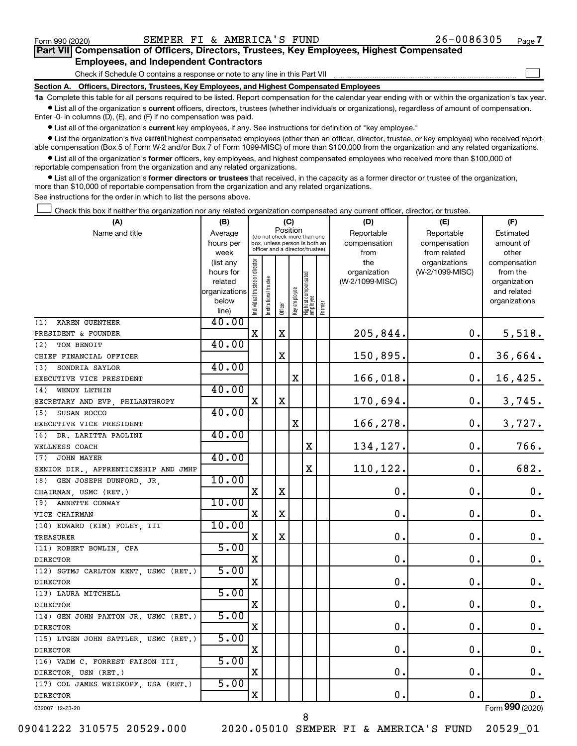$\Box$ 

| Part VII Compensation of Officers, Directors, Trustees, Key Employees, Highest Compensated |  |  |
|--------------------------------------------------------------------------------------------|--|--|
| <b>Employees, and Independent Contractors</b>                                              |  |  |

Check if Schedule O contains a response or note to any line in this Part VII

**Section A. Officers, Directors, Trustees, Key Employees, and Highest Compensated Employees**

**1a**  Complete this table for all persons required to be listed. Report compensation for the calendar year ending with or within the organization's tax year.  $\bullet$  List all of the organization's current officers, directors, trustees (whether individuals or organizations), regardless of amount of compensation.

Enter -0- in columns (D), (E), and (F) if no compensation was paid.

**•** List all of the organization's current key employees, if any. See instructions for definition of "key employee."

• List the organization's five *current* highest compensated employees (other than an officer, director, trustee, or key employee) who received reportable compensation (Box 5 of Form W-2 and/or Box 7 of Form 1099-MISC) of more than \$100,000 from the organization and any related organizations.

 $\bullet$  List all of the organization's former officers, key employees, and highest compensated employees who received more than \$100,000 of reportable compensation from the organization and any related organizations.

**•** List all of the organization's former directors or trustees that received, in the capacity as a former director or trustee of the organization, more than \$10,000 of reportable compensation from the organization and any related organizations.

See instructions for the order in which to list the persons above.

Check this box if neither the organization nor any related organization compensated any current officer, director, or trustee.  $\Box$ 

| (A)                                  | (B)            |                               |                                 |             | (C)          |                                  |        | (D)             | (E)             | (F)                |
|--------------------------------------|----------------|-------------------------------|---------------------------------|-------------|--------------|----------------------------------|--------|-----------------|-----------------|--------------------|
| Name and title                       | Average        |                               | (do not check more than one     |             | Position     |                                  |        | Reportable      | Reportable      | Estimated          |
|                                      | hours per      |                               | box, unless person is both an   |             |              |                                  |        | compensation    | compensation    | amount of          |
|                                      | week           |                               | officer and a director/trustee) |             |              |                                  |        | from            | from related    | other              |
|                                      | (list any      |                               |                                 |             |              |                                  |        | the             | organizations   | compensation       |
|                                      | hours for      |                               |                                 |             |              |                                  |        | organization    | (W-2/1099-MISC) | from the           |
|                                      | related        |                               | trustee                         |             |              |                                  |        | (W-2/1099-MISC) |                 | organization       |
|                                      | organizations  |                               |                                 |             |              |                                  |        |                 |                 | and related        |
|                                      | below<br>line) | ndividual trustee or director | Institutional t                 | Officer     | Key employee | Highest compensated<br> employee | Former |                 |                 | organizations      |
| KAREN GUENTHER<br>(1)                | 40.00          |                               |                                 |             |              |                                  |        |                 |                 |                    |
| PRESIDENT & FOUNDER                  |                | $\mathbf X$                   |                                 | X           |              |                                  |        | 205,844.        | 0.              | 5,518.             |
| (2)<br>TOM BENOIT                    | 40.00          |                               |                                 |             |              |                                  |        |                 |                 |                    |
| CHIEF FINANCIAL OFFICER              |                |                               |                                 | X           |              |                                  |        | 150,895.        | $\mathbf 0$ .   | 36,664.            |
| (3)<br>SONDRIA SAYLOR                | 40.00          |                               |                                 |             |              |                                  |        |                 |                 |                    |
| EXECUTIVE VICE PRESIDENT             |                |                               |                                 |             | X            |                                  |        | 166,018.        | 0.              | 16,425.            |
| WENDY LETHIN<br>(4)                  | 40.00          |                               |                                 |             |              |                                  |        |                 |                 |                    |
| SECRETARY AND EVP, PHILANTHROPY      |                | X                             |                                 | $\mathbf X$ |              |                                  |        | 170,694.        | 0.              | 3,745.             |
| SUSAN ROCCO<br>(5)                   | 40.00          |                               |                                 |             |              |                                  |        |                 |                 |                    |
| EXECUTIVE VICE PRESIDENT             |                |                               |                                 |             | X            |                                  |        | 166,278.        | $\mathbf 0$ .   | 3,727.             |
| (6) DR. LARITTA PAOLINI              | 40.00          |                               |                                 |             |              |                                  |        |                 |                 |                    |
| WELLNESS COACH                       |                |                               |                                 |             |              | $\mathbf X$                      |        | 134,127.        | 0.              | 766.               |
| (7)<br><b>JOHN MAYER</b>             | 40.00          |                               |                                 |             |              |                                  |        |                 |                 |                    |
| SENIOR DIR., APPRENTICESHIP AND JMHP |                |                               |                                 |             |              | $\mathbf X$                      |        | 110,122.        | $\mathbf 0$ .   | 682.               |
| GEN JOSEPH DUNFORD, JR,<br>(8)       | 10.00          |                               |                                 |             |              |                                  |        |                 |                 |                    |
| CHAIRMAN, USMC (RET.)                |                | $\mathbf X$                   |                                 | $\mathbf X$ |              |                                  |        | 0.              | 0.              | $\mathbf 0$ .      |
| (9)<br>ANNETTE CONWAY                | 10.00          |                               |                                 |             |              |                                  |        |                 |                 |                    |
| VICE CHAIRMAN                        |                | х                             |                                 | $\mathbf X$ |              |                                  |        | $\mathbf 0$ .   | О.              | $\mathbf 0$ .      |
| (10) EDWARD (KIM) FOLEY, III         | 10.00          |                               |                                 |             |              |                                  |        |                 |                 |                    |
| TREASURER                            |                | X                             |                                 | $\mathbf X$ |              |                                  |        | $\mathbf 0$ .   | $\mathbf 0$ .   | 0.                 |
| (11) ROBERT BOWLIN, CPA              | 5.00           |                               |                                 |             |              |                                  |        |                 |                 |                    |
| <b>DIRECTOR</b>                      |                | X                             |                                 |             |              |                                  |        | 0.              | $\mathbf 0$ .   | 0.                 |
| (12) SGTMJ CARLTON KENT USMC (RET.)  | 5.00           |                               |                                 |             |              |                                  |        |                 |                 |                    |
| <b>DIRECTOR</b>                      |                | Χ                             |                                 |             |              |                                  |        | $\mathbf 0$ .   | 0.              | $\mathbf 0$ .      |
| (13) LAURA MITCHELL                  | 5.00           |                               |                                 |             |              |                                  |        |                 |                 |                    |
| <b>DIRECTOR</b>                      |                | X                             |                                 |             |              |                                  |        | $\mathbf 0$ .   | 0.              | $\boldsymbol{0}$ . |
| (14) GEN JOHN PAXTON JR. USMC (RET.) | 5.00           |                               |                                 |             |              |                                  |        |                 |                 |                    |
| <b>DIRECTOR</b>                      |                | X                             |                                 |             |              |                                  |        | $\mathbf 0$ .   | $\mathbf 0$ .   | $\boldsymbol{0}$ . |
| (15) LTGEN JOHN SATTLER, USMC (RET.) | 5.00           |                               |                                 |             |              |                                  |        |                 |                 |                    |
| <b>DIRECTOR</b>                      |                | X                             |                                 |             |              |                                  |        | 0.              | 0.              | $\mathbf 0$ .      |
| (16) VADM C. FORREST FAISON III,     | 5.00           |                               |                                 |             |              |                                  |        |                 |                 |                    |
| DIRECTOR, USN (RET.)                 |                | X                             |                                 |             |              |                                  |        | $\mathbf 0$ .   | $\mathbf 0$ .   | 0.                 |
| (17) COL JAMES WEISKOPF, USA (RET.)  | 5.00           |                               |                                 |             |              |                                  |        |                 |                 |                    |
| <b>DIRECTOR</b>                      |                | X                             |                                 |             |              |                                  |        | 0.              | $\mathbf 0$ .   | 0.                 |
| 032007 12-23-20                      |                |                               |                                 |             |              |                                  |        |                 |                 | Form 990 (2020)    |

09041222 310575 20529.000 2020.05010 SEMPER FI & AMERICA'S FUND 20529\_01

8

Form (2020) **990**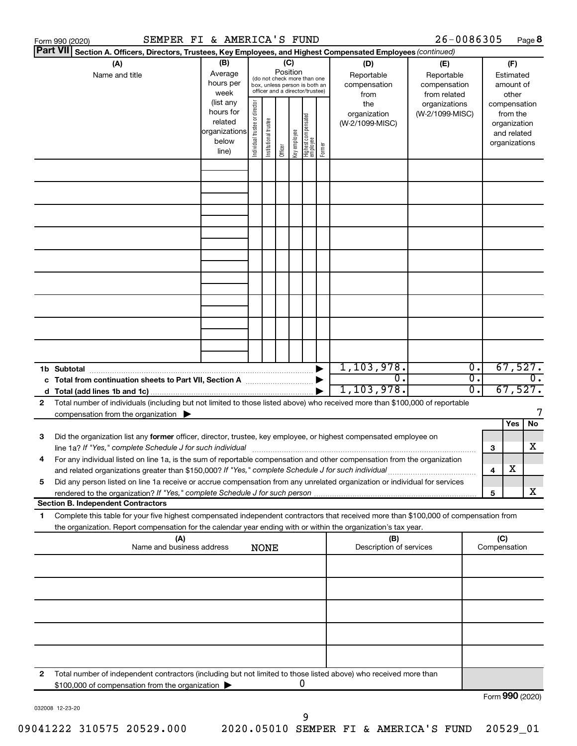|   | SEMPER FI & AMERICA'S FUND<br>Form 990 (2020)                                                                                                                                                                                   |                                                                                            |                                |                                                                                                                          |                 |              |                                   |        |                                                                                     | 26-0086305                                                                            |          |              | Page 8                                                                                            |
|---|---------------------------------------------------------------------------------------------------------------------------------------------------------------------------------------------------------------------------------|--------------------------------------------------------------------------------------------|--------------------------------|--------------------------------------------------------------------------------------------------------------------------|-----------------|--------------|-----------------------------------|--------|-------------------------------------------------------------------------------------|---------------------------------------------------------------------------------------|----------|--------------|---------------------------------------------------------------------------------------------------|
|   | <b>Part VII</b><br>Section A. Officers, Directors, Trustees, Key Employees, and Highest Compensated Employees (continued)                                                                                                       |                                                                                            |                                |                                                                                                                          |                 |              |                                   |        |                                                                                     |                                                                                       |          |              |                                                                                                   |
|   | (A)<br>Name and title                                                                                                                                                                                                           | (B)<br>Average<br>hours per<br>week<br>(list any<br>hours for<br>related<br> organizations | Individual trustee or director | (do not check more than one<br>box, unless person is both an<br>officer and a director/trustee)<br>Institutional trustee | (C)<br>Position |              | Highest compensated<br>  employee |        | (D)<br>Reportable<br>compensation<br>from<br>the<br>organization<br>(W-2/1099-MISC) | (E)<br>Reportable<br>compensation<br>from related<br>organizations<br>(W-2/1099-MISC) |          |              | (F)<br>Estimated<br>amount of<br>other<br>compensation<br>from the<br>organization<br>and related |
|   |                                                                                                                                                                                                                                 | below<br>line)                                                                             |                                |                                                                                                                          | Officer         | Key employee |                                   | Former |                                                                                     |                                                                                       |          |              | organizations                                                                                     |
|   |                                                                                                                                                                                                                                 |                                                                                            |                                |                                                                                                                          |                 |              |                                   |        |                                                                                     |                                                                                       |          |              |                                                                                                   |
|   |                                                                                                                                                                                                                                 |                                                                                            |                                |                                                                                                                          |                 |              |                                   |        |                                                                                     |                                                                                       |          |              |                                                                                                   |
|   |                                                                                                                                                                                                                                 |                                                                                            |                                |                                                                                                                          |                 |              |                                   |        |                                                                                     |                                                                                       |          |              |                                                                                                   |
|   |                                                                                                                                                                                                                                 |                                                                                            |                                |                                                                                                                          |                 |              |                                   |        |                                                                                     |                                                                                       |          |              |                                                                                                   |
|   |                                                                                                                                                                                                                                 |                                                                                            |                                |                                                                                                                          |                 |              |                                   |        |                                                                                     |                                                                                       |          |              |                                                                                                   |
|   |                                                                                                                                                                                                                                 |                                                                                            |                                |                                                                                                                          |                 |              |                                   |        |                                                                                     |                                                                                       |          |              |                                                                                                   |
|   |                                                                                                                                                                                                                                 |                                                                                            |                                |                                                                                                                          |                 |              |                                   |        |                                                                                     |                                                                                       |          |              |                                                                                                   |
|   |                                                                                                                                                                                                                                 |                                                                                            |                                |                                                                                                                          |                 |              |                                   |        |                                                                                     |                                                                                       |          |              |                                                                                                   |
|   |                                                                                                                                                                                                                                 |                                                                                            |                                |                                                                                                                          |                 |              |                                   |        |                                                                                     |                                                                                       |          |              |                                                                                                   |
|   |                                                                                                                                                                                                                                 |                                                                                            |                                |                                                                                                                          |                 |              |                                   |        |                                                                                     |                                                                                       |          |              |                                                                                                   |
|   |                                                                                                                                                                                                                                 |                                                                                            |                                |                                                                                                                          |                 |              |                                   |        |                                                                                     |                                                                                       |          |              |                                                                                                   |
|   |                                                                                                                                                                                                                                 |                                                                                            |                                |                                                                                                                          |                 |              |                                   |        |                                                                                     |                                                                                       |          |              |                                                                                                   |
|   |                                                                                                                                                                                                                                 |                                                                                            |                                |                                                                                                                          |                 |              |                                   |        |                                                                                     |                                                                                       |          |              |                                                                                                   |
|   | 1b Subtotal                                                                                                                                                                                                                     |                                                                                            |                                |                                                                                                                          |                 |              |                                   |        | 1,103,978.<br>$\overline{0}$ .                                                      |                                                                                       | Ο.<br>σ. |              | 67,527.<br>$\overline{0}$ .                                                                       |
|   |                                                                                                                                                                                                                                 |                                                                                            |                                |                                                                                                                          |                 |              |                                   |        | 1, 103, 978.                                                                        |                                                                                       | σ.       |              | 67,527.                                                                                           |
| 2 | Total number of individuals (including but not limited to those listed above) who received more than \$100,000 of reportable                                                                                                    |                                                                                            |                                |                                                                                                                          |                 |              |                                   |        |                                                                                     |                                                                                       |          |              |                                                                                                   |
|   | compensation from the organization                                                                                                                                                                                              |                                                                                            |                                |                                                                                                                          |                 |              |                                   |        |                                                                                     |                                                                                       |          |              | 7<br><b>No</b><br>Yes                                                                             |
| 3 | Did the organization list any former officer, director, trustee, key employee, or highest compensated employee on                                                                                                               |                                                                                            |                                |                                                                                                                          |                 |              |                                   |        |                                                                                     |                                                                                       |          |              |                                                                                                   |
|   |                                                                                                                                                                                                                                 |                                                                                            |                                |                                                                                                                          |                 |              |                                   |        |                                                                                     |                                                                                       |          | з            | x                                                                                                 |
|   | For any individual listed on line 1a, is the sum of reportable compensation and other compensation from the organization<br>and related organizations greater than \$150,000? If "Yes," complete Schedule J for such individual |                                                                                            |                                |                                                                                                                          |                 |              |                                   |        |                                                                                     |                                                                                       |          |              | х                                                                                                 |
| 5 | Did any person listed on line 1a receive or accrue compensation from any unrelated organization or individual for services                                                                                                      |                                                                                            |                                |                                                                                                                          |                 |              |                                   |        |                                                                                     |                                                                                       |          | 4            |                                                                                                   |
|   | rendered to the organization? If "Yes," complete Schedule J for such person                                                                                                                                                     |                                                                                            |                                |                                                                                                                          |                 |              |                                   |        |                                                                                     |                                                                                       |          | 5            | x                                                                                                 |
|   | <b>Section B. Independent Contractors</b><br>Complete this table for your five highest compensated independent contractors that received more than \$100,000 of compensation from                                               |                                                                                            |                                |                                                                                                                          |                 |              |                                   |        |                                                                                     |                                                                                       |          |              |                                                                                                   |
| 1 | the organization. Report compensation for the calendar year ending with or within the organization's tax year.                                                                                                                  |                                                                                            |                                |                                                                                                                          |                 |              |                                   |        |                                                                                     |                                                                                       |          |              |                                                                                                   |
|   | (A)                                                                                                                                                                                                                             |                                                                                            |                                |                                                                                                                          |                 |              |                                   |        | (B)                                                                                 |                                                                                       |          | (C)          |                                                                                                   |
|   | Name and business address                                                                                                                                                                                                       |                                                                                            |                                | <b>NONE</b>                                                                                                              |                 |              |                                   |        | Description of services                                                             |                                                                                       |          | Compensation |                                                                                                   |
|   |                                                                                                                                                                                                                                 |                                                                                            |                                |                                                                                                                          |                 |              |                                   |        |                                                                                     |                                                                                       |          |              |                                                                                                   |
|   |                                                                                                                                                                                                                                 |                                                                                            |                                |                                                                                                                          |                 |              |                                   |        |                                                                                     |                                                                                       |          |              |                                                                                                   |
|   |                                                                                                                                                                                                                                 |                                                                                            |                                |                                                                                                                          |                 |              |                                   |        |                                                                                     |                                                                                       |          |              |                                                                                                   |
|   |                                                                                                                                                                                                                                 |                                                                                            |                                |                                                                                                                          |                 |              |                                   |        |                                                                                     |                                                                                       |          |              |                                                                                                   |
|   |                                                                                                                                                                                                                                 |                                                                                            |                                |                                                                                                                          |                 |              |                                   |        |                                                                                     |                                                                                       |          |              |                                                                                                   |
|   |                                                                                                                                                                                                                                 |                                                                                            |                                |                                                                                                                          |                 |              |                                   |        |                                                                                     |                                                                                       |          |              |                                                                                                   |
|   |                                                                                                                                                                                                                                 |                                                                                            |                                |                                                                                                                          |                 |              |                                   |        |                                                                                     |                                                                                       |          |              |                                                                                                   |
| 2 | Total number of independent contractors (including but not limited to those listed above) who received more than                                                                                                                |                                                                                            |                                |                                                                                                                          |                 |              | 0                                 |        |                                                                                     |                                                                                       |          |              |                                                                                                   |
|   | \$100,000 of compensation from the organization                                                                                                                                                                                 |                                                                                            |                                |                                                                                                                          |                 |              |                                   |        |                                                                                     |                                                                                       |          |              | Form 990 (2020)                                                                                   |

032008 12-23-20

9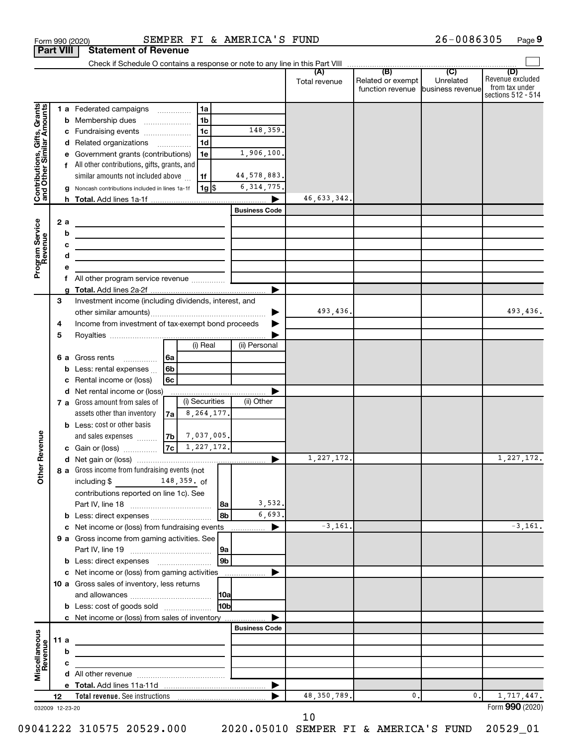|                                                           |                  |        | Form 990 (2020)                                                                                                        |    |                |                      | SEMPER FI & AMERICA'S FUND |                      |                                                               | 26-0086305                  | Page 9                                                          |
|-----------------------------------------------------------|------------------|--------|------------------------------------------------------------------------------------------------------------------------|----|----------------|----------------------|----------------------------|----------------------|---------------------------------------------------------------|-----------------------------|-----------------------------------------------------------------|
|                                                           | <b>Part VIII</b> |        | <b>Statement of Revenue</b>                                                                                            |    |                |                      |                            |                      |                                                               |                             |                                                                 |
|                                                           |                  |        |                                                                                                                        |    |                |                      |                            |                      |                                                               |                             |                                                                 |
|                                                           |                  |        |                                                                                                                        |    |                |                      |                            | (A)<br>Total revenue | (B)<br>Related or exempt<br>function revenue business revenue | $\overline{C}$<br>Unrelated | (D)<br>Revenue excluded<br>from tax under<br>sections 512 - 514 |
|                                                           |                  |        | 1 a Federated campaigns                                                                                                |    | 1a             |                      |                            |                      |                                                               |                             |                                                                 |
| Contributions, Gifts, Grants<br>and Other Similar Amounts |                  | b      | Membership dues<br>$\ldots \ldots \ldots \ldots \ldots$                                                                |    | 1 <sub>b</sub> |                      |                            |                      |                                                               |                             |                                                                 |
|                                                           |                  |        | c Fundraising events                                                                                                   |    | 1 <sub>c</sub> |                      | 148,359.                   |                      |                                                               |                             |                                                                 |
|                                                           |                  |        | d Related organizations                                                                                                |    | 1 <sub>d</sub> |                      |                            |                      |                                                               |                             |                                                                 |
|                                                           |                  |        | e Government grants (contributions)                                                                                    |    | 1e             |                      | 1,906,100.                 |                      |                                                               |                             |                                                                 |
|                                                           |                  |        | All other contributions, gifts, grants, and                                                                            |    |                |                      |                            |                      |                                                               |                             |                                                                 |
|                                                           |                  |        | similar amounts not included above                                                                                     |    | 1f             |                      | 44,578,883.                |                      |                                                               |                             |                                                                 |
|                                                           |                  | g      | Noncash contributions included in lines 1a-1f                                                                          |    | 1g  \$         |                      | 6, 314, 775.               |                      |                                                               |                             |                                                                 |
|                                                           |                  |        |                                                                                                                        |    |                |                      |                            | 46,633,342.          |                                                               |                             |                                                                 |
|                                                           |                  |        |                                                                                                                        |    |                |                      | <b>Business Code</b>       |                      |                                                               |                             |                                                                 |
| Program Service<br>Revenue                                |                  | 2a     |                                                                                                                        |    |                |                      |                            |                      |                                                               |                             |                                                                 |
|                                                           |                  | b      |                                                                                                                        |    |                |                      |                            |                      |                                                               |                             |                                                                 |
|                                                           |                  | c<br>d | <u> 1989 - Johann Stein, marwolaethau a bhann an t-Albann an t-Albann an t-Albann an t-Albann an t-Albann an t-Alb</u> |    |                |                      |                            |                      |                                                               |                             |                                                                 |
|                                                           |                  | е      | the control of the control of the control of the control of the control of                                             |    |                |                      |                            |                      |                                                               |                             |                                                                 |
|                                                           |                  | f      |                                                                                                                        |    |                |                      |                            |                      |                                                               |                             |                                                                 |
|                                                           |                  |        |                                                                                                                        |    |                |                      |                            |                      |                                                               |                             |                                                                 |
|                                                           | 3                |        | Investment income (including dividends, interest, and                                                                  |    |                |                      |                            |                      |                                                               |                             |                                                                 |
|                                                           |                  |        |                                                                                                                        |    |                |                      |                            | 493,436.             |                                                               |                             | 493,436.                                                        |
|                                                           | 4                |        | Income from investment of tax-exempt bond proceeds                                                                     |    |                |                      |                            |                      |                                                               |                             |                                                                 |
|                                                           | 5                |        |                                                                                                                        |    |                |                      |                            |                      |                                                               |                             |                                                                 |
|                                                           |                  |        |                                                                                                                        |    | (i) Real       |                      | (ii) Personal              |                      |                                                               |                             |                                                                 |
|                                                           |                  | 6а     | Gross rents<br>$\cdots$                                                                                                | 6a |                |                      |                            |                      |                                                               |                             |                                                                 |
|                                                           |                  | b      | Less: rental expenses                                                                                                  | 6b |                |                      |                            |                      |                                                               |                             |                                                                 |
|                                                           |                  |        | Rental income or (loss)                                                                                                | 6c |                |                      |                            |                      |                                                               |                             |                                                                 |
|                                                           |                  |        | d Net rental income or (loss)                                                                                          |    | (i) Securities |                      | (ii) Other                 |                      |                                                               |                             |                                                                 |
|                                                           |                  |        | 7 a Gross amount from sales of<br>assets other than inventory                                                          |    | 8, 264, 177.   |                      |                            |                      |                                                               |                             |                                                                 |
|                                                           |                  |        | <b>b</b> Less: cost or other basis                                                                                     | 7a |                |                      |                            |                      |                                                               |                             |                                                                 |
|                                                           |                  |        | and sales expenses                                                                                                     | 7b | 7,037,005.     |                      |                            |                      |                                                               |                             |                                                                 |
| evenue                                                    |                  |        | c Gain or (loss)                                                                                                       | 7c | 1,227,172.     |                      |                            |                      |                                                               |                             |                                                                 |
|                                                           |                  |        |                                                                                                                        |    |                |                      |                            | 1,227,172.           |                                                               |                             | 1,227,172.                                                      |
| Other R                                                   |                  |        | 8 a Gross income from fundraising events (not                                                                          |    |                |                      |                            |                      |                                                               |                             |                                                                 |
|                                                           |                  |        | including \$<br>$\frac{148,359.66}{2}$                                                                                 |    |                |                      |                            |                      |                                                               |                             |                                                                 |
|                                                           |                  |        | contributions reported on line 1c). See                                                                                |    |                |                      |                            |                      |                                                               |                             |                                                                 |
|                                                           |                  |        | Part IV, line 18                                                                                                       |    |                | l 8a                 | 3,532.                     |                      |                                                               |                             |                                                                 |
|                                                           |                  |        |                                                                                                                        |    |                | 8b                   | 6,693.                     |                      |                                                               |                             |                                                                 |
|                                                           |                  | c      | Net income or (loss) from fundraising events                                                                           |    |                |                      | ▶                          | $-3,161.$            |                                                               |                             | $-3, 161.$                                                      |
|                                                           |                  |        | 9 a Gross income from gaming activities. See                                                                           |    |                |                      |                            |                      |                                                               |                             |                                                                 |
|                                                           |                  |        |                                                                                                                        |    |                | 9a<br>9 <sub>b</sub> |                            |                      |                                                               |                             |                                                                 |
|                                                           |                  |        | <b>b</b> Less: direct expenses <b>manually</b><br>c Net income or (loss) from gaming activities                        |    |                |                      |                            |                      |                                                               |                             |                                                                 |
|                                                           |                  |        | 10 a Gross sales of inventory, less returns                                                                            |    |                |                      |                            |                      |                                                               |                             |                                                                 |
|                                                           |                  |        |                                                                                                                        |    |                | 10a                  |                            |                      |                                                               |                             |                                                                 |
|                                                           |                  |        | <b>b</b> Less: cost of goods sold                                                                                      |    |                | 10b                  |                            |                      |                                                               |                             |                                                                 |
|                                                           |                  |        | c Net income or (loss) from sales of inventory                                                                         |    |                |                      |                            |                      |                                                               |                             |                                                                 |
|                                                           |                  |        |                                                                                                                        |    |                |                      | <b>Business Code</b>       |                      |                                                               |                             |                                                                 |
| Miscellaneous<br>Revenue                                  |                  | 11a    |                                                                                                                        |    |                |                      |                            |                      |                                                               |                             |                                                                 |
|                                                           |                  | b      |                                                                                                                        |    |                |                      |                            |                      |                                                               |                             |                                                                 |
|                                                           |                  | c      |                                                                                                                        |    |                |                      |                            |                      |                                                               |                             |                                                                 |
|                                                           |                  |        |                                                                                                                        |    |                |                      |                            |                      |                                                               |                             |                                                                 |
|                                                           |                  |        |                                                                                                                        |    |                |                      | ▶                          |                      |                                                               |                             |                                                                 |
|                                                           | 12               |        |                                                                                                                        |    |                |                      |                            | 48, 350, 789.        | 0.                                                            | $0$ .                       | 1,717,447.<br>Form 990 (2020)                                   |
| 032009 12-23-20                                           |                  |        |                                                                                                                        |    |                |                      |                            |                      |                                                               |                             |                                                                 |

10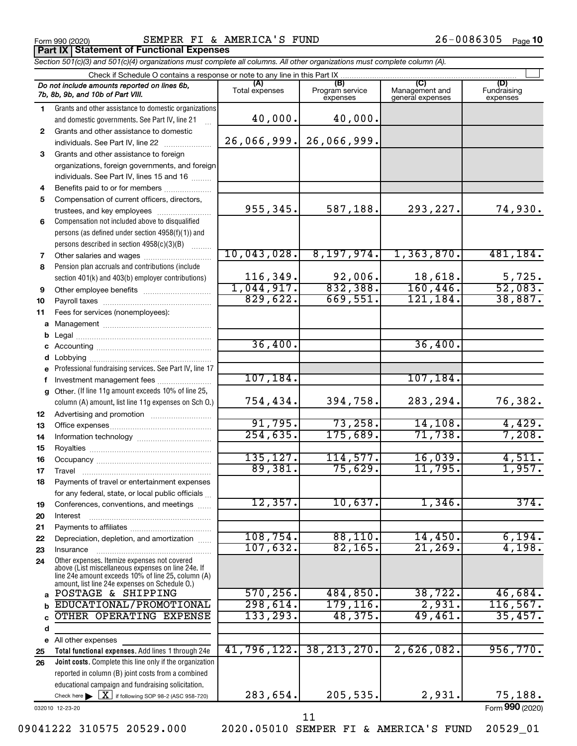Form 990 (2020) SEMPER FI & AMERICA'S FUND 26-0086305 <sub>Page</sub> **Part IX Statement of Functional Expenses**

*Section 501(c)(3) and 501(c)(4) organizations must complete all columns. All other organizations must complete column (A).*

|          | Check if Schedule O contains a response or note to any line in this Part IX                                                                                                                                |                       |                                    |                                    |                         |
|----------|------------------------------------------------------------------------------------------------------------------------------------------------------------------------------------------------------------|-----------------------|------------------------------------|------------------------------------|-------------------------|
|          | Do not include amounts reported on lines 6b,<br>7b, 8b, 9b, and 10b of Part VIII.                                                                                                                          | (A)<br>Total expenses | (B)<br>Program service<br>expenses | Management and<br>general expenses | Fundraising<br>expenses |
| 1.       | Grants and other assistance to domestic organizations<br>and domestic governments. See Part IV, line 21                                                                                                    | 40,000.               | 40,000.                            |                                    |                         |
| 2        | Grants and other assistance to domestic                                                                                                                                                                    |                       |                                    |                                    |                         |
|          |                                                                                                                                                                                                            | 26,066,999.           | 26,066,999.                        |                                    |                         |
| 3        | Grants and other assistance to foreign<br>organizations, foreign governments, and foreign                                                                                                                  |                       |                                    |                                    |                         |
|          | individuals. See Part IV, lines 15 and 16                                                                                                                                                                  |                       |                                    |                                    |                         |
| 4        |                                                                                                                                                                                                            |                       |                                    |                                    |                         |
| 5        | Compensation of current officers, directors,                                                                                                                                                               |                       |                                    |                                    |                         |
|          | trustees, and key employees                                                                                                                                                                                | 955,345.              | 587,188.                           | 293,227.                           | 74,930.                 |
| 6        | Compensation not included above to disqualified                                                                                                                                                            |                       |                                    |                                    |                         |
|          | persons (as defined under section 4958(f)(1)) and                                                                                                                                                          |                       |                                    |                                    |                         |
|          | persons described in section 4958(c)(3)(B)                                                                                                                                                                 |                       |                                    |                                    |                         |
| 7        |                                                                                                                                                                                                            | 10,043,028.           | 8,197,974.                         | 1,363,870.                         | 481, 184.               |
| 8        | Pension plan accruals and contributions (include<br>section 401(k) and 403(b) employer contributions)                                                                                                      | 116,349.              | 92,006.                            | 18,618.                            | 5,725.                  |
| 9        |                                                                                                                                                                                                            | 1,044,917.            | 832,388.                           | 160, 446.                          | 52,083.                 |
| 10       |                                                                                                                                                                                                            | 829,622.              | 669,551.                           | 121, 184.                          | 38,887.                 |
| 11       | Fees for services (nonemployees):                                                                                                                                                                          |                       |                                    |                                    |                         |
|          |                                                                                                                                                                                                            |                       |                                    |                                    |                         |
| b        |                                                                                                                                                                                                            |                       |                                    |                                    |                         |
|          |                                                                                                                                                                                                            | 36,400.               |                                    | 36,400.                            |                         |
|          |                                                                                                                                                                                                            |                       |                                    |                                    |                         |
|          | e Professional fundraising services. See Part IV, line 17                                                                                                                                                  | 107, 184.             |                                    | 107, 184.                          |                         |
| f        |                                                                                                                                                                                                            |                       |                                    |                                    |                         |
|          | g Other. (If line 11g amount exceeds 10% of line 25,<br>column (A) amount, list line 11g expenses on Sch O.)                                                                                               | 754,434.              | 394,758.                           | 283,294.                           | 76,382.                 |
| 12       |                                                                                                                                                                                                            |                       |                                    |                                    |                         |
| 13       |                                                                                                                                                                                                            | 91,795.               | 73,258.                            | 14, 108.                           | 4,429.                  |
| 14       |                                                                                                                                                                                                            | 254,635.              | 175,689.                           | 71,738.                            | 7,208.                  |
| 15       |                                                                                                                                                                                                            |                       |                                    |                                    |                         |
| 16       |                                                                                                                                                                                                            | 135, 127.             | 114,577.                           | 16,039.                            | 4,511.                  |
| 17       |                                                                                                                                                                                                            | 89,381.               | 75,629.                            | 11,795.                            | 1,957.                  |
| 18       | Payments of travel or entertainment expenses                                                                                                                                                               |                       |                                    |                                    |                         |
|          | for any federal, state, or local public officials                                                                                                                                                          | 12,357.               | 10,637.                            | 1,346.                             | 374.                    |
| 19<br>20 | Conferences, conventions, and meetings<br>Interest                                                                                                                                                         |                       |                                    |                                    |                         |
| 21       |                                                                                                                                                                                                            |                       |                                    |                                    |                         |
| 22       | Depreciation, depletion, and amortization                                                                                                                                                                  | 108, 754.             | 88,110.                            | 14,450.                            | 6,194.                  |
| 23       | Insurance                                                                                                                                                                                                  | 107,632.              | 82, 165.                           | 21,269.                            | 4,198.                  |
| 24       | Other expenses. Itemize expenses not covered<br>above (List miscellaneous expenses on line 24e. If<br>line 24e amount exceeds 10% of line 25, column (A)<br>amount, list line 24e expenses on Schedule O.) |                       |                                    |                                    |                         |
| a        | POSTAGE & SHIPPING                                                                                                                                                                                         | 570, 256.             | 484,850.                           | 38, 722.                           | 46,684.                 |
|          | EDUCATIONAL/PROMOTIONAL                                                                                                                                                                                    | 298,614.              | 179, 116.                          | 2,931.                             | 116, 567.               |
|          | OTHER OPERATING EXPENSE                                                                                                                                                                                    | 133, 293.             | 48,375.                            | 49,461.                            | 35,457.                 |
| d        |                                                                                                                                                                                                            |                       |                                    |                                    |                         |
| е        | All other expenses                                                                                                                                                                                         |                       |                                    |                                    |                         |
| 25       | Total functional expenses. Add lines 1 through 24e                                                                                                                                                         | 41,796,122.           | 38, 213, 270.                      | 2,626,082.                         | 956,770.                |
| 26       | Joint costs. Complete this line only if the organization<br>reported in column (B) joint costs from a combined                                                                                             |                       |                                    |                                    |                         |
|          | educational campaign and fundraising solicitation.                                                                                                                                                         |                       |                                    |                                    |                         |
|          | Check here $\blacktriangleright$ $\boxed{\textbf{X}}$ if following SOP 98-2 (ASC 958-720)                                                                                                                  | 283,654.              | 205,535.                           | 2,931.                             | 75,188.                 |

032010 12-23-20

Form (2020) **990**

11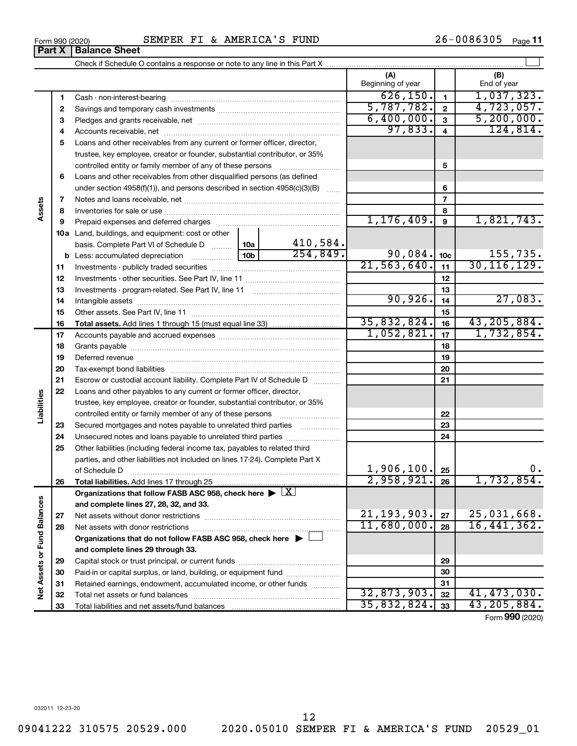**33**

|                             |    | basis. Complete Part VI of Schedule D                                                      | 10a             | 410,584.   |               |                 |               |
|-----------------------------|----|--------------------------------------------------------------------------------------------|-----------------|------------|---------------|-----------------|---------------|
|                             |    |                                                                                            | 10 <sub>b</sub> | 254,849.   | 90,084.       | 10 <sub>c</sub> | 155, 735.     |
|                             | 11 |                                                                                            |                 |            | 21,563,640.   | 11              | 30, 116, 129. |
|                             | 12 |                                                                                            |                 |            |               | 12              |               |
|                             | 13 |                                                                                            |                 |            |               | 13              |               |
|                             | 14 |                                                                                            |                 |            | 90,926.       | 14              | 27,083.       |
|                             | 15 |                                                                                            |                 |            |               | 15              |               |
|                             | 16 |                                                                                            |                 |            | 35,832,824.   | 16              | 43, 205, 884. |
|                             | 17 |                                                                                            |                 | 1,052,821. | 17            | 1,732,854.      |               |
|                             | 18 |                                                                                            |                 |            |               | 18              |               |
|                             | 19 |                                                                                            |                 |            | 19            |                 |               |
|                             | 20 |                                                                                            |                 |            | 20            |                 |               |
|                             | 21 | Escrow or custodial account liability. Complete Part IV of Schedule D                      |                 |            |               | 21              |               |
|                             | 22 | Loans and other payables to any current or former officer, director,                       |                 |            |               |                 |               |
|                             |    | trustee, key employee, creator or founder, substantial contributor, or 35%                 |                 |            |               |                 |               |
| Liabilities                 |    | controlled entity or family member of any of these persons                                 |                 |            |               | 22              |               |
|                             | 23 | Secured mortgages and notes payable to unrelated third parties <i>manumum</i>              |                 | 23         |               |                 |               |
|                             | 24 |                                                                                            |                 |            | 24            |                 |               |
|                             | 25 | Other liabilities (including federal income tax, payables to related third                 |                 |            |               |                 |               |
|                             |    | parties, and other liabilities not included on lines 17-24). Complete Part X               |                 |            |               |                 |               |
|                             |    | of Schedule D                                                                              |                 |            | 1,906,100.    | 25              | 0.            |
|                             | 26 |                                                                                            |                 |            | 2,958,921.    | 26              | 1,732,854.    |
|                             |    | Organizations that follow FASB ASC 958, check here $\blacktriangleright \lfloor X \rfloor$ |                 |            |               |                 |               |
|                             |    | and complete lines 27, 28, 32, and 33.                                                     |                 |            |               |                 |               |
|                             | 27 |                                                                                            |                 |            | 21, 193, 903. | 27              | 25,031,668.   |
|                             | 28 |                                                                                            |                 |            | 11,680,000.   | 28              | 16,441,362.   |
|                             |    | Organizations that do not follow FASB ASC 958, check here ▶ □                              |                 |            |               |                 |               |
|                             |    | and complete lines 29 through 33.                                                          |                 |            |               |                 |               |
|                             | 29 |                                                                                            |                 |            |               | 29              |               |
|                             | 30 | Paid-in or capital surplus, or land, building, or equipment fund <i></i>                   |                 |            |               | 30              |               |
| Net Assets or Fund Balances | 31 | Retained earnings, endowment, accumulated income, or other funds                           |                 |            | 31            |                 |               |
|                             | 32 |                                                                                            |                 |            | 32,873,903.   | 32              | 41,473,030.   |
|                             |    |                                                                                            |                 |            |               |                 |               |

#### Form 990 (2020) Page SEMPER FI & AMERICA'S FUND 26-0086305

**5** Loans and other receivables from any current or former officer, director,

trustee, key employee, creator or founder, substantial contributor, or 35% controlled entity or family member of any of these persons ~~~~~~~~~

under section 4958(f)(1)), and persons described in section 4958(c)(3)(B)  $\ldots$ Notes and loans receivable, net ~~~~~~~~~~~~~~~~~~~~~~~ Inventories for sale or use ~~~~~~~~~~~~~~~~~~~~~~~~~~ Prepaid expenses and deferred charges ~~~~~~~~~~~~~~~~~~

Check if Schedule O contains a response or note to any line in this Part X

Cash - non-interest-bearing ~~~~~~~~~~~~~~~~~~~~~~~~~ Savings and temporary cash investments ~~~~~~~~~~~~~~~~~~ Pledges and grants receivable, net ~~~~~~~~~~~~~~~~~~~~~ Accounts receivable, net ~~~~~~~~~~~~~~~~~~~~~~~~~~

**6** Loans and other receivables from other disqualified persons (as defined

**10 a** Land, buildings, and equipment: cost or other

Total liabilities and net assets/fund balances

 $\perp$ 

**(A) (B)**

Beginning of year | | End of year

 $626, 150. |11$ ,037,323.  $5,787,782.$  2 4,723,057 6,400,000. 5,200,000. 97,833. 4 124,814.

**5**

1,176,409. | 9 | 1,821,743

**33**

35,832,824. 43,205,884.

Form (2020) **990**

**Part X** | **Balance Sheet** 

**7 8 9**

**Assets**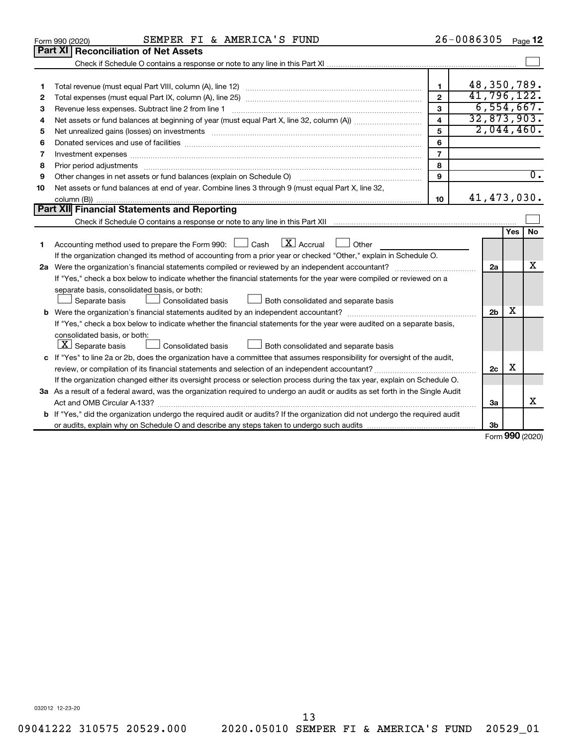|    | SEMPER FI & AMERICA'S FUND<br>Form 990 (2020)                                                                                                                                                                                  |                | 26-0086305     |     | Page 12             |
|----|--------------------------------------------------------------------------------------------------------------------------------------------------------------------------------------------------------------------------------|----------------|----------------|-----|---------------------|
|    | <b>Part XI Reconciliation of Net Assets</b>                                                                                                                                                                                    |                |                |     |                     |
|    |                                                                                                                                                                                                                                |                |                |     |                     |
|    |                                                                                                                                                                                                                                |                |                |     |                     |
| 1  |                                                                                                                                                                                                                                | 1              | 48,350,789.    |     |                     |
| 2  |                                                                                                                                                                                                                                | $\mathbf{2}$   | 41,796,122.    |     |                     |
| з  | Revenue less expenses. Subtract line 2 from line 1                                                                                                                                                                             | 3              | 6,554,667.     |     |                     |
| 4  |                                                                                                                                                                                                                                | 4<br>5         | 32,873,903.    |     |                     |
| 5  | Net unrealized gains (losses) on investments [111] matter in the contract of the contract of the contract of the contract of the contract of the contract of the contract of the contract of the contract of the contract of t | 2,044,460.     |                |     |                     |
| 6  |                                                                                                                                                                                                                                | 6              |                |     |                     |
| 7  | Investment expenses www.communication.com/www.communication.com/www.communication.com/www.com                                                                                                                                  | $\overline{7}$ |                |     |                     |
| 8  | Prior period adjustments www.communication.communication.com/news/communications/communications/communications                                                                                                                 | 8              |                |     |                     |
| 9  | Other changes in net assets or fund balances (explain on Schedule O)                                                                                                                                                           | 9              |                |     | $\overline{0}$ .    |
| 10 | Net assets or fund balances at end of year. Combine lines 3 through 9 (must equal Part X, line 32,                                                                                                                             |                |                |     |                     |
|    |                                                                                                                                                                                                                                | 10             | 41, 473, 030.  |     |                     |
|    | Part XII Financial Statements and Reporting                                                                                                                                                                                    |                |                |     |                     |
|    |                                                                                                                                                                                                                                |                |                |     |                     |
| 1  | $\lfloor \mathbf{X} \rfloor$ Accrual<br>Accounting method used to prepare the Form 990: [130] Cash<br>Other<br><b>Contract</b>                                                                                                 |                |                | Yes | No                  |
|    | If the organization changed its method of accounting from a prior year or checked "Other," explain in Schedule O.                                                                                                              |                |                |     |                     |
|    |                                                                                                                                                                                                                                |                | 2a             |     | x                   |
|    | If "Yes," check a box below to indicate whether the financial statements for the year were compiled or reviewed on a                                                                                                           |                |                |     |                     |
|    | separate basis, consolidated basis, or both:                                                                                                                                                                                   |                |                |     |                     |
|    | Consolidated basis<br>Both consolidated and separate basis<br>Separate basis                                                                                                                                                   |                |                |     |                     |
|    |                                                                                                                                                                                                                                |                | 2 <sub>b</sub> | x   |                     |
|    | If "Yes," check a box below to indicate whether the financial statements for the year were audited on a separate basis,                                                                                                        |                |                |     |                     |
|    | consolidated basis, or both:                                                                                                                                                                                                   |                |                |     |                     |
|    | $\lfloor x \rfloor$ Separate basis<br>Consolidated basis<br>Both consolidated and separate basis                                                                                                                               |                |                |     |                     |
|    | c If "Yes" to line 2a or 2b, does the organization have a committee that assumes responsibility for oversight of the audit,                                                                                                    |                |                |     |                     |
|    |                                                                                                                                                                                                                                |                | 2c             | х   |                     |
|    | If the organization changed either its oversight process or selection process during the tax year, explain on Schedule O.                                                                                                      |                |                |     |                     |
|    | 3a As a result of a federal award, was the organization required to undergo an audit or audits as set forth in the Single Audit                                                                                                |                |                |     |                     |
|    |                                                                                                                                                                                                                                |                | 3a             |     | х                   |
|    | <b>b</b> If "Yes," did the organization undergo the required audit or audits? If the organization did not undergo the required audit                                                                                           |                |                |     |                     |
|    |                                                                                                                                                                                                                                |                | 3b             |     |                     |
|    |                                                                                                                                                                                                                                |                |                |     | $000 \text{ hours}$ |

Form (2020) **990**

032012 12-23-20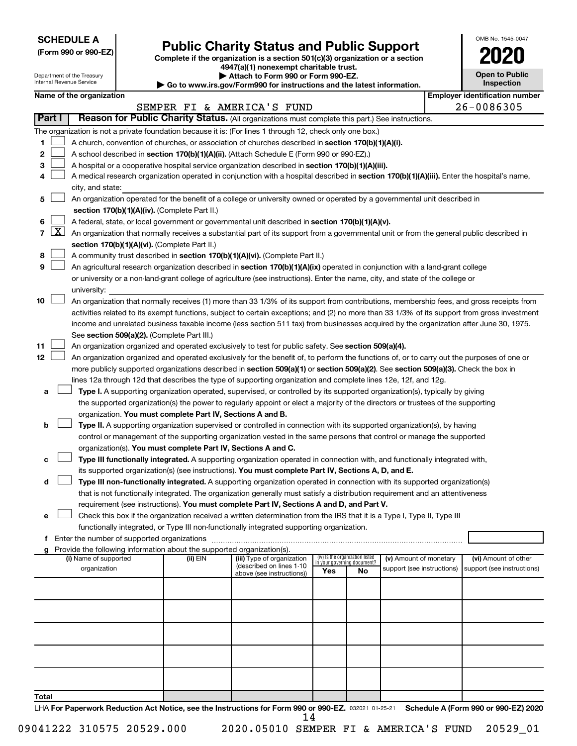**SCHEDULE A**

# **Public Charity Status and Public Support 2020**

**(Form 990 or 990-EZ) Complete if the organization is a section 501(c)(3) organization or a section**

**4947(a)(1) nonexempt charitable trust.**

| OMB No. 1545-0047                   |
|-------------------------------------|
| U2                                  |
| <b>Open to Public</b><br>Inspection |
|                                     |

|       |                 | Department of the Treasury<br>Internal Revenue Service |                                                                        | Attach to Form 990 or Form 990-EZ.<br>Go to www.irs.gov/Form990 for instructions and the latest information.                                                                                                                                                   |                                                                |    |                            | <b>Open to Public</b><br><b>Inspection</b> |
|-------|-----------------|--------------------------------------------------------|------------------------------------------------------------------------|----------------------------------------------------------------------------------------------------------------------------------------------------------------------------------------------------------------------------------------------------------------|----------------------------------------------------------------|----|----------------------------|--------------------------------------------|
|       |                 | Name of the organization                               |                                                                        |                                                                                                                                                                                                                                                                |                                                                |    |                            | <b>Employer identification number</b>      |
|       |                 |                                                        |                                                                        | SEMPER FI & AMERICA'S FUND                                                                                                                                                                                                                                     |                                                                |    |                            | 26-0086305                                 |
|       | Part I          |                                                        |                                                                        | Reason for Public Charity Status. (All organizations must complete this part.) See instructions.                                                                                                                                                               |                                                                |    |                            |                                            |
|       |                 |                                                        |                                                                        | The organization is not a private foundation because it is: (For lines 1 through 12, check only one box.)                                                                                                                                                      |                                                                |    |                            |                                            |
| 1     |                 |                                                        |                                                                        | A church, convention of churches, or association of churches described in section 170(b)(1)(A)(i).                                                                                                                                                             |                                                                |    |                            |                                            |
| 2     |                 |                                                        |                                                                        | A school described in section 170(b)(1)(A)(ii). (Attach Schedule E (Form 990 or 990-EZ).)                                                                                                                                                                      |                                                                |    |                            |                                            |
| з     |                 |                                                        |                                                                        | A hospital or a cooperative hospital service organization described in section 170(b)(1)(A)(iii).                                                                                                                                                              |                                                                |    |                            |                                            |
| 4     |                 |                                                        |                                                                        | A medical research organization operated in conjunction with a hospital described in section 170(b)(1)(A)(iii). Enter the hospital's name,                                                                                                                     |                                                                |    |                            |                                            |
|       |                 | city, and state:                                       |                                                                        |                                                                                                                                                                                                                                                                |                                                                |    |                            |                                            |
| 5     |                 |                                                        |                                                                        | An organization operated for the benefit of a college or university owned or operated by a governmental unit described in                                                                                                                                      |                                                                |    |                            |                                            |
|       |                 |                                                        | section 170(b)(1)(A)(iv). (Complete Part II.)                          |                                                                                                                                                                                                                                                                |                                                                |    |                            |                                            |
| 6     |                 |                                                        |                                                                        | A federal, state, or local government or governmental unit described in section 170(b)(1)(A)(v).                                                                                                                                                               |                                                                |    |                            |                                            |
|       | $7 \mid X \mid$ |                                                        |                                                                        | An organization that normally receives a substantial part of its support from a governmental unit or from the general public described in                                                                                                                      |                                                                |    |                            |                                            |
| 8     |                 |                                                        | section 170(b)(1)(A)(vi). (Complete Part II.)                          | A community trust described in section 170(b)(1)(A)(vi). (Complete Part II.)                                                                                                                                                                                   |                                                                |    |                            |                                            |
| 9     |                 |                                                        |                                                                        | An agricultural research organization described in section 170(b)(1)(A)(ix) operated in conjunction with a land-grant college                                                                                                                                  |                                                                |    |                            |                                            |
|       |                 |                                                        |                                                                        | or university or a non-land-grant college of agriculture (see instructions). Enter the name, city, and state of the college or                                                                                                                                 |                                                                |    |                            |                                            |
|       |                 | university:                                            |                                                                        |                                                                                                                                                                                                                                                                |                                                                |    |                            |                                            |
| 10    |                 |                                                        |                                                                        | An organization that normally receives (1) more than 33 1/3% of its support from contributions, membership fees, and gross receipts from                                                                                                                       |                                                                |    |                            |                                            |
|       |                 |                                                        |                                                                        | activities related to its exempt functions, subject to certain exceptions; and (2) no more than 33 1/3% of its support from gross investment                                                                                                                   |                                                                |    |                            |                                            |
|       |                 |                                                        |                                                                        | income and unrelated business taxable income (less section 511 tax) from businesses acquired by the organization after June 30, 1975.                                                                                                                          |                                                                |    |                            |                                            |
|       |                 |                                                        | See section 509(a)(2). (Complete Part III.)                            |                                                                                                                                                                                                                                                                |                                                                |    |                            |                                            |
| 11    |                 |                                                        |                                                                        | An organization organized and operated exclusively to test for public safety. See section 509(a)(4).                                                                                                                                                           |                                                                |    |                            |                                            |
| 12    |                 |                                                        |                                                                        | An organization organized and operated exclusively for the benefit of, to perform the functions of, or to carry out the purposes of one or                                                                                                                     |                                                                |    |                            |                                            |
|       |                 |                                                        |                                                                        | more publicly supported organizations described in section 509(a)(1) or section 509(a)(2). See section 509(a)(3). Check the box in                                                                                                                             |                                                                |    |                            |                                            |
|       |                 |                                                        |                                                                        | lines 12a through 12d that describes the type of supporting organization and complete lines 12e, 12f, and 12g.                                                                                                                                                 |                                                                |    |                            |                                            |
| а     |                 |                                                        |                                                                        | Type I. A supporting organization operated, supervised, or controlled by its supported organization(s), typically by giving<br>the supported organization(s) the power to regularly appoint or elect a majority of the directors or trustees of the supporting |                                                                |    |                            |                                            |
|       |                 |                                                        | organization. You must complete Part IV, Sections A and B.             |                                                                                                                                                                                                                                                                |                                                                |    |                            |                                            |
| b     |                 |                                                        |                                                                        | Type II. A supporting organization supervised or controlled in connection with its supported organization(s), by having                                                                                                                                        |                                                                |    |                            |                                            |
|       |                 |                                                        |                                                                        | control or management of the supporting organization vested in the same persons that control or manage the supported                                                                                                                                           |                                                                |    |                            |                                            |
|       |                 |                                                        | organization(s). You must complete Part IV, Sections A and C.          |                                                                                                                                                                                                                                                                |                                                                |    |                            |                                            |
| с     |                 |                                                        |                                                                        | Type III functionally integrated. A supporting organization operated in connection with, and functionally integrated with,                                                                                                                                     |                                                                |    |                            |                                            |
|       |                 |                                                        |                                                                        | its supported organization(s) (see instructions). You must complete Part IV, Sections A, D, and E.                                                                                                                                                             |                                                                |    |                            |                                            |
| d     |                 |                                                        |                                                                        | Type III non-functionally integrated. A supporting organization operated in connection with its supported organization(s)                                                                                                                                      |                                                                |    |                            |                                            |
|       |                 |                                                        |                                                                        | that is not functionally integrated. The organization generally must satisfy a distribution requirement and an attentiveness                                                                                                                                   |                                                                |    |                            |                                            |
|       |                 |                                                        |                                                                        | requirement (see instructions). You must complete Part IV, Sections A and D, and Part V.                                                                                                                                                                       |                                                                |    |                            |                                            |
| е     |                 |                                                        |                                                                        | Check this box if the organization received a written determination from the IRS that it is a Type I, Type II, Type III                                                                                                                                        |                                                                |    |                            |                                            |
|       |                 |                                                        |                                                                        | functionally integrated, or Type III non-functionally integrated supporting organization.                                                                                                                                                                      |                                                                |    |                            |                                            |
|       |                 |                                                        | Provide the following information about the supported organization(s). |                                                                                                                                                                                                                                                                |                                                                |    |                            |                                            |
|       |                 | (i) Name of supported                                  | (ii) EIN                                                               | (iii) Type of organization                                                                                                                                                                                                                                     | (iv) Is the organization listed<br>in your governing document? |    | (v) Amount of monetary     | (vi) Amount of other                       |
|       |                 | organization                                           |                                                                        | (described on lines 1-10<br>above (see instructions))                                                                                                                                                                                                          | Yes                                                            | No | support (see instructions) | support (see instructions)                 |
|       |                 |                                                        |                                                                        |                                                                                                                                                                                                                                                                |                                                                |    |                            |                                            |
|       |                 |                                                        |                                                                        |                                                                                                                                                                                                                                                                |                                                                |    |                            |                                            |
|       |                 |                                                        |                                                                        |                                                                                                                                                                                                                                                                |                                                                |    |                            |                                            |
|       |                 |                                                        |                                                                        |                                                                                                                                                                                                                                                                |                                                                |    |                            |                                            |
|       |                 |                                                        |                                                                        |                                                                                                                                                                                                                                                                |                                                                |    |                            |                                            |
|       |                 |                                                        |                                                                        |                                                                                                                                                                                                                                                                |                                                                |    |                            |                                            |
|       |                 |                                                        |                                                                        |                                                                                                                                                                                                                                                                |                                                                |    |                            |                                            |
|       |                 |                                                        |                                                                        |                                                                                                                                                                                                                                                                |                                                                |    |                            |                                            |
|       |                 |                                                        |                                                                        |                                                                                                                                                                                                                                                                |                                                                |    |                            |                                            |
| Total |                 |                                                        |                                                                        |                                                                                                                                                                                                                                                                |                                                                |    |                            |                                            |

LHA For Paperwork Reduction Act Notice, see the Instructions for Form 990 or 990-EZ. 032021 01-25-21 Schedule A (Form 990 or 990-EZ) 2020 14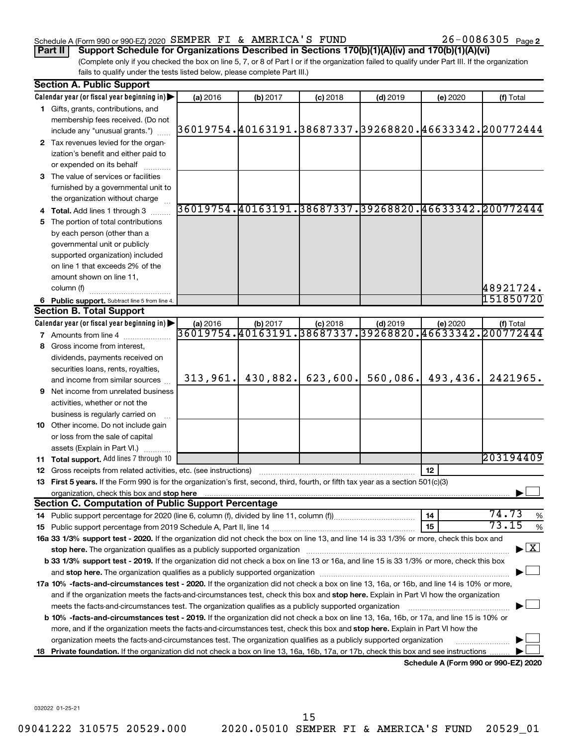#### Schedule A (Form 990 or 990-EZ) 2020 SEMPER FI & AMERICA'S FUND  $26-0086305$  Page

26-0086305 Page 2

(Complete only if you checked the box on line 5, 7, or 8 of Part I or if the organization failed to qualify under Part III. If the organization fails to qualify under the tests listed below, please complete Part III.) **Part II Support Schedule for Organizations Described in Sections 170(b)(1)(A)(iv) and 170(b)(1)(A)(vi)**

|    | <b>Section A. Public Support</b>                                                                                                                                                                                                                       |                                                        |          |            |                                      |                                      |                                                                  |  |  |  |  |
|----|--------------------------------------------------------------------------------------------------------------------------------------------------------------------------------------------------------------------------------------------------------|--------------------------------------------------------|----------|------------|--------------------------------------|--------------------------------------|------------------------------------------------------------------|--|--|--|--|
|    | Calendar year (or fiscal year beginning in)                                                                                                                                                                                                            | (a) 2016                                               | (b) 2017 | $(c)$ 2018 | $(d)$ 2019                           | (e) 2020                             | (f) Total                                                        |  |  |  |  |
|    | 1 Gifts, grants, contributions, and                                                                                                                                                                                                                    |                                                        |          |            |                                      |                                      |                                                                  |  |  |  |  |
|    | membership fees received. (Do not                                                                                                                                                                                                                      |                                                        |          |            |                                      |                                      |                                                                  |  |  |  |  |
|    | include any "unusual grants.")                                                                                                                                                                                                                         |                                                        |          |            |                                      |                                      | 36019754.  40163191.  38687337.  39268820.  46633342.  200772444 |  |  |  |  |
|    | 2 Tax revenues levied for the organ-                                                                                                                                                                                                                   |                                                        |          |            |                                      |                                      |                                                                  |  |  |  |  |
|    | ization's benefit and either paid to                                                                                                                                                                                                                   |                                                        |          |            |                                      |                                      |                                                                  |  |  |  |  |
|    | or expended on its behalf                                                                                                                                                                                                                              |                                                        |          |            |                                      |                                      |                                                                  |  |  |  |  |
|    | 3 The value of services or facilities                                                                                                                                                                                                                  |                                                        |          |            |                                      |                                      |                                                                  |  |  |  |  |
|    | furnished by a governmental unit to                                                                                                                                                                                                                    |                                                        |          |            |                                      |                                      |                                                                  |  |  |  |  |
|    | the organization without charge                                                                                                                                                                                                                        |                                                        |          |            |                                      |                                      |                                                                  |  |  |  |  |
|    | Total. Add lines 1 through 3                                                                                                                                                                                                                           | 36019754.40163191.38687337.39268820.46633342.200772444 |          |            |                                      |                                      |                                                                  |  |  |  |  |
| 5  | The portion of total contributions                                                                                                                                                                                                                     |                                                        |          |            |                                      |                                      |                                                                  |  |  |  |  |
|    | by each person (other than a                                                                                                                                                                                                                           |                                                        |          |            |                                      |                                      |                                                                  |  |  |  |  |
|    | governmental unit or publicly                                                                                                                                                                                                                          |                                                        |          |            |                                      |                                      |                                                                  |  |  |  |  |
|    | supported organization) included                                                                                                                                                                                                                       |                                                        |          |            |                                      |                                      |                                                                  |  |  |  |  |
|    | on line 1 that exceeds 2% of the                                                                                                                                                                                                                       |                                                        |          |            |                                      |                                      |                                                                  |  |  |  |  |
|    | amount shown on line 11,                                                                                                                                                                                                                               |                                                        |          |            |                                      |                                      |                                                                  |  |  |  |  |
|    | column (f)                                                                                                                                                                                                                                             |                                                        |          |            |                                      |                                      | 48921724.                                                        |  |  |  |  |
|    | 6 Public support. Subtract line 5 from line 4.                                                                                                                                                                                                         |                                                        |          |            |                                      |                                      | 151850720                                                        |  |  |  |  |
|    | <b>Section B. Total Support</b>                                                                                                                                                                                                                        |                                                        |          |            |                                      |                                      |                                                                  |  |  |  |  |
|    | Calendar year (or fiscal year beginning in)                                                                                                                                                                                                            | (a) 2016                                               | (b) 2017 | (c) 2018   | $(d)$ 2019                           | (e) 2020                             | (f) Total                                                        |  |  |  |  |
|    | <b>7</b> Amounts from line 4                                                                                                                                                                                                                           | 36019754.40163191                                      |          |            | 38687337.39268820.46633342.200772444 |                                      |                                                                  |  |  |  |  |
| 8  | Gross income from interest,                                                                                                                                                                                                                            |                                                        |          |            |                                      |                                      |                                                                  |  |  |  |  |
|    | dividends, payments received on                                                                                                                                                                                                                        |                                                        |          |            |                                      |                                      |                                                                  |  |  |  |  |
|    | securities loans, rents, royalties,                                                                                                                                                                                                                    |                                                        |          |            |                                      |                                      |                                                                  |  |  |  |  |
|    | and income from similar sources                                                                                                                                                                                                                        | 313,961.                                               | 430,882. | 623,600.   | 560,086.                             | 493,436.                             | 2421965.                                                         |  |  |  |  |
| 9  | Net income from unrelated business                                                                                                                                                                                                                     |                                                        |          |            |                                      |                                      |                                                                  |  |  |  |  |
|    | activities, whether or not the                                                                                                                                                                                                                         |                                                        |          |            |                                      |                                      |                                                                  |  |  |  |  |
|    | business is regularly carried on                                                                                                                                                                                                                       |                                                        |          |            |                                      |                                      |                                                                  |  |  |  |  |
|    | 10 Other income. Do not include gain                                                                                                                                                                                                                   |                                                        |          |            |                                      |                                      |                                                                  |  |  |  |  |
|    | or loss from the sale of capital                                                                                                                                                                                                                       |                                                        |          |            |                                      |                                      |                                                                  |  |  |  |  |
|    | assets (Explain in Part VI.)                                                                                                                                                                                                                           |                                                        |          |            |                                      |                                      |                                                                  |  |  |  |  |
|    | <b>11 Total support.</b> Add lines 7 through 10                                                                                                                                                                                                        |                                                        |          |            |                                      |                                      | 203194409                                                        |  |  |  |  |
|    | <b>12</b> Gross receipts from related activities, etc. (see instructions)                                                                                                                                                                              |                                                        |          |            |                                      | 12                                   |                                                                  |  |  |  |  |
|    | 13 First 5 years. If the Form 990 is for the organization's first, second, third, fourth, or fifth tax year as a section 501(c)(3)                                                                                                                     |                                                        |          |            |                                      |                                      |                                                                  |  |  |  |  |
|    | organization, check this box and stop here                                                                                                                                                                                                             |                                                        |          |            |                                      |                                      |                                                                  |  |  |  |  |
|    | <b>Section C. Computation of Public Support Percentage</b>                                                                                                                                                                                             |                                                        |          |            |                                      |                                      | 74.73                                                            |  |  |  |  |
|    | 14 Public support percentage for 2020 (line 6, column (f), divided by line 11, column (f)                                                                                                                                                              |                                                        |          |            |                                      | 14                                   | %<br>73.15                                                       |  |  |  |  |
|    |                                                                                                                                                                                                                                                        |                                                        |          |            |                                      | 15                                   | $\%$                                                             |  |  |  |  |
|    | 16a 33 1/3% support test - 2020. If the organization did not check the box on line 13, and line 14 is 33 1/3% or more, check this box and                                                                                                              |                                                        |          |            |                                      |                                      | $\mathbf{X}$                                                     |  |  |  |  |
|    | stop here. The organization qualifies as a publicly supported organization<br>b 33 1/3% support test - 2019. If the organization did not check a box on line 13 or 16a, and line 15 is 33 1/3% or more, check this box                                 |                                                        |          |            |                                      |                                      |                                                                  |  |  |  |  |
|    |                                                                                                                                                                                                                                                        |                                                        |          |            |                                      |                                      |                                                                  |  |  |  |  |
|    |                                                                                                                                                                                                                                                        |                                                        |          |            |                                      |                                      |                                                                  |  |  |  |  |
|    | 17a 10% -facts-and-circumstances test - 2020. If the organization did not check a box on line 13, 16a, or 16b, and line 14 is 10% or more,                                                                                                             |                                                        |          |            |                                      |                                      |                                                                  |  |  |  |  |
|    | and if the organization meets the facts-and-circumstances test, check this box and stop here. Explain in Part VI how the organization<br>meets the facts-and-circumstances test. The organization qualifies as a publicly supported organization       |                                                        |          |            |                                      |                                      |                                                                  |  |  |  |  |
|    | b 10% -facts-and-circumstances test - 2019. If the organization did not check a box on line 13, 16a, 16b, or 17a, and line 15 is 10% or                                                                                                                |                                                        |          |            |                                      |                                      |                                                                  |  |  |  |  |
|    |                                                                                                                                                                                                                                                        |                                                        |          |            |                                      |                                      |                                                                  |  |  |  |  |
|    | more, and if the organization meets the facts-and-circumstances test, check this box and stop here. Explain in Part VI how the<br>organization meets the facts-and-circumstances test. The organization qualifies as a publicly supported organization |                                                        |          |            |                                      |                                      |                                                                  |  |  |  |  |
| 18 | Private foundation. If the organization did not check a box on line 13, 16a, 16b, 17a, or 17b, check this box and see instructions                                                                                                                     |                                                        |          |            |                                      |                                      |                                                                  |  |  |  |  |
|    |                                                                                                                                                                                                                                                        |                                                        |          |            |                                      | Schedule A (Form 990 or 990-EZ) 2020 |                                                                  |  |  |  |  |

032022 01-25-21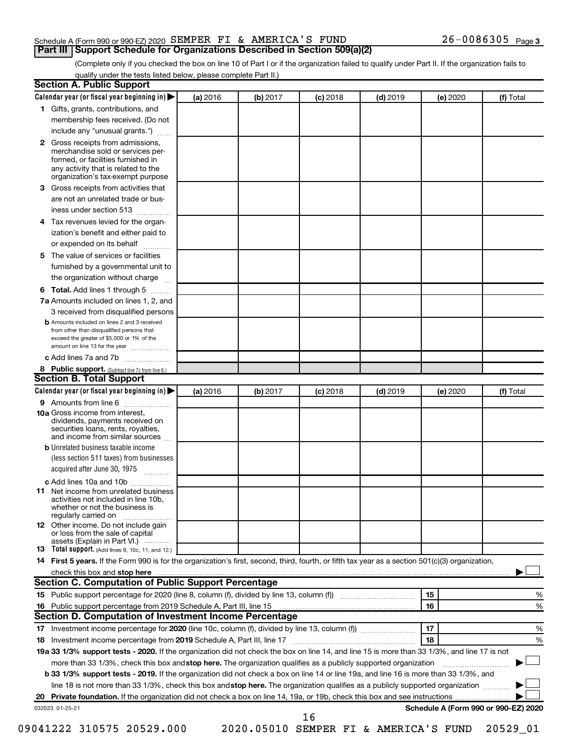|  | Schedule A (Form 990 or 990-EZ) 2020 SEMPER FI & AMERICA'S FUND                   |  |  | $26 - 0086305$ Page 3 |  |
|--|-----------------------------------------------------------------------------------|--|--|-----------------------|--|
|  | <b>Part III Support Schedule for Organizations Described in Section 509(a)(2)</b> |  |  |                       |  |

(Complete only if you checked the box on line 10 of Part I or if the organization failed to qualify under Part II. If the organization fails to qualify under the tests listed below, please complete Part II.)

| <b>Section A. Public Support</b>                                                                                                                                                                                         |          |          |            |            |          |                                      |
|--------------------------------------------------------------------------------------------------------------------------------------------------------------------------------------------------------------------------|----------|----------|------------|------------|----------|--------------------------------------|
| Calendar year (or fiscal year beginning in)                                                                                                                                                                              | (a) 2016 | (b) 2017 | $(c)$ 2018 | $(d)$ 2019 | (e) 2020 | (f) Total                            |
| 1 Gifts, grants, contributions, and                                                                                                                                                                                      |          |          |            |            |          |                                      |
| membership fees received. (Do not                                                                                                                                                                                        |          |          |            |            |          |                                      |
| include any "unusual grants.")                                                                                                                                                                                           |          |          |            |            |          |                                      |
| <b>2</b> Gross receipts from admissions,<br>merchandise sold or services per-<br>formed, or facilities furnished in<br>any activity that is related to the<br>organization's tax-exempt purpose                          |          |          |            |            |          |                                      |
| 3 Gross receipts from activities that                                                                                                                                                                                    |          |          |            |            |          |                                      |
| are not an unrelated trade or bus-                                                                                                                                                                                       |          |          |            |            |          |                                      |
| iness under section 513                                                                                                                                                                                                  |          |          |            |            |          |                                      |
| 4 Tax revenues levied for the organ-                                                                                                                                                                                     |          |          |            |            |          |                                      |
| ization's benefit and either paid to                                                                                                                                                                                     |          |          |            |            |          |                                      |
| or expended on its behalf                                                                                                                                                                                                |          |          |            |            |          |                                      |
| 5 The value of services or facilities                                                                                                                                                                                    |          |          |            |            |          |                                      |
| furnished by a governmental unit to                                                                                                                                                                                      |          |          |            |            |          |                                      |
| the organization without charge                                                                                                                                                                                          |          |          |            |            |          |                                      |
| 6 Total. Add lines 1 through 5                                                                                                                                                                                           |          |          |            |            |          |                                      |
| 7a Amounts included on lines 1, 2, and                                                                                                                                                                                   |          |          |            |            |          |                                      |
| 3 received from disqualified persons                                                                                                                                                                                     |          |          |            |            |          |                                      |
| <b>b</b> Amounts included on lines 2 and 3 received<br>from other than disqualified persons that<br>exceed the greater of \$5,000 or 1% of the<br>amount on line 13 for the year                                         |          |          |            |            |          |                                      |
| c Add lines 7a and 7b                                                                                                                                                                                                    |          |          |            |            |          |                                      |
| 8 Public support. (Subtract line 7c from line 6.)                                                                                                                                                                        |          |          |            |            |          |                                      |
| <b>Section B. Total Support</b>                                                                                                                                                                                          |          |          |            |            |          |                                      |
| Calendar year (or fiscal year beginning in)                                                                                                                                                                              | (a) 2016 | (b) 2017 | $(c)$ 2018 | $(d)$ 2019 | (e) 2020 | (f) Total                            |
| 9 Amounts from line 6                                                                                                                                                                                                    |          |          |            |            |          |                                      |
| <b>10a</b> Gross income from interest,<br>dividends, payments received on<br>securities loans, rents, royalties,<br>and income from similar sources                                                                      |          |          |            |            |          |                                      |
| <b>b</b> Unrelated business taxable income<br>(less section 511 taxes) from businesses<br>acquired after June 30, 1975                                                                                                   |          |          |            |            |          |                                      |
| c Add lines 10a and 10b<br><b>11</b> Net income from unrelated business<br>activities not included in line 10b.<br>whether or not the business is<br>regularly carried on<br><b>12</b> Other income. Do not include gain |          |          |            |            |          |                                      |
| or loss from the sale of capital<br>assets (Explain in Part VI.)                                                                                                                                                         |          |          |            |            |          |                                      |
| <b>13</b> Total support. (Add lines 9, 10c, 11, and 12.)                                                                                                                                                                 |          |          |            |            |          |                                      |
| 14 First 5 years. If the Form 990 is for the organization's first, second, third, fourth, or fifth tax year as a section 501(c)(3) organization,                                                                         |          |          |            |            |          |                                      |
| check this box and stop here <b>contained and the contained and starting and stop here</b> check this box and stop here                                                                                                  |          |          |            |            |          |                                      |
| Section C. Computation of Public Support Percentage                                                                                                                                                                      |          |          |            |            |          |                                      |
|                                                                                                                                                                                                                          |          |          |            |            | 15       | ℅                                    |
| 16 Public support percentage from 2019 Schedule A, Part III, line 15                                                                                                                                                     |          |          |            |            | 16       | %                                    |
| Section D. Computation of Investment Income Percentage                                                                                                                                                                   |          |          |            |            |          |                                      |
|                                                                                                                                                                                                                          |          |          |            |            | 17       | %                                    |
| 18 Investment income percentage from 2019 Schedule A, Part III, line 17                                                                                                                                                  |          |          |            |            | 18       | %                                    |
| 19a 33 1/3% support tests - 2020. If the organization did not check the box on line 14, and line 15 is more than 33 1/3%, and line 17 is not                                                                             |          |          |            |            |          |                                      |
| more than 33 1/3%, check this box and stop here. The organization qualifies as a publicly supported organization                                                                                                         |          |          |            |            |          |                                      |
| <b>b 33 1/3% support tests - 2019.</b> If the organization did not check a box on line 14 or line 19a, and line 16 is more than 33 1/3%, and                                                                             |          |          |            |            |          |                                      |
| line 18 is not more than 33 1/3%, check this box and stop here. The organization qualifies as a publicly supported organization                                                                                          |          |          |            |            |          |                                      |
|                                                                                                                                                                                                                          |          |          |            |            |          |                                      |
| 032023 01-25-21                                                                                                                                                                                                          |          |          |            |            |          | Schedule A (Form 990 or 990-EZ) 2020 |
|                                                                                                                                                                                                                          |          |          | 16         |            |          |                                      |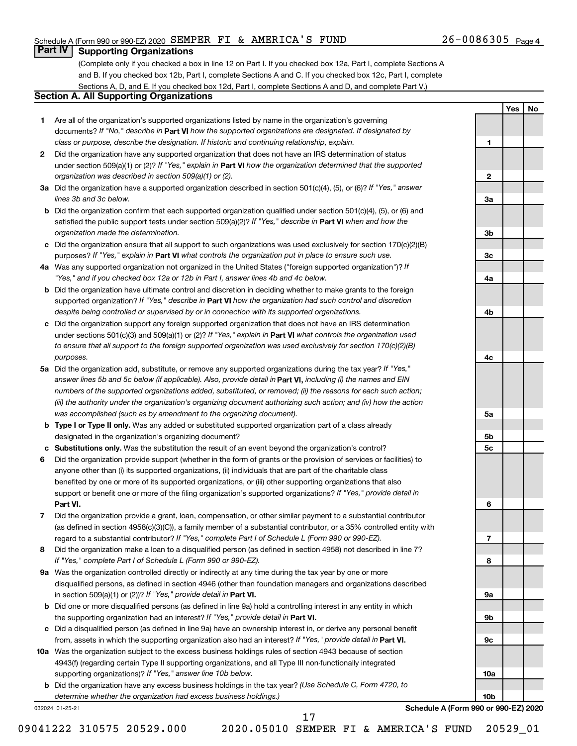**1**

**2**

**3a**

**3b**

**3c**

**4a**

**4b**

**4c**

**5a**

**5b 5c**

**6**

**7**

**8**

**9a**

**9b**

**9c**

**10a**

**10b**

**Yes No**

### **Part IV Supporting Organizations**

(Complete only if you checked a box in line 12 on Part I. If you checked box 12a, Part I, complete Sections A and B. If you checked box 12b, Part I, complete Sections A and C. If you checked box 12c, Part I, complete Sections A, D, and E. If you checked box 12d, Part I, complete Sections A and D, and complete Part V.)

### **Section A. All Supporting Organizations**

- **1** Are all of the organization's supported organizations listed by name in the organization's governing documents? If "No," describe in Part VI how the supported organizations are designated. If designated by *class or purpose, describe the designation. If historic and continuing relationship, explain.*
- **2** Did the organization have any supported organization that does not have an IRS determination of status under section 509(a)(1) or (2)? If "Yes," explain in Part **VI** how the organization determined that the supported *organization was described in section 509(a)(1) or (2).*
- **3a** Did the organization have a supported organization described in section 501(c)(4), (5), or (6)? If "Yes," answer *lines 3b and 3c below.*
- **b** Did the organization confirm that each supported organization qualified under section 501(c)(4), (5), or (6) and satisfied the public support tests under section 509(a)(2)? If "Yes," describe in Part VI when and how the *organization made the determination.*
- **c** Did the organization ensure that all support to such organizations was used exclusively for section 170(c)(2)(B) purposes? If "Yes," explain in Part VI what controls the organization put in place to ensure such use.
- **4 a** *If* Was any supported organization not organized in the United States ("foreign supported organization")? *"Yes," and if you checked box 12a or 12b in Part I, answer lines 4b and 4c below.*
- **b** Did the organization have ultimate control and discretion in deciding whether to make grants to the foreign supported organization? If "Yes," describe in Part VI how the organization had such control and discretion *despite being controlled or supervised by or in connection with its supported organizations.*
- **c** Did the organization support any foreign supported organization that does not have an IRS determination under sections 501(c)(3) and 509(a)(1) or (2)? If "Yes," explain in Part VI what controls the organization used *to ensure that all support to the foreign supported organization was used exclusively for section 170(c)(2)(B) purposes.*
- **5a** Did the organization add, substitute, or remove any supported organizations during the tax year? If "Yes," answer lines 5b and 5c below (if applicable). Also, provide detail in **Part VI,** including (i) the names and EIN *numbers of the supported organizations added, substituted, or removed; (ii) the reasons for each such action; (iii) the authority under the organization's organizing document authorizing such action; and (iv) how the action was accomplished (such as by amendment to the organizing document).*
- **b** Type I or Type II only. Was any added or substituted supported organization part of a class already designated in the organization's organizing document?
- **c Substitutions only.**  Was the substitution the result of an event beyond the organization's control?
- **6** Did the organization provide support (whether in the form of grants or the provision of services or facilities) to **Part VI.** support or benefit one or more of the filing organization's supported organizations? If "Yes," provide detail in anyone other than (i) its supported organizations, (ii) individuals that are part of the charitable class benefited by one or more of its supported organizations, or (iii) other supporting organizations that also
- **7** Did the organization provide a grant, loan, compensation, or other similar payment to a substantial contributor regard to a substantial contributor? If "Yes," complete Part I of Schedule L (Form 990 or 990-EZ). (as defined in section 4958(c)(3)(C)), a family member of a substantial contributor, or a 35% controlled entity with
- **8** Did the organization make a loan to a disqualified person (as defined in section 4958) not described in line 7? *If "Yes," complete Part I of Schedule L (Form 990 or 990-EZ).*
- **9 a** Was the organization controlled directly or indirectly at any time during the tax year by one or more in section 509(a)(1) or (2))? If "Yes," provide detail in **Part VI.** disqualified persons, as defined in section 4946 (other than foundation managers and organizations described
- **b** Did one or more disqualified persons (as defined in line 9a) hold a controlling interest in any entity in which the supporting organization had an interest? If "Yes," provide detail in Part VI.
- **c** Did a disqualified person (as defined in line 9a) have an ownership interest in, or derive any personal benefit from, assets in which the supporting organization also had an interest? If "Yes," provide detail in Part VI.
- **10 a** Was the organization subject to the excess business holdings rules of section 4943 because of section supporting organizations)? If "Yes," answer line 10b below. 4943(f) (regarding certain Type II supporting organizations, and all Type III non-functionally integrated
	- **b** Did the organization have any excess business holdings in the tax year? (Use Schedule C, Form 4720, to *determine whether the organization had excess business holdings.)*

032024 01-25-21

**Schedule A (Form 990 or 990-EZ) 2020**

09041222 310575 20529.000 2020.05010 SEMPER FI & AMERICA'S FUND 20529\_01

17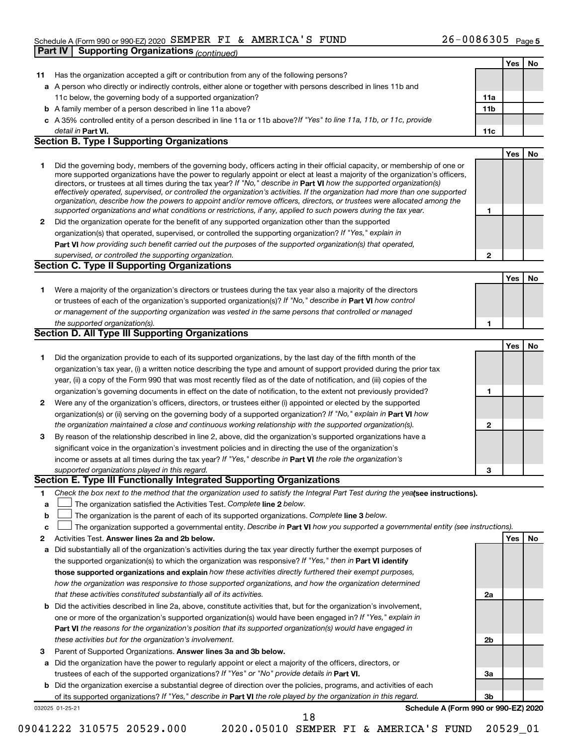#### Schedule A (Form 990 or 990-EZ) 2020 SEMPER FI & AMERICA'S FUND  $26-0086305$  Page **Part IV Supporting Organizations** *(continued)*

|              |                                                                                                                                                                                                                                              |     | Yes | No        |
|--------------|----------------------------------------------------------------------------------------------------------------------------------------------------------------------------------------------------------------------------------------------|-----|-----|-----------|
| 11           | Has the organization accepted a gift or contribution from any of the following persons?                                                                                                                                                      |     |     |           |
|              | a A person who directly or indirectly controls, either alone or together with persons described in lines 11b and                                                                                                                             |     |     |           |
|              | 11c below, the governing body of a supported organization?                                                                                                                                                                                   | 11a |     |           |
|              | <b>b</b> A family member of a person described in line 11a above?                                                                                                                                                                            | 11b |     |           |
|              | c A 35% controlled entity of a person described in line 11a or 11b above?If "Yes" to line 11a, 11b, or 11c, provide                                                                                                                          |     |     |           |
|              | detail in Part VI.                                                                                                                                                                                                                           | 11c |     |           |
|              | <b>Section B. Type I Supporting Organizations</b>                                                                                                                                                                                            |     |     |           |
|              |                                                                                                                                                                                                                                              |     | Yes | No        |
| 1.           | Did the governing body, members of the governing body, officers acting in their official capacity, or membership of one or                                                                                                                   |     |     |           |
|              | more supported organizations have the power to regularly appoint or elect at least a majority of the organization's officers,                                                                                                                |     |     |           |
|              | directors, or trustees at all times during the tax year? If "No," describe in Part VI how the supported organization(s)                                                                                                                      |     |     |           |
|              | effectively operated, supervised, or controlled the organization's activities. If the organization had more than one supported                                                                                                               |     |     |           |
|              | organization, describe how the powers to appoint and/or remove officers, directors, or trustees were allocated among the<br>supported organizations and what conditions or restrictions, if any, applied to such powers during the tax year. | 1   |     |           |
| $\mathbf{2}$ | Did the organization operate for the benefit of any supported organization other than the supported                                                                                                                                          |     |     |           |
|              | organization(s) that operated, supervised, or controlled the supporting organization? If "Yes," explain in                                                                                                                                   |     |     |           |
|              | Part VI how providing such benefit carried out the purposes of the supported organization(s) that operated,                                                                                                                                  |     |     |           |
|              | supervised, or controlled the supporting organization.                                                                                                                                                                                       | 2   |     |           |
|              | <b>Section C. Type II Supporting Organizations</b>                                                                                                                                                                                           |     |     |           |
|              |                                                                                                                                                                                                                                              |     | Yes | No        |
| 1.           | Were a majority of the organization's directors or trustees during the tax year also a majority of the directors                                                                                                                             |     |     |           |
|              | or trustees of each of the organization's supported organization(s)? If "No," describe in Part VI how control                                                                                                                                |     |     |           |
|              | or management of the supporting organization was vested in the same persons that controlled or managed                                                                                                                                       |     |     |           |
|              | the supported organization(s).                                                                                                                                                                                                               | 1   |     |           |
|              | <b>Section D. All Type III Supporting Organizations</b>                                                                                                                                                                                      |     |     |           |
|              |                                                                                                                                                                                                                                              |     | Yes | <b>No</b> |
| 1.           | Did the organization provide to each of its supported organizations, by the last day of the fifth month of the                                                                                                                               |     |     |           |
|              | organization's tax year, (i) a written notice describing the type and amount of support provided during the prior tax                                                                                                                        |     |     |           |
|              | year, (ii) a copy of the Form 990 that was most recently filed as of the date of notification, and (iii) copies of the                                                                                                                       |     |     |           |
|              | organization's governing documents in effect on the date of notification, to the extent not previously provided?                                                                                                                             | 1   |     |           |
| $\mathbf{2}$ | Were any of the organization's officers, directors, or trustees either (i) appointed or elected by the supported                                                                                                                             |     |     |           |
|              | organization(s) or (ii) serving on the governing body of a supported organization? If "No," explain in Part VI how                                                                                                                           |     |     |           |
|              | the organization maintained a close and continuous working relationship with the supported organization(s).                                                                                                                                  | 2   |     |           |
| 3            | By reason of the relationship described in line 2, above, did the organization's supported organizations have a                                                                                                                              |     |     |           |
|              | significant voice in the organization's investment policies and in directing the use of the organization's                                                                                                                                   |     |     |           |
|              | income or assets at all times during the tax year? If "Yes," describe in Part VI the role the organization's                                                                                                                                 |     |     |           |
|              | supported organizations played in this regard.                                                                                                                                                                                               | 3   |     |           |
|              | Section E. Type III Functionally Integrated Supporting Organizations                                                                                                                                                                         |     |     |           |
| 1            | Check the box next to the method that the organization used to satisfy the Integral Part Test during the yealsee instructions).                                                                                                              |     |     |           |
| a            | The organization satisfied the Activities Test. Complete line 2 below.                                                                                                                                                                       |     |     |           |
| b            | The organization is the parent of each of its supported organizations. Complete line 3 below.                                                                                                                                                |     |     |           |
| с            | The organization supported a governmental entity. Describe in Part VI how you supported a governmental entity (see instructions).                                                                                                            |     |     |           |
| 2            | Activities Test. Answer lines 2a and 2b below.                                                                                                                                                                                               |     | Yes | No        |
| а            | Did substantially all of the organization's activities during the tax year directly further the exempt purposes of                                                                                                                           |     |     |           |
|              | the supported organization(s) to which the organization was responsive? If "Yes," then in Part VI identify                                                                                                                                   |     |     |           |
|              | those supported organizations and explain how these activities directly furthered their exempt purposes,                                                                                                                                     |     |     |           |
|              | how the organization was responsive to those supported organizations, and how the organization determined                                                                                                                                    |     |     |           |
|              | that these activities constituted substantially all of its activities.                                                                                                                                                                       | 2a  |     |           |
|              | <b>b</b> Did the activities described in line 2a, above, constitute activities that, but for the organization's involvement,                                                                                                                 |     |     |           |
|              | one or more of the organization's supported organization(s) would have been engaged in? If "Yes," explain in                                                                                                                                 |     |     |           |
|              | Part VI the reasons for the organization's position that its supported organization(s) would have engaged in                                                                                                                                 |     |     |           |
|              | these activities but for the organization's involvement.                                                                                                                                                                                     | 2b  |     |           |
| 3            | Parent of Supported Organizations. Answer lines 3a and 3b below.                                                                                                                                                                             |     |     |           |
|              | a Did the organization have the power to regularly appoint or elect a majority of the officers, directors, or                                                                                                                                |     |     |           |
|              | trustees of each of the supported organizations? If "Yes" or "No" provide details in Part VI.                                                                                                                                                | За  |     |           |
|              | <b>b</b> Did the organization exercise a substantial degree of direction over the policies, programs, and activities of each                                                                                                                 |     |     |           |
|              | of its supported organizations? If "Yes," describe in Part VI the role played by the organization in this regard.                                                                                                                            | 3b  |     |           |
|              | Schedule A (Form 990 or 990-EZ) 2020<br>032025 01-25-21                                                                                                                                                                                      |     |     |           |
|              | 18                                                                                                                                                                                                                                           |     |     |           |

<sup>09041222 310575 20529.000 2020.05010</sup> SEMPER FI & AMERICA'S FUND 20529\_01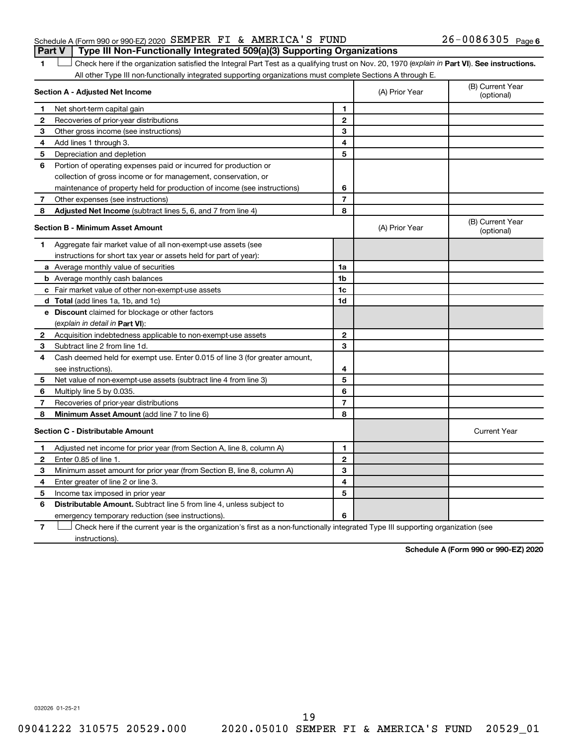|  | Schedule A (Form 990 or 990-EZ) 2020 SEMPER FI & AMERICA'S FUND                       |  |  | $26 - 0086305$ Page 6 |  |
|--|---------------------------------------------------------------------------------------|--|--|-----------------------|--|
|  | <b>Part V</b> Type III Non-Functionally Integrated 509(a)(3) Supporting Organizations |  |  |                       |  |

1 **Letter See instructions.** Check here if the organization satisfied the Integral Part Test as a qualifying trust on Nov. 20, 1970 (*explain in* Part **VI**). See instructions. All other Type III non-functionally integrated supporting organizations must complete Sections A through E.

|              | Section A - Adjusted Net Income                                             |                | (A) Prior Year | (B) Current Year<br>(optional) |
|--------------|-----------------------------------------------------------------------------|----------------|----------------|--------------------------------|
| 1            | Net short-term capital gain                                                 | 1              |                |                                |
| 2            | Recoveries of prior-year distributions                                      | $\mathbf{2}$   |                |                                |
| 3            | Other gross income (see instructions)                                       | 3              |                |                                |
| 4            | Add lines 1 through 3.                                                      | 4              |                |                                |
| 5            | Depreciation and depletion                                                  | 5              |                |                                |
| 6            | Portion of operating expenses paid or incurred for production or            |                |                |                                |
|              | collection of gross income or for management, conservation, or              |                |                |                                |
|              | maintenance of property held for production of income (see instructions)    | 6              |                |                                |
| 7            | Other expenses (see instructions)                                           | $\overline{7}$ |                |                                |
| 8            | Adjusted Net Income (subtract lines 5, 6, and 7 from line 4)                | 8              |                |                                |
|              | <b>Section B - Minimum Asset Amount</b>                                     |                | (A) Prior Year | (B) Current Year<br>(optional) |
| 1            | Aggregate fair market value of all non-exempt-use assets (see               |                |                |                                |
|              | instructions for short tax year or assets held for part of year):           |                |                |                                |
|              | a Average monthly value of securities                                       | 1a             |                |                                |
|              | <b>b</b> Average monthly cash balances                                      | 1 <sub>b</sub> |                |                                |
|              | c Fair market value of other non-exempt-use assets                          | 1c             |                |                                |
|              | d Total (add lines 1a, 1b, and 1c)                                          | 1 <sub>d</sub> |                |                                |
|              | e Discount claimed for blockage or other factors                            |                |                |                                |
|              | (explain in detail in Part VI):                                             |                |                |                                |
| 2            | Acquisition indebtedness applicable to non-exempt-use assets                | $\mathbf{2}$   |                |                                |
| З            | Subtract line 2 from line 1d.                                               | 3              |                |                                |
| 4            | Cash deemed held for exempt use. Enter 0.015 of line 3 (for greater amount, |                |                |                                |
|              | see instructions)                                                           | 4              |                |                                |
| 5            | Net value of non-exempt-use assets (subtract line 4 from line 3)            | 5              |                |                                |
| 6            | Multiply line 5 by 0.035.                                                   | 6              |                |                                |
| 7            | Recoveries of prior-year distributions                                      | $\overline{7}$ |                |                                |
| 8            | Minimum Asset Amount (add line 7 to line 6)                                 | 8              |                |                                |
|              | <b>Section C - Distributable Amount</b>                                     |                |                | <b>Current Year</b>            |
| 1            | Adjusted net income for prior year (from Section A, line 8, column A)       | 1              |                |                                |
| $\mathbf{2}$ | Enter 0.85 of line 1.                                                       | $\mathbf{2}$   |                |                                |
| 3            | Minimum asset amount for prior year (from Section B, line 8, column A)      | 3              |                |                                |
| 4            | Enter greater of line 2 or line 3.                                          | 4              |                |                                |
| 5            | Income tax imposed in prior year                                            | 5              |                |                                |
| 6            | Distributable Amount. Subtract line 5 from line 4, unless subject to        |                |                |                                |
|              | emergency temporary reduction (see instructions).                           | 6              |                |                                |
|              |                                                                             |                |                |                                |

**7** Check here if the current year is the organization's first as a non-functionally integrated Type III supporting organization (see † instructions).

**Schedule A (Form 990 or 990-EZ) 2020**

032026 01-25-21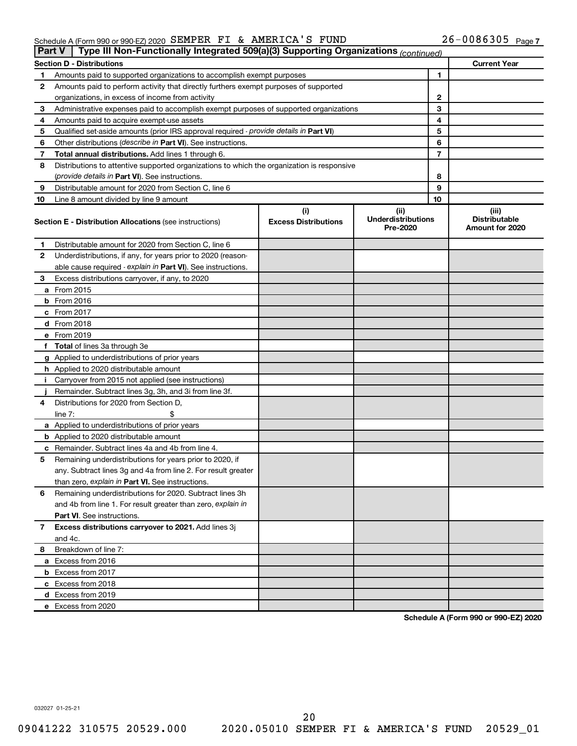#### Schedule A (Form 990 or 990-EZ) 2020 SEMPER FI & AMERICA S FUND Z6-UU863U5 Page SEMPER FI & AMERICA'S FUND 26-0086305

| Part V | Type III Non-Functionally Integrated 509(a)(3) Supporting Organizations (continued)        |                                    |                                               |    |                                                  |
|--------|--------------------------------------------------------------------------------------------|------------------------------------|-----------------------------------------------|----|--------------------------------------------------|
|        | <b>Section D - Distributions</b>                                                           |                                    |                                               |    | <b>Current Year</b>                              |
| 1      | Amounts paid to supported organizations to accomplish exempt purposes                      |                                    |                                               | 1  |                                                  |
| 2      | Amounts paid to perform activity that directly furthers exempt purposes of supported       |                                    |                                               |    |                                                  |
|        | organizations, in excess of income from activity                                           |                                    |                                               | 2  |                                                  |
| 3      | Administrative expenses paid to accomplish exempt purposes of supported organizations      |                                    |                                               | 3  |                                                  |
| 4      | Amounts paid to acquire exempt-use assets                                                  |                                    |                                               | 4  |                                                  |
| 5      | Qualified set-aside amounts (prior IRS approval required - provide details in Part VI)     |                                    |                                               | 5  |                                                  |
| 6      | Other distributions (describe in Part VI). See instructions.                               |                                    |                                               | 6  |                                                  |
| 7      | Total annual distributions. Add lines 1 through 6.                                         |                                    |                                               | 7  |                                                  |
| 8      | Distributions to attentive supported organizations to which the organization is responsive |                                    |                                               |    |                                                  |
|        | ( <i>provide details in Part VI</i> ). See instructions.                                   |                                    |                                               | 8  |                                                  |
| 9      | Distributable amount for 2020 from Section C, line 6                                       |                                    |                                               | 9  |                                                  |
| 10     | Line 8 amount divided by line 9 amount                                                     |                                    |                                               | 10 |                                                  |
|        | <b>Section E - Distribution Allocations (see instructions)</b>                             | (i)<br><b>Excess Distributions</b> | (ii)<br><b>Underdistributions</b><br>Pre-2020 |    | (iii)<br><b>Distributable</b><br>Amount for 2020 |
| 1      | Distributable amount for 2020 from Section C, line 6                                       |                                    |                                               |    |                                                  |
| 2      | Underdistributions, if any, for years prior to 2020 (reason-                               |                                    |                                               |    |                                                  |
|        | able cause required - explain in Part VI). See instructions.                               |                                    |                                               |    |                                                  |
| З      | Excess distributions carryover, if any, to 2020                                            |                                    |                                               |    |                                                  |
|        | a From 2015                                                                                |                                    |                                               |    |                                                  |
|        | $b$ From 2016                                                                              |                                    |                                               |    |                                                  |
|        | c From 2017                                                                                |                                    |                                               |    |                                                  |
|        | <b>d</b> From 2018                                                                         |                                    |                                               |    |                                                  |
|        | e From 2019                                                                                |                                    |                                               |    |                                                  |
|        | f Total of lines 3a through 3e                                                             |                                    |                                               |    |                                                  |
|        | g Applied to underdistributions of prior years                                             |                                    |                                               |    |                                                  |
|        | <b>h</b> Applied to 2020 distributable amount                                              |                                    |                                               |    |                                                  |
| Ť.     | Carryover from 2015 not applied (see instructions)                                         |                                    |                                               |    |                                                  |
|        | Remainder. Subtract lines 3g, 3h, and 3i from line 3f.                                     |                                    |                                               |    |                                                  |
| 4      | Distributions for 2020 from Section D,                                                     |                                    |                                               |    |                                                  |
|        | line 7:                                                                                    |                                    |                                               |    |                                                  |
|        | a Applied to underdistributions of prior years                                             |                                    |                                               |    |                                                  |
|        | <b>b</b> Applied to 2020 distributable amount                                              |                                    |                                               |    |                                                  |
|        | c Remainder. Subtract lines 4a and 4b from line 4.                                         |                                    |                                               |    |                                                  |
| 5      | Remaining underdistributions for years prior to 2020, if                                   |                                    |                                               |    |                                                  |
|        | any. Subtract lines 3g and 4a from line 2. For result greater                              |                                    |                                               |    |                                                  |
|        | than zero, explain in Part VI. See instructions.                                           |                                    |                                               |    |                                                  |
| 6      | Remaining underdistributions for 2020. Subtract lines 3h                                   |                                    |                                               |    |                                                  |
|        | and 4b from line 1. For result greater than zero, explain in                               |                                    |                                               |    |                                                  |
|        | <b>Part VI.</b> See instructions.                                                          |                                    |                                               |    |                                                  |
| 7      | Excess distributions carryover to 2021. Add lines 3j                                       |                                    |                                               |    |                                                  |
|        | and 4c.                                                                                    |                                    |                                               |    |                                                  |
| 8      | Breakdown of line 7:                                                                       |                                    |                                               |    |                                                  |
|        | a Excess from 2016                                                                         |                                    |                                               |    |                                                  |
|        | <b>b</b> Excess from 2017                                                                  |                                    |                                               |    |                                                  |
|        | c Excess from 2018                                                                         |                                    |                                               |    |                                                  |
|        | d Excess from 2019                                                                         |                                    |                                               |    |                                                  |
|        | e Excess from 2020                                                                         |                                    |                                               |    |                                                  |

**Schedule A (Form 990 or 990-EZ) 2020**

032027 01-25-21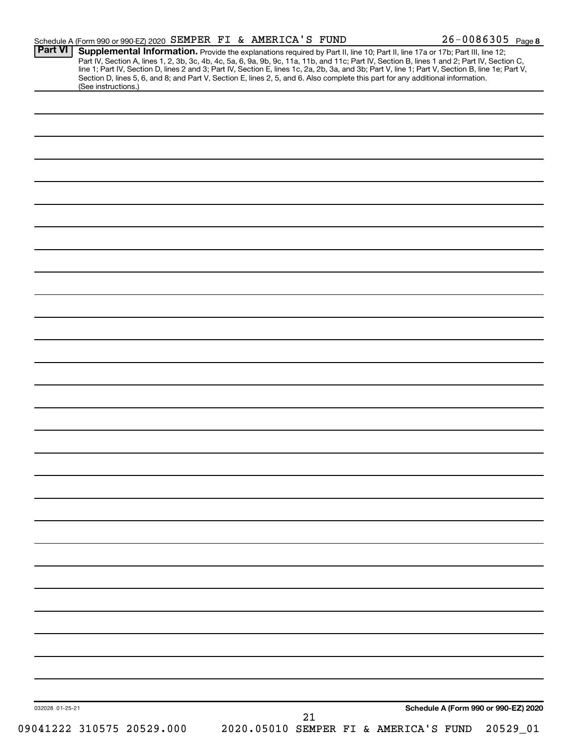|                 | Supplemental Information. Provide the explanations required by Part II, line 10; Part II, line 17a or 17b; Part III, line 12; |  |  |  |                                                                                                                                                                                                                                                                                                                                                                                                                                     |
|-----------------|-------------------------------------------------------------------------------------------------------------------------------|--|--|--|-------------------------------------------------------------------------------------------------------------------------------------------------------------------------------------------------------------------------------------------------------------------------------------------------------------------------------------------------------------------------------------------------------------------------------------|
|                 |                                                                                                                               |  |  |  |                                                                                                                                                                                                                                                                                                                                                                                                                                     |
|                 |                                                                                                                               |  |  |  |                                                                                                                                                                                                                                                                                                                                                                                                                                     |
|                 |                                                                                                                               |  |  |  |                                                                                                                                                                                                                                                                                                                                                                                                                                     |
|                 |                                                                                                                               |  |  |  |                                                                                                                                                                                                                                                                                                                                                                                                                                     |
|                 |                                                                                                                               |  |  |  |                                                                                                                                                                                                                                                                                                                                                                                                                                     |
|                 |                                                                                                                               |  |  |  |                                                                                                                                                                                                                                                                                                                                                                                                                                     |
|                 |                                                                                                                               |  |  |  |                                                                                                                                                                                                                                                                                                                                                                                                                                     |
|                 |                                                                                                                               |  |  |  |                                                                                                                                                                                                                                                                                                                                                                                                                                     |
|                 |                                                                                                                               |  |  |  |                                                                                                                                                                                                                                                                                                                                                                                                                                     |
|                 |                                                                                                                               |  |  |  |                                                                                                                                                                                                                                                                                                                                                                                                                                     |
|                 |                                                                                                                               |  |  |  |                                                                                                                                                                                                                                                                                                                                                                                                                                     |
|                 |                                                                                                                               |  |  |  |                                                                                                                                                                                                                                                                                                                                                                                                                                     |
|                 |                                                                                                                               |  |  |  |                                                                                                                                                                                                                                                                                                                                                                                                                                     |
|                 |                                                                                                                               |  |  |  |                                                                                                                                                                                                                                                                                                                                                                                                                                     |
|                 |                                                                                                                               |  |  |  |                                                                                                                                                                                                                                                                                                                                                                                                                                     |
|                 |                                                                                                                               |  |  |  |                                                                                                                                                                                                                                                                                                                                                                                                                                     |
|                 |                                                                                                                               |  |  |  |                                                                                                                                                                                                                                                                                                                                                                                                                                     |
|                 |                                                                                                                               |  |  |  |                                                                                                                                                                                                                                                                                                                                                                                                                                     |
|                 |                                                                                                                               |  |  |  |                                                                                                                                                                                                                                                                                                                                                                                                                                     |
|                 |                                                                                                                               |  |  |  |                                                                                                                                                                                                                                                                                                                                                                                                                                     |
|                 |                                                                                                                               |  |  |  |                                                                                                                                                                                                                                                                                                                                                                                                                                     |
|                 |                                                                                                                               |  |  |  |                                                                                                                                                                                                                                                                                                                                                                                                                                     |
|                 |                                                                                                                               |  |  |  |                                                                                                                                                                                                                                                                                                                                                                                                                                     |
|                 |                                                                                                                               |  |  |  |                                                                                                                                                                                                                                                                                                                                                                                                                                     |
|                 |                                                                                                                               |  |  |  |                                                                                                                                                                                                                                                                                                                                                                                                                                     |
|                 |                                                                                                                               |  |  |  |                                                                                                                                                                                                                                                                                                                                                                                                                                     |
|                 |                                                                                                                               |  |  |  |                                                                                                                                                                                                                                                                                                                                                                                                                                     |
|                 |                                                                                                                               |  |  |  |                                                                                                                                                                                                                                                                                                                                                                                                                                     |
|                 |                                                                                                                               |  |  |  |                                                                                                                                                                                                                                                                                                                                                                                                                                     |
|                 |                                                                                                                               |  |  |  |                                                                                                                                                                                                                                                                                                                                                                                                                                     |
|                 |                                                                                                                               |  |  |  |                                                                                                                                                                                                                                                                                                                                                                                                                                     |
|                 |                                                                                                                               |  |  |  |                                                                                                                                                                                                                                                                                                                                                                                                                                     |
|                 |                                                                                                                               |  |  |  |                                                                                                                                                                                                                                                                                                                                                                                                                                     |
|                 |                                                                                                                               |  |  |  |                                                                                                                                                                                                                                                                                                                                                                                                                                     |
|                 |                                                                                                                               |  |  |  |                                                                                                                                                                                                                                                                                                                                                                                                                                     |
|                 |                                                                                                                               |  |  |  |                                                                                                                                                                                                                                                                                                                                                                                                                                     |
|                 |                                                                                                                               |  |  |  |                                                                                                                                                                                                                                                                                                                                                                                                                                     |
|                 |                                                                                                                               |  |  |  |                                                                                                                                                                                                                                                                                                                                                                                                                                     |
|                 |                                                                                                                               |  |  |  |                                                                                                                                                                                                                                                                                                                                                                                                                                     |
|                 |                                                                                                                               |  |  |  |                                                                                                                                                                                                                                                                                                                                                                                                                                     |
|                 |                                                                                                                               |  |  |  |                                                                                                                                                                                                                                                                                                                                                                                                                                     |
|                 |                                                                                                                               |  |  |  |                                                                                                                                                                                                                                                                                                                                                                                                                                     |
|                 |                                                                                                                               |  |  |  |                                                                                                                                                                                                                                                                                                                                                                                                                                     |
|                 |                                                                                                                               |  |  |  |                                                                                                                                                                                                                                                                                                                                                                                                                                     |
|                 |                                                                                                                               |  |  |  |                                                                                                                                                                                                                                                                                                                                                                                                                                     |
|                 |                                                                                                                               |  |  |  |                                                                                                                                                                                                                                                                                                                                                                                                                                     |
|                 |                                                                                                                               |  |  |  |                                                                                                                                                                                                                                                                                                                                                                                                                                     |
|                 |                                                                                                                               |  |  |  |                                                                                                                                                                                                                                                                                                                                                                                                                                     |
|                 |                                                                                                                               |  |  |  |                                                                                                                                                                                                                                                                                                                                                                                                                                     |
|                 |                                                                                                                               |  |  |  |                                                                                                                                                                                                                                                                                                                                                                                                                                     |
|                 |                                                                                                                               |  |  |  |                                                                                                                                                                                                                                                                                                                                                                                                                                     |
|                 |                                                                                                                               |  |  |  |                                                                                                                                                                                                                                                                                                                                                                                                                                     |
|                 |                                                                                                                               |  |  |  |                                                                                                                                                                                                                                                                                                                                                                                                                                     |
| 032028 01-25-21 |                                                                                                                               |  |  |  | Schedule A (Form 990 or 990-EZ) 2020                                                                                                                                                                                                                                                                                                                                                                                                |
|                 | (See instructions.)                                                                                                           |  |  |  | Part IV, Section A, lines 1, 2, 3b, 3c, 4b, 4c, 5a, 6, 9a, 9b, 9c, 11a, 11b, and 11c; Part IV, Section B, lines 1 and 2; Part IV, Section C,<br>line 1; Part IV, Section D, lines 2 and 3; Part IV, Section E, lines 1c, 2a, 2b, 3a, and 3b; Part V, line 1; Part V, Section B, line 1e; Part V,<br>Section D, lines 5, 6, and 8; and Part V, Section E, lines 2, 5, and 6. Also complete this part for any additional information. |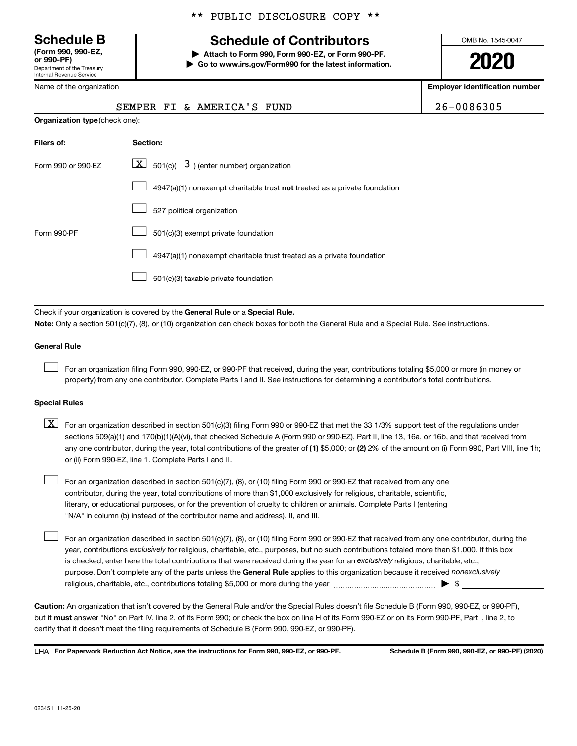Department of the Treasury Internal Revenue Service **(Form 990, 990-EZ,**

Name of the organization

#### \*\* PUBLIC DISCLOSURE COPY \*\*

# **Schedule B Schedule of Contributors**

**or 990-PF) | Attach to Form 990, Form 990-EZ, or Form 990-PF. | Go to www.irs.gov/Form990 for the latest information.** OMB No. 1545-0047

**2020**

**Employer identification number**

|                                | SEMPER FI & AMERICA'S FUND                                                                                                                                                                                                                                                                                                                                                                                                                                                                                | 26-0086305 |
|--------------------------------|-----------------------------------------------------------------------------------------------------------------------------------------------------------------------------------------------------------------------------------------------------------------------------------------------------------------------------------------------------------------------------------------------------------------------------------------------------------------------------------------------------------|------------|
| Organization type (check one): |                                                                                                                                                                                                                                                                                                                                                                                                                                                                                                           |            |
| Filers of:                     | Section:                                                                                                                                                                                                                                                                                                                                                                                                                                                                                                  |            |
| Form 990 or 990-EZ             | $\lfloor x \rfloor$ 501(c)( 3) (enter number) organization                                                                                                                                                                                                                                                                                                                                                                                                                                                |            |
|                                | $4947(a)(1)$ nonexempt charitable trust <b>not</b> treated as a private foundation                                                                                                                                                                                                                                                                                                                                                                                                                        |            |
|                                | 527 political organization                                                                                                                                                                                                                                                                                                                                                                                                                                                                                |            |
| Form 990-PF                    | 501(c)(3) exempt private foundation                                                                                                                                                                                                                                                                                                                                                                                                                                                                       |            |
|                                | 4947(a)(1) nonexempt charitable trust treated as a private foundation                                                                                                                                                                                                                                                                                                                                                                                                                                     |            |
|                                | 501(c)(3) taxable private foundation                                                                                                                                                                                                                                                                                                                                                                                                                                                                      |            |
|                                |                                                                                                                                                                                                                                                                                                                                                                                                                                                                                                           |            |
|                                | Check if your organization is covered by the General Rule or a Special Rule.<br>Note: Only a section 501(c)(7), (8), or (10) organization can check boxes for both the General Rule and a Special Rule. See instructions.                                                                                                                                                                                                                                                                                 |            |
| <b>General Rule</b>            |                                                                                                                                                                                                                                                                                                                                                                                                                                                                                                           |            |
|                                | For an organization filing Form 990, 990-EZ, or 990-PF that received, during the year, contributions totaling \$5,000 or more (in money or<br>property) from any one contributor. Complete Parts I and II. See instructions for determining a contributor's total contributions.                                                                                                                                                                                                                          |            |
| <b>Special Rules</b>           |                                                                                                                                                                                                                                                                                                                                                                                                                                                                                                           |            |
| $\vert$ X                      | For an organization described in section 501(c)(3) filing Form 990 or 990-EZ that met the 33 1/3% support test of the regulations under<br>sections 509(a)(1) and 170(b)(1)(A)(vi), that checked Schedule A (Form 990 or 990-EZ), Part II, line 13, 16a, or 16b, and that received from<br>any one contributor, during the year, total contributions of the greater of (1) \$5,000; or (2) 2% of the amount on (i) Form 990, Part VIII, line 1h;<br>or (ii) Form 990-EZ, line 1. Complete Parts I and II. |            |
|                                | For an organization described in section 501(c)(7), (8), or (10) filing Form 990 or 990-EZ that received from any one<br>contributor, during the year, total contributions of more than \$1,000 exclusively for religious, charitable, scientific,<br>literary, or educational purposes, or for the prevention of cruelty to children or animals. Complete Parts I (entering<br>"N/A" in column (b) instead of the contributor name and address), II, and III.                                            |            |
|                                | For an organization described in section 501(c)(7), (8), or (10) filing Form 990 or 990-EZ that received from any one contributor, during the                                                                                                                                                                                                                                                                                                                                                             |            |

purpose. Don't complete any of the parts unless the General Rule applies to this organization because it received nonexclusively year, contributions exclusively for religious, charitable, etc., purposes, but no such contributions totaled more than \$1,000. If this box is checked, enter here the total contributions that were received during the year for an exclusively religious, charitable, etc., tion described in section 501(c)(7), (8), or (10) filing Form 990 or 990-EZ that received from any one contributor, during the religious, charitable, etc., contributions totaling \$5,000 or more during the year  $\ldots$  $\ldots$  $\ldots$  $\ldots$  $\ldots$  $\ldots$ 

**Caution:**  An organization that isn't covered by the General Rule and/or the Special Rules doesn't file Schedule B (Form 990, 990-EZ, or 990-PF),  **must** but it answer "No" on Part IV, line 2, of its Form 990; or check the box on line H of its Form 990-EZ or on its Form 990-PF, Part I, line 2, to certify that it doesn't meet the filing requirements of Schedule B (Form 990, 990-EZ, or 990-PF).

**For Paperwork Reduction Act Notice, see the instructions for Form 990, 990-EZ, or 990-PF. Schedule B (Form 990, 990-EZ, or 990-PF) (2020)** LHA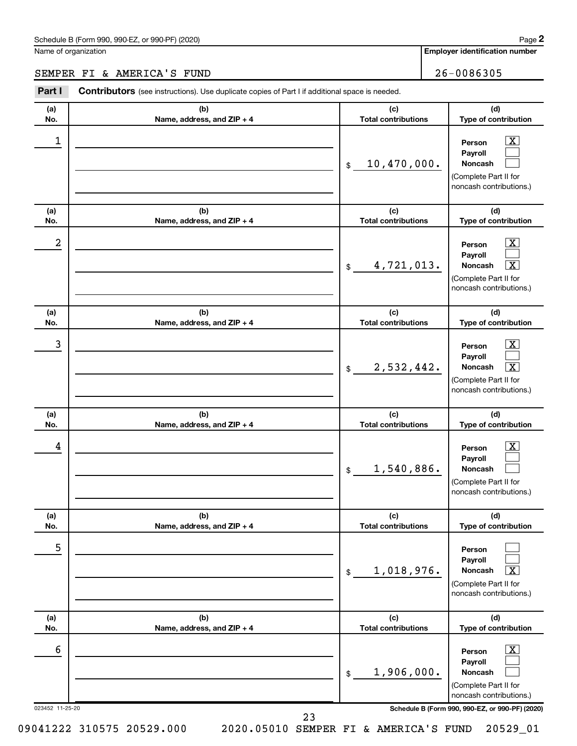#### Schedule B (Form 990, 990-EZ, or 990-PF) (2020)

Name of organization

**Employer identification number**

## SEMPER FI & AMERICA'S FUND 26-0086305

| Part I               | Contributors (see instructions). Use duplicate copies of Part I if additional space is needed. |                                   |                                                                                                                                                              |
|----------------------|------------------------------------------------------------------------------------------------|-----------------------------------|--------------------------------------------------------------------------------------------------------------------------------------------------------------|
| (a)<br>No.           | (b)<br>Name, address, and ZIP + 4                                                              | (c)<br><b>Total contributions</b> | (d)<br>Type of contribution                                                                                                                                  |
| 1                    |                                                                                                | 10,470,000.<br>\$                 | $\overline{\mathbf{X}}$<br>Person<br>Payroll<br>Noncash<br>(Complete Part II for<br>noncash contributions.)                                                  |
| (a)<br>No.           | (b)<br>Name, address, and ZIP + 4                                                              | (c)<br><b>Total contributions</b> | (d)<br>Type of contribution                                                                                                                                  |
| 2                    |                                                                                                | 4,721,013.<br>\$                  | $\mathbf{X}$<br>Person<br>Payroll<br>Noncash<br>$\mathbf{X}$<br>(Complete Part II for<br>noncash contributions.)                                             |
| (a)<br>No.           | (b)<br>Name, address, and ZIP + 4                                                              | (c)<br><b>Total contributions</b> | (d)<br>Type of contribution                                                                                                                                  |
| 3                    |                                                                                                | 2,532,442.<br>\$                  | $\mathbf{X}$<br>Person<br>Payroll<br>$\boxed{\textbf{X}}$<br>Noncash<br>(Complete Part II for<br>noncash contributions.)                                     |
| (a)<br>No.           | (b)<br>Name, address, and ZIP + 4                                                              | (c)<br><b>Total contributions</b> | (d)<br>Type of contribution                                                                                                                                  |
| 4                    |                                                                                                | 1,540,886.<br>\$                  | $\mathbf{X}$<br>Person<br>Payroll<br><b>Noncash</b><br>(Complete Part II for<br>noncash contributions.)                                                      |
| (a)<br>No.           | (b)<br>Name, address, and ZIP + 4                                                              | (c)<br><b>Total contributions</b> | (d)<br>Type of contribution                                                                                                                                  |
| 5                    |                                                                                                | 1,018,976.<br>\$                  | Person<br>Payroll<br>Noncash<br>х<br>(Complete Part II for<br>noncash contributions.)                                                                        |
| (a)<br>No.           | (b)<br>Name, address, and ZIP + 4                                                              | (c)<br><b>Total contributions</b> | (d)<br>Type of contribution                                                                                                                                  |
| 6<br>023452 11-25-20 |                                                                                                | 1,906,000.<br>\$                  | $\overline{\text{X}}$<br>Person<br>Payroll<br>Noncash<br>(Complete Part II for<br>noncash contributions.)<br>Schedule B (Form 990, 990-EZ, or 990-PF) (2020) |
|                      | 23                                                                                             |                                   |                                                                                                                                                              |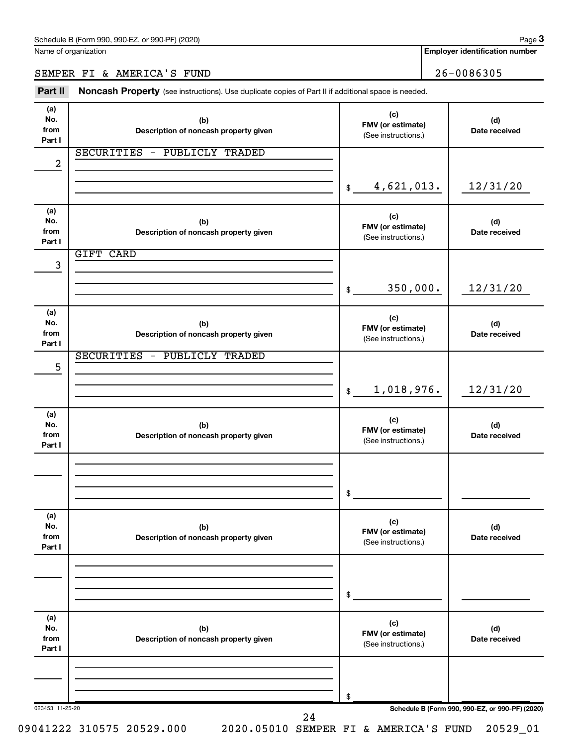Name of organization

**Employer identification number**

## SEMPER FI & AMERICA'S FUND 26-0086305

Part II Noncash Property (see instructions). Use duplicate copies of Part II if additional space is needed.

| (a)<br>No.<br>from<br>Part I | (b)<br>Description of noncash property given | (c)<br>FMV (or estimate)<br>(See instructions.) | (d)<br>Date received                            |
|------------------------------|----------------------------------------------|-------------------------------------------------|-------------------------------------------------|
| $\overline{\mathbf{c}}$      | SECURITIES - PUBLICLY TRADED                 |                                                 |                                                 |
|                              |                                              | 4,621,013.<br>\$                                | 12/31/20                                        |
| (a)<br>No.<br>from<br>Part I | (b)<br>Description of noncash property given | (c)<br>FMV (or estimate)<br>(See instructions.) | (d)<br>Date received                            |
| 3                            | <b>GIFT CARD</b>                             |                                                 |                                                 |
|                              |                                              | 350,000.<br>\$                                  | 12/31/20                                        |
| (a)<br>No.<br>from<br>Part I | (b)<br>Description of noncash property given | (c)<br>FMV (or estimate)<br>(See instructions.) | (d)<br>Date received                            |
| 5                            | SECURITIES - PUBLICLY TRADED                 |                                                 |                                                 |
|                              |                                              | 1,018,976.<br>$$\mathbb{S}$$                    | 12/31/20                                        |
| (a)<br>No.<br>from<br>Part I | (b)<br>Description of noncash property given | (c)<br>FMV (or estimate)<br>(See instructions.) | (d)<br>Date received                            |
|                              |                                              |                                                 |                                                 |
|                              |                                              | \$                                              |                                                 |
| (a)<br>No.<br>from<br>Part I | (b)<br>Description of noncash property given | (c)<br>FMV (or estimate)<br>(See instructions.) | (d)<br>Date received                            |
|                              |                                              |                                                 |                                                 |
|                              |                                              | \$                                              |                                                 |
| (a)<br>No.<br>from<br>Part I | (b)<br>Description of noncash property given | (c)<br>FMV (or estimate)<br>(See instructions.) | (d)<br>Date received                            |
|                              |                                              |                                                 |                                                 |
|                              |                                              | \$                                              |                                                 |
| 023453 11-25-20              | 24                                           |                                                 | Schedule B (Form 990, 990-EZ, or 990-PF) (2020) |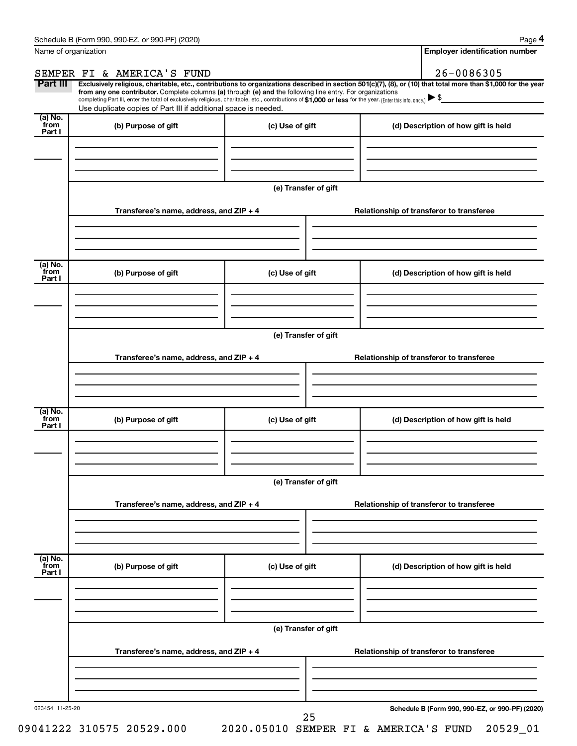| Name of organization      |                                                                                                                                                                                                                                                                                                                                                                    |                      | <b>Employer identification number</b>                                                                                                                          |  |  |  |  |
|---------------------------|--------------------------------------------------------------------------------------------------------------------------------------------------------------------------------------------------------------------------------------------------------------------------------------------------------------------------------------------------------------------|----------------------|----------------------------------------------------------------------------------------------------------------------------------------------------------------|--|--|--|--|
|                           | SEMPER FI & AMERICA'S FUND                                                                                                                                                                                                                                                                                                                                         |                      | 26-0086305                                                                                                                                                     |  |  |  |  |
| Part III                  | from any one contributor. Complete columns (a) through (e) and the following line entry. For organizations<br>completing Part III, enter the total of exclusively religious, charitable, etc., contributions of \$1,000 or less for the year. (Enter this info. once.) $\blacktriangleright$ \$<br>Use duplicate copies of Part III if additional space is needed. |                      | Exclusively religious, charitable, etc., contributions to organizations described in section 501(c)(7), (8), or (10) that total more than \$1,000 for the year |  |  |  |  |
| (a) No.<br>from<br>Part I | (b) Purpose of gift                                                                                                                                                                                                                                                                                                                                                | (c) Use of gift      | (d) Description of how gift is held                                                                                                                            |  |  |  |  |
|                           |                                                                                                                                                                                                                                                                                                                                                                    |                      |                                                                                                                                                                |  |  |  |  |
|                           |                                                                                                                                                                                                                                                                                                                                                                    |                      |                                                                                                                                                                |  |  |  |  |
|                           |                                                                                                                                                                                                                                                                                                                                                                    | (e) Transfer of gift |                                                                                                                                                                |  |  |  |  |
|                           | Transferee's name, address, and ZIP + 4                                                                                                                                                                                                                                                                                                                            |                      | Relationship of transferor to transferee                                                                                                                       |  |  |  |  |
|                           |                                                                                                                                                                                                                                                                                                                                                                    |                      |                                                                                                                                                                |  |  |  |  |
| (a) No.<br>from<br>Part I | (b) Purpose of gift                                                                                                                                                                                                                                                                                                                                                | (c) Use of gift      | (d) Description of how gift is held                                                                                                                            |  |  |  |  |
|                           |                                                                                                                                                                                                                                                                                                                                                                    |                      |                                                                                                                                                                |  |  |  |  |
|                           |                                                                                                                                                                                                                                                                                                                                                                    |                      |                                                                                                                                                                |  |  |  |  |
|                           |                                                                                                                                                                                                                                                                                                                                                                    | (e) Transfer of gift |                                                                                                                                                                |  |  |  |  |
|                           | Transferee's name, address, and ZIP + 4                                                                                                                                                                                                                                                                                                                            |                      | Relationship of transferor to transferee                                                                                                                       |  |  |  |  |
|                           |                                                                                                                                                                                                                                                                                                                                                                    |                      |                                                                                                                                                                |  |  |  |  |
|                           |                                                                                                                                                                                                                                                                                                                                                                    |                      |                                                                                                                                                                |  |  |  |  |
| (a) No.<br>from<br>Part I | (b) Purpose of gift                                                                                                                                                                                                                                                                                                                                                | (c) Use of gift      | (d) Description of how gift is held                                                                                                                            |  |  |  |  |
|                           |                                                                                                                                                                                                                                                                                                                                                                    |                      |                                                                                                                                                                |  |  |  |  |
|                           |                                                                                                                                                                                                                                                                                                                                                                    |                      |                                                                                                                                                                |  |  |  |  |
|                           | (e) Transfer of gift                                                                                                                                                                                                                                                                                                                                               |                      |                                                                                                                                                                |  |  |  |  |
|                           | Transferee's name, address, and ZIP + 4                                                                                                                                                                                                                                                                                                                            |                      | Relationship of transferor to transferee                                                                                                                       |  |  |  |  |
|                           |                                                                                                                                                                                                                                                                                                                                                                    |                      |                                                                                                                                                                |  |  |  |  |
| (a) No.                   |                                                                                                                                                                                                                                                                                                                                                                    |                      |                                                                                                                                                                |  |  |  |  |
| from<br>Part I            | (b) Purpose of gift                                                                                                                                                                                                                                                                                                                                                | (c) Use of gift      | (d) Description of how gift is held                                                                                                                            |  |  |  |  |
|                           |                                                                                                                                                                                                                                                                                                                                                                    |                      |                                                                                                                                                                |  |  |  |  |
|                           |                                                                                                                                                                                                                                                                                                                                                                    | (e) Transfer of gift |                                                                                                                                                                |  |  |  |  |
|                           | Transferee's name, address, and ZIP + 4                                                                                                                                                                                                                                                                                                                            |                      | Relationship of transferor to transferee                                                                                                                       |  |  |  |  |
|                           |                                                                                                                                                                                                                                                                                                                                                                    |                      |                                                                                                                                                                |  |  |  |  |
|                           |                                                                                                                                                                                                                                                                                                                                                                    |                      |                                                                                                                                                                |  |  |  |  |
| 023454 11-25-20           |                                                                                                                                                                                                                                                                                                                                                                    | 25                   | Schedule B (Form 990, 990-EZ, or 990-PF) (2020)                                                                                                                |  |  |  |  |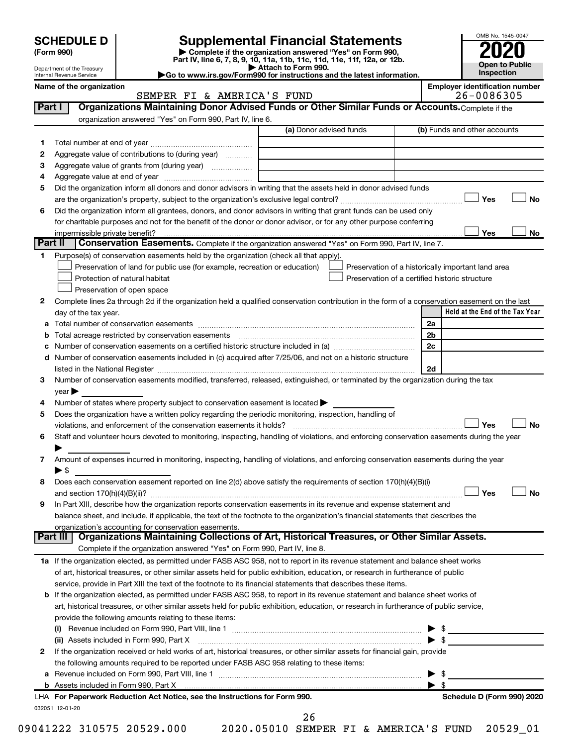| (Form 990) |  |
|------------|--|
|------------|--|

# **SCHEDULE D Supplemental Financial Statements**<br> **Form 990 2020**<br> **Part IV** line 6.7.8.9.10, 11a, 11b, 11d, 11d, 11d, 11d, 11d, 12a, 0r, 12b

**(Form 990) | Complete if the organization answered "Yes" on Form 990, Part IV, line 6, 7, 8, 9, 10, 11a, 11b, 11c, 11d, 11e, 11f, 12a, or 12b.**

**| Attach to Form 990. |Go to www.irs.gov/Form990 for instructions and the latest information.**



Department of the Treasury Internal Revenue Service

Name of the organization<br>
SEMPER FI & AMERICA'S FUND<br>
26-0086305 SEMPER FI & AMERICA'S FUND

| 1<br>2<br>З              |                                                                                                                                                                                                                                                          | (a) Donor advised funds | (b) Funds and other accounts                       |  |
|--------------------------|----------------------------------------------------------------------------------------------------------------------------------------------------------------------------------------------------------------------------------------------------------|-------------------------|----------------------------------------------------|--|
|                          |                                                                                                                                                                                                                                                          |                         |                                                    |  |
|                          | Aggregate value of contributions to (during year)                                                                                                                                                                                                        |                         |                                                    |  |
|                          |                                                                                                                                                                                                                                                          |                         |                                                    |  |
| 4                        |                                                                                                                                                                                                                                                          |                         |                                                    |  |
| 5                        | Did the organization inform all donors and donor advisors in writing that the assets held in donor advised funds                                                                                                                                         |                         |                                                    |  |
|                          |                                                                                                                                                                                                                                                          |                         | Yes                                                |  |
| 6                        | Did the organization inform all grantees, donors, and donor advisors in writing that grant funds can be used only                                                                                                                                        |                         |                                                    |  |
|                          | for charitable purposes and not for the benefit of the donor or donor advisor, or for any other purpose conferring                                                                                                                                       |                         |                                                    |  |
|                          |                                                                                                                                                                                                                                                          |                         | Yes                                                |  |
| Part II                  | Conservation Easements. Complete if the organization answered "Yes" on Form 990, Part IV, line 7.                                                                                                                                                        |                         |                                                    |  |
| 1.                       | Purpose(s) of conservation easements held by the organization (check all that apply).                                                                                                                                                                    |                         |                                                    |  |
|                          | Preservation of land for public use (for example, recreation or education)                                                                                                                                                                               |                         | Preservation of a historically important land area |  |
|                          | Protection of natural habitat                                                                                                                                                                                                                            |                         | Preservation of a certified historic structure     |  |
|                          | Preservation of open space                                                                                                                                                                                                                               |                         |                                                    |  |
| 2                        | Complete lines 2a through 2d if the organization held a qualified conservation contribution in the form of a conservation easement on the last                                                                                                           |                         |                                                    |  |
| day of the tax year.     |                                                                                                                                                                                                                                                          |                         | Held at the End of the Tax Year                    |  |
| а                        |                                                                                                                                                                                                                                                          |                         | 2a                                                 |  |
|                          | Total acreage restricted by conservation easements                                                                                                                                                                                                       |                         | 2 <sub>b</sub>                                     |  |
|                          |                                                                                                                                                                                                                                                          |                         | 2c                                                 |  |
| d                        | Number of conservation easements included in (c) acquired after 7/25/06, and not on a historic structure                                                                                                                                                 |                         |                                                    |  |
|                          | listed in the National Register [11, 120] and the National Register [11, 120] and the National Register [11, 1                                                                                                                                           |                         | 2d                                                 |  |
| 3                        | Number of conservation easements modified, transferred, released, extinguished, or terminated by the organization during the tax                                                                                                                         |                         |                                                    |  |
| year                     |                                                                                                                                                                                                                                                          |                         |                                                    |  |
| 4                        | Number of states where property subject to conservation easement is located >                                                                                                                                                                            |                         |                                                    |  |
| 5                        | Does the organization have a written policy regarding the periodic monitoring, inspection, handling of                                                                                                                                                   |                         |                                                    |  |
|                          | violations, and enforcement of the conservation easements it holds?                                                                                                                                                                                      |                         | Yes                                                |  |
| 6                        | Staff and volunteer hours devoted to monitoring, inspecting, handling of violations, and enforcing conservation easements during the year                                                                                                                |                         |                                                    |  |
|                          |                                                                                                                                                                                                                                                          |                         |                                                    |  |
| 7                        | Amount of expenses incurred in monitoring, inspecting, handling of violations, and enforcing conservation easements during the year                                                                                                                      |                         |                                                    |  |
| $\blacktriangleright$ \$ | Does each conservation easement reported on line 2(d) above satisfy the requirements of section 170(h)(4)(B)(i)                                                                                                                                          |                         |                                                    |  |
| 8                        |                                                                                                                                                                                                                                                          |                         | Yes                                                |  |
|                          |                                                                                                                                                                                                                                                          |                         |                                                    |  |
| 9                        | In Part XIII, describe how the organization reports conservation easements in its revenue and expense statement and<br>balance sheet, and include, if applicable, the text of the footnote to the organization's financial statements that describes the |                         |                                                    |  |
|                          | organization's accounting for conservation easements.                                                                                                                                                                                                    |                         |                                                    |  |
| Part III                 | Organizations Maintaining Collections of Art, Historical Treasures, or Other Similar Assets.                                                                                                                                                             |                         |                                                    |  |
|                          | Complete if the organization answered "Yes" on Form 990, Part IV, line 8.                                                                                                                                                                                |                         |                                                    |  |
|                          | 1a If the organization elected, as permitted under FASB ASC 958, not to report in its revenue statement and balance sheet works                                                                                                                          |                         |                                                    |  |
|                          | of art, historical treasures, or other similar assets held for public exhibition, education, or research in furtherance of public                                                                                                                        |                         |                                                    |  |
|                          | service, provide in Part XIII the text of the footnote to its financial statements that describes these items.                                                                                                                                           |                         |                                                    |  |
|                          | b If the organization elected, as permitted under FASB ASC 958, to report in its revenue statement and balance sheet works of                                                                                                                            |                         |                                                    |  |
|                          | art, historical treasures, or other similar assets held for public exhibition, education, or research in furtherance of public service,                                                                                                                  |                         |                                                    |  |
|                          | provide the following amounts relating to these items:                                                                                                                                                                                                   |                         |                                                    |  |
|                          |                                                                                                                                                                                                                                                          |                         |                                                    |  |
|                          |                                                                                                                                                                                                                                                          |                         | $\blacktriangleright$ \$                           |  |
| 2                        | If the organization received or held works of art, historical treasures, or other similar assets for financial gain, provide                                                                                                                             |                         |                                                    |  |
|                          | the following amounts required to be reported under FASB ASC 958 relating to these items:                                                                                                                                                                |                         |                                                    |  |
| а                        |                                                                                                                                                                                                                                                          |                         | $\blacktriangleright$ \$                           |  |
|                          |                                                                                                                                                                                                                                                          |                         |                                                    |  |
|                          | LHA For Paperwork Reduction Act Notice, see the Instructions for Form 990.                                                                                                                                                                               |                         | Schedule D (Form 990) 2020                         |  |
| 032051 12-01-20          |                                                                                                                                                                                                                                                          |                         |                                                    |  |
|                          |                                                                                                                                                                                                                                                          | 26                      |                                                    |  |
|                          | 09041222 310575 20529.000                                                                                                                                                                                                                                |                         | 2020.05010 SEMPER FI & AMERICA'S FUND 20529_01     |  |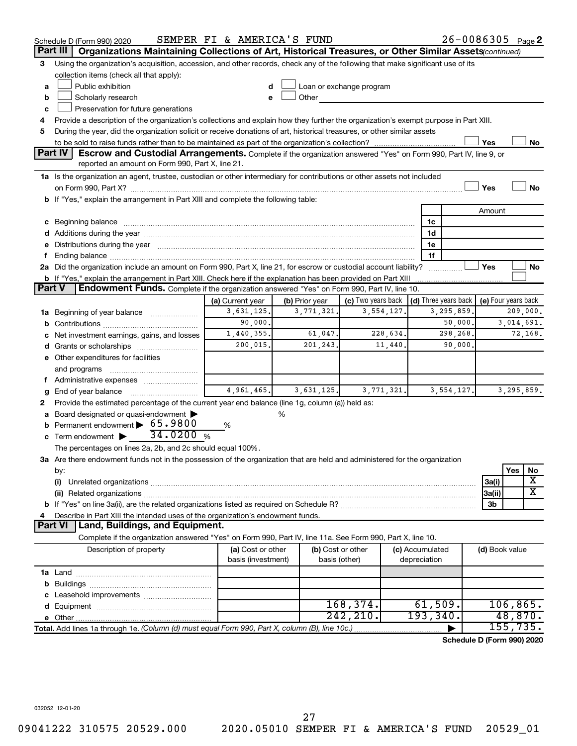|         | Schedule D (Form 990) 2020                                                                                                                                                                                                          | SEMPER FI & AMERICA'S FUND |                |                                                                                                                                                                                                                                |                                 | 26-0086305 Page 2          |                     |            |                         |
|---------|-------------------------------------------------------------------------------------------------------------------------------------------------------------------------------------------------------------------------------------|----------------------------|----------------|--------------------------------------------------------------------------------------------------------------------------------------------------------------------------------------------------------------------------------|---------------------------------|----------------------------|---------------------|------------|-------------------------|
|         | Organizations Maintaining Collections of Art, Historical Treasures, or Other Similar Assets (continued)<br>Part III                                                                                                                 |                            |                |                                                                                                                                                                                                                                |                                 |                            |                     |            |                         |
| 3       | Using the organization's acquisition, accession, and other records, check any of the following that make significant use of its                                                                                                     |                            |                |                                                                                                                                                                                                                                |                                 |                            |                     |            |                         |
|         | collection items (check all that apply):                                                                                                                                                                                            |                            |                |                                                                                                                                                                                                                                |                                 |                            |                     |            |                         |
| a       | Public exhibition                                                                                                                                                                                                                   |                            |                | Loan or exchange program                                                                                                                                                                                                       |                                 |                            |                     |            |                         |
| b       | Scholarly research                                                                                                                                                                                                                  |                            |                | Other and the control of the control of the control of the control of the control of the control of the control of the control of the control of the control of the control of the control of the control of the control of th |                                 |                            |                     |            |                         |
| c       | Preservation for future generations                                                                                                                                                                                                 |                            |                |                                                                                                                                                                                                                                |                                 |                            |                     |            |                         |
| 4       | Provide a description of the organization's collections and explain how they further the organization's exempt purpose in Part XIII.                                                                                                |                            |                |                                                                                                                                                                                                                                |                                 |                            |                     |            |                         |
| 5       | During the year, did the organization solicit or receive donations of art, historical treasures, or other similar assets                                                                                                            |                            |                |                                                                                                                                                                                                                                |                                 |                            |                     |            |                         |
|         |                                                                                                                                                                                                                                     |                            |                |                                                                                                                                                                                                                                |                                 |                            | Yes                 |            | No                      |
| Part IV | <b>Escrow and Custodial Arrangements.</b> Complete if the organization answered "Yes" on Form 990, Part IV, line 9, or                                                                                                              |                            |                |                                                                                                                                                                                                                                |                                 |                            |                     |            |                         |
|         | reported an amount on Form 990, Part X, line 21.                                                                                                                                                                                    |                            |                |                                                                                                                                                                                                                                |                                 |                            |                     |            |                         |
|         | 1a Is the organization an agent, trustee, custodian or other intermediary for contributions or other assets not included                                                                                                            |                            |                |                                                                                                                                                                                                                                |                                 |                            |                     |            |                         |
|         |                                                                                                                                                                                                                                     |                            |                |                                                                                                                                                                                                                                |                                 |                            | Yes                 |            | <b>No</b>               |
|         | b If "Yes," explain the arrangement in Part XIII and complete the following table:                                                                                                                                                  |                            |                |                                                                                                                                                                                                                                |                                 |                            |                     |            |                         |
|         |                                                                                                                                                                                                                                     |                            |                |                                                                                                                                                                                                                                |                                 |                            | Amount              |            |                         |
|         | c Beginning balance measurements and the contract of the contract of the contract of the contract of the contract of the contract of the contract of the contract of the contract of the contract of the contract of the contr      |                            |                |                                                                                                                                                                                                                                | 1c                              |                            |                     |            |                         |
|         | d Additions during the year manufactured and an account of the year manufactured and account of the year manufactured and account of the year manufactured and account of the year manufactured and account of the year manufa      |                            |                |                                                                                                                                                                                                                                | 1d                              |                            |                     |            |                         |
| f.      | e Distributions during the year manufactured and an account of the year manufactured and account of the year manufactured and account of the state of the state of the state of the state of the state of the state of the sta      |                            |                |                                                                                                                                                                                                                                | 1е<br>1f                        |                            |                     |            |                         |
|         | 2a Did the organization include an amount on Form 990, Part X, line 21, for escrow or custodial account liability?                                                                                                                  |                            |                |                                                                                                                                                                                                                                |                                 |                            | Yes                 |            | No                      |
|         | <b>b</b> If "Yes," explain the arrangement in Part XIII. Check here if the explanation has been provided on Part XIII                                                                                                               |                            |                |                                                                                                                                                                                                                                |                                 | .                          |                     |            |                         |
| Part V  | Endowment Funds. Complete if the organization answered "Yes" on Form 990, Part IV, line 10.                                                                                                                                         |                            |                |                                                                                                                                                                                                                                |                                 |                            |                     |            |                         |
|         |                                                                                                                                                                                                                                     | (a) Current year           | (b) Prior year | (c) Two years back $\vert$ (d) Three years back $\vert$                                                                                                                                                                        |                                 |                            | (e) Four years back |            |                         |
|         | 1a Beginning of year balance                                                                                                                                                                                                        | 3,631,125.                 | 3,771,321.     | 3,554,127.                                                                                                                                                                                                                     |                                 | 3, 295, 859.               |                     |            | 209,000.                |
|         |                                                                                                                                                                                                                                     | 90,000.                    |                |                                                                                                                                                                                                                                |                                 | 50,000.                    |                     | 3,014,691. |                         |
|         | c Net investment earnings, gains, and losses                                                                                                                                                                                        | 1,440,355.                 | 61,047.        | 228,634.                                                                                                                                                                                                                       |                                 | 298,268.                   |                     |            | 72,168.                 |
|         |                                                                                                                                                                                                                                     | 200,015.                   | 201,243.       | 11,440.                                                                                                                                                                                                                        |                                 | 90,000.                    |                     |            |                         |
|         | e Other expenditures for facilities                                                                                                                                                                                                 |                            |                |                                                                                                                                                                                                                                |                                 |                            |                     |            |                         |
|         | and programs                                                                                                                                                                                                                        |                            |                |                                                                                                                                                                                                                                |                                 |                            |                     |            |                         |
|         | f Administrative expenses                                                                                                                                                                                                           |                            |                |                                                                                                                                                                                                                                |                                 |                            |                     |            |                         |
| g       |                                                                                                                                                                                                                                     | 4,961,465.                 | 3,631,125.     | 3,771,321.                                                                                                                                                                                                                     |                                 | 3, 554, 127.               |                     | 3,295,859. |                         |
| 2       | Provide the estimated percentage of the current year end balance (line 1g, column (a)) held as:                                                                                                                                     |                            |                |                                                                                                                                                                                                                                |                                 |                            |                     |            |                         |
|         | a Board designated or quasi-endowment >                                                                                                                                                                                             |                            | %              |                                                                                                                                                                                                                                |                                 |                            |                     |            |                         |
| b       | Permanent endowment > 65.9800                                                                                                                                                                                                       | %                          |                |                                                                                                                                                                                                                                |                                 |                            |                     |            |                         |
|         | 34.0200%<br>c Term endowment $\blacktriangleright$                                                                                                                                                                                  |                            |                |                                                                                                                                                                                                                                |                                 |                            |                     |            |                         |
|         | The percentages on lines 2a, 2b, and 2c should equal 100%.                                                                                                                                                                          |                            |                |                                                                                                                                                                                                                                |                                 |                            |                     |            |                         |
|         | 3a Are there endowment funds not in the possession of the organization that are held and administered for the organization                                                                                                          |                            |                |                                                                                                                                                                                                                                |                                 |                            |                     |            |                         |
|         | by:                                                                                                                                                                                                                                 |                            |                |                                                                                                                                                                                                                                |                                 |                            |                     | Yes        | No                      |
|         | (i)                                                                                                                                                                                                                                 |                            |                |                                                                                                                                                                                                                                |                                 |                            | 3a(i)               |            | X                       |
|         | (ii) Related organizations <b>constructions</b> and construction of the construction of the construction of the construction of the construction of the construction of the construction of the construction of the construction of |                            |                |                                                                                                                                                                                                                                |                                 |                            | 3a(ii)              |            | $\overline{\textbf{X}}$ |
|         |                                                                                                                                                                                                                                     |                            |                |                                                                                                                                                                                                                                |                                 |                            | 3b                  |            |                         |
| 4       | Describe in Part XIII the intended uses of the organization's endowment funds.                                                                                                                                                      |                            |                |                                                                                                                                                                                                                                |                                 |                            |                     |            |                         |
|         | <b>Land, Buildings, and Equipment.</b><br><b>Part VI</b>                                                                                                                                                                            |                            |                |                                                                                                                                                                                                                                |                                 |                            |                     |            |                         |
|         | Complete if the organization answered "Yes" on Form 990, Part IV, line 11a. See Form 990, Part X, line 10.                                                                                                                          |                            |                |                                                                                                                                                                                                                                |                                 |                            |                     |            |                         |
|         | Description of property                                                                                                                                                                                                             | (a) Cost or other          |                | (b) Cost or other                                                                                                                                                                                                              | (c) Accumulated<br>depreciation |                            | (d) Book value      |            |                         |
|         |                                                                                                                                                                                                                                     | basis (investment)         |                | basis (other)                                                                                                                                                                                                                  |                                 |                            |                     |            |                         |
|         |                                                                                                                                                                                                                                     |                            |                |                                                                                                                                                                                                                                |                                 |                            |                     |            |                         |
|         |                                                                                                                                                                                                                                     |                            |                |                                                                                                                                                                                                                                |                                 |                            |                     |            |                         |
|         |                                                                                                                                                                                                                                     |                            |                | 168,374.                                                                                                                                                                                                                       | 61,509.                         |                            |                     | 106,865.   |                         |
|         |                                                                                                                                                                                                                                     |                            |                | 242, 210.                                                                                                                                                                                                                      | 193,340.                        |                            |                     | 48,870.    |                         |
|         | Total. Add lines 1a through 1e. (Column (d) must equal Form 990, Part X, column (B), line 10c.)                                                                                                                                     |                            |                |                                                                                                                                                                                                                                |                                 |                            |                     | 155, 735.  |                         |
|         |                                                                                                                                                                                                                                     |                            |                |                                                                                                                                                                                                                                |                                 | Schedule D (Form 990) 2020 |                     |            |                         |
|         |                                                                                                                                                                                                                                     |                            |                |                                                                                                                                                                                                                                |                                 |                            |                     |            |                         |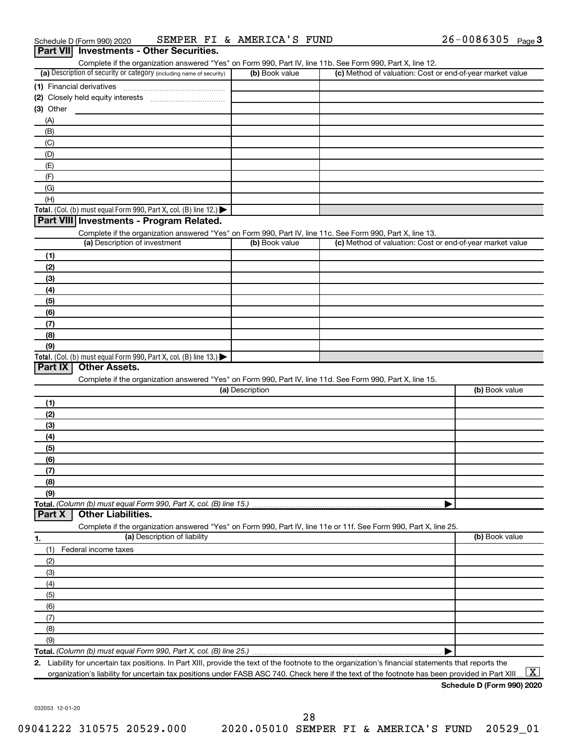|             | Part VII Investments - Other Securities.                                                                          |                 |                                                           |                |
|-------------|-------------------------------------------------------------------------------------------------------------------|-----------------|-----------------------------------------------------------|----------------|
|             | Complete if the organization answered "Yes" on Form 990, Part IV, line 11b. See Form 990, Part X, line 12.        |                 |                                                           |                |
|             | (a) Description of security or category (including name of security)                                              | (b) Book value  | (c) Method of valuation: Cost or end-of-year market value |                |
|             |                                                                                                                   |                 |                                                           |                |
|             |                                                                                                                   |                 |                                                           |                |
| $(3)$ Other |                                                                                                                   |                 |                                                           |                |
| (A)         |                                                                                                                   |                 |                                                           |                |
| (B)         |                                                                                                                   |                 |                                                           |                |
| (C)<br>(D)  |                                                                                                                   |                 |                                                           |                |
| (E)         |                                                                                                                   |                 |                                                           |                |
| (F)         |                                                                                                                   |                 |                                                           |                |
| (G)         |                                                                                                                   |                 |                                                           |                |
| (H)         |                                                                                                                   |                 |                                                           |                |
|             | Total. (Col. (b) must equal Form 990, Part X, col. (B) line 12.)                                                  |                 |                                                           |                |
|             | Part VIII Investments - Program Related.                                                                          |                 |                                                           |                |
|             | Complete if the organization answered "Yes" on Form 990, Part IV, line 11c. See Form 990, Part X, line 13.        |                 |                                                           |                |
|             | (a) Description of investment                                                                                     | (b) Book value  | (c) Method of valuation: Cost or end-of-year market value |                |
| (1)         |                                                                                                                   |                 |                                                           |                |
| (2)         |                                                                                                                   |                 |                                                           |                |
| (3)         |                                                                                                                   |                 |                                                           |                |
| (4)         |                                                                                                                   |                 |                                                           |                |
| (5)         |                                                                                                                   |                 |                                                           |                |
| (6)         |                                                                                                                   |                 |                                                           |                |
| (7)         |                                                                                                                   |                 |                                                           |                |
| (8)         |                                                                                                                   |                 |                                                           |                |
| (9)         |                                                                                                                   |                 |                                                           |                |
|             | Total. (Col. (b) must equal Form 990, Part X, col. (B) line 13.)                                                  |                 |                                                           |                |
| Part IX     | <b>Other Assets.</b>                                                                                              |                 |                                                           |                |
|             | Complete if the organization answered "Yes" on Form 990, Part IV, line 11d. See Form 990, Part X, line 15.        | (a) Description |                                                           | (b) Book value |
|             |                                                                                                                   |                 |                                                           |                |
| (1)         |                                                                                                                   |                 |                                                           |                |
| (2)<br>(3)  |                                                                                                                   |                 |                                                           |                |
| (4)         |                                                                                                                   |                 |                                                           |                |
| (5)         |                                                                                                                   |                 |                                                           |                |
| (6)         |                                                                                                                   |                 |                                                           |                |
| (7)         |                                                                                                                   |                 |                                                           |                |
| (8)         |                                                                                                                   |                 |                                                           |                |
| (9)         |                                                                                                                   |                 |                                                           |                |
|             | Total. (Column (b) must equal Form 990, Part X, col. (B) line 15.)                                                |                 |                                                           |                |
| Part X      | <b>Other Liabilities.</b>                                                                                         |                 |                                                           |                |
|             | Complete if the organization answered "Yes" on Form 990, Part IV, line 11e or 11f. See Form 990, Part X, line 25. |                 |                                                           |                |
| 1.          | (a) Description of liability                                                                                      |                 |                                                           | (b) Book value |
| (1)         | Federal income taxes                                                                                              |                 |                                                           |                |
| (2)         |                                                                                                                   |                 |                                                           |                |
| (3)         |                                                                                                                   |                 |                                                           |                |
| (4)         |                                                                                                                   |                 |                                                           |                |
| (5)         |                                                                                                                   |                 |                                                           |                |
| (6)         |                                                                                                                   |                 |                                                           |                |
| (7)         |                                                                                                                   |                 |                                                           |                |
| (8)         |                                                                                                                   |                 |                                                           |                |
| (9)         |                                                                                                                   |                 |                                                           |                |
|             | Total. (Column (b) must equal Form 990, Part X, col. (B) line 25.)                                                |                 |                                                           |                |

**2.** Liability for uncertain tax positions. In Part XIII, provide the text of the footnote to the organization's financial statements that reports the organization's liability for uncertain tax positions under FASB ASC 740. Check here if the text of the footnote has been provided in Part XIII ...  $\fbox{\bf X}$ 

**Schedule D (Form 990) 2020**

032053 12-01-20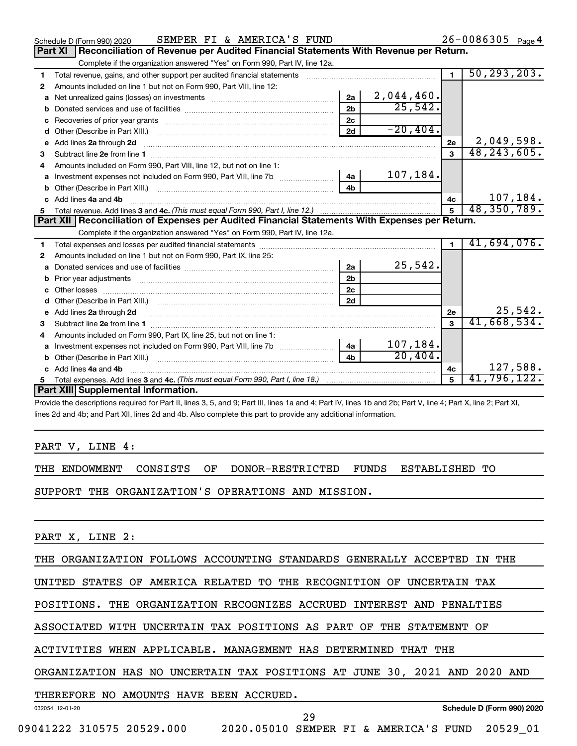|   | SEMPER FI & AMERICA'S FUND<br>Schedule D (Form 990) 2020                                         |                |             |                | $26 - 0086305$ Page 4 |
|---|--------------------------------------------------------------------------------------------------|----------------|-------------|----------------|-----------------------|
|   | Reconciliation of Revenue per Audited Financial Statements With Revenue per Return.<br>Part XI   |                |             |                |                       |
|   | Complete if the organization answered "Yes" on Form 990, Part IV, line 12a.                      |                |             |                |                       |
| 1 | Total revenue, gains, and other support per audited financial statements                         |                |             | $\blacksquare$ | 50, 293, 203.         |
| 2 | Amounts included on line 1 but not on Form 990, Part VIII, line 12:                              |                |             |                |                       |
| a |                                                                                                  | 2a             | 2,044,460.  |                |                       |
| b |                                                                                                  | 2 <sub>h</sub> | 25,542.     |                |                       |
| c |                                                                                                  | 2 <sub>c</sub> |             |                |                       |
| d |                                                                                                  | 2d             | $-20, 404.$ |                |                       |
| е | Add lines 2a through 2d                                                                          |                |             | 2e             | 2,049,598.            |
| 3 |                                                                                                  |                |             | $\mathbf{a}$   | 48, 243, 605.         |
| 4 | Amounts included on Form 990, Part VIII, line 12, but not on line 1:                             |                |             |                |                       |
|   |                                                                                                  |                | 107,184.    |                |                       |
|   |                                                                                                  | 4 <sub>h</sub> |             |                |                       |
|   | c Add lines 4a and 4b                                                                            |                |             | 4c             | 107,184.              |
|   |                                                                                                  |                |             |                | 48, 350, 789.         |
|   |                                                                                                  |                |             |                |                       |
|   | Part XII   Reconciliation of Expenses per Audited Financial Statements With Expenses per Return. |                |             |                |                       |
|   | Complete if the organization answered "Yes" on Form 990, Part IV, line 12a.                      |                |             |                |                       |
| 1 |                                                                                                  |                |             | $\blacksquare$ | 41,694,076.           |
| 2 | Amounts included on line 1 but not on Form 990, Part IX, line 25:                                |                |             |                |                       |
| a |                                                                                                  | 2a             | 25,542.     |                |                       |
| b |                                                                                                  | 2 <sub>b</sub> |             |                |                       |
|   |                                                                                                  | 2 <sub>c</sub> |             |                |                       |
| d |                                                                                                  | 2d             |             |                |                       |
|   |                                                                                                  |                |             | 2e             | 25,542.               |
| з |                                                                                                  |                |             | 3              | 41,668,534.           |
| 4 | Amounts included on Form 990, Part IX, line 25, but not on line 1:                               |                |             |                |                       |
| a | Investment expenses not included on Form 990, Part VIII, line 7b [                               | $-4a$          | 107,184.    |                |                       |
|   |                                                                                                  | 4 <sub>b</sub> | 20,404.     |                |                       |
|   | c Add lines 4a and 4b                                                                            |                |             | 4с             | 127,588.              |
|   | Part XIII Supplemental Information.                                                              |                |             | 5              | 41,796,122.           |

Provide the descriptions required for Part II, lines 3, 5, and 9; Part III, lines 1a and 4; Part IV, lines 1b and 2b; Part V, line 4; Part X, line 2; Part XI, lines 2d and 4b; and Part XII, lines 2d and 4b. Also complete this part to provide any additional information.

PART V, LINE 4:

THE ENDOWMENT CONSISTS OF DONOR-RESTRICTED FUNDS ESTABLISHED TO

SUPPORT THE ORGANIZATION'S OPERATIONS AND MISSION.

PART X, LINE 2:

THE ORGANIZATION FOLLOWS ACCOUNTING STANDARDS GENERALLY ACCEPTED IN THE

UNITED STATES OF AMERICA RELATED TO THE RECOGNITION OF UNCERTAIN TAX

POSITIONS. THE ORGANIZATION RECOGNIZES ACCRUED INTEREST AND PENALTIES

ASSOCIATED WITH UNCERTAIN TAX POSITIONS AS PART OF THE STATEMENT OF

ACTIVITIES WHEN APPLICABLE. MANAGEMENT HAS DETERMINED THAT THE

ORGANIZATION HAS NO UNCERTAIN TAX POSITIONS AT JUNE 30, 2021 AND 2020 AND

#### THEREFORE NO AMOUNTS HAVE BEEN ACCRUED.

032054 12-01-20

**Schedule D (Form 990) 2020**

29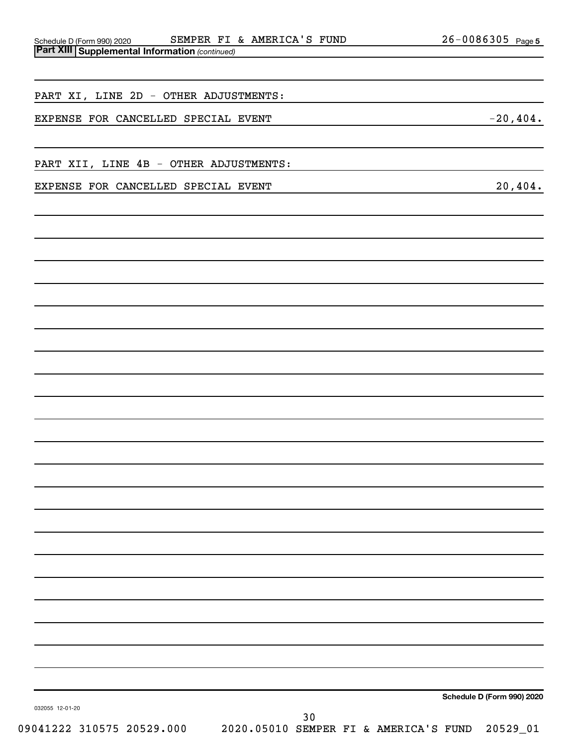| supplemental information (commacd)     |                                                                                                                       |
|----------------------------------------|-----------------------------------------------------------------------------------------------------------------------|
|                                        |                                                                                                                       |
| PART XI, LINE 2D - OTHER ADJUSTMENTS:  |                                                                                                                       |
|                                        | <u> 1989 - Johann Barn, mars ann an t-Amhain Aonaichte ann an t-Aonaichte ann an t-Aonaichte ann an t-Aonaichte a</u> |
| EXPENSE FOR CANCELLED SPECIAL EVENT    | $-20,404.$                                                                                                            |
|                                        |                                                                                                                       |
| PART XII, LINE 4B - OTHER ADJUSTMENTS: | <u> 1989 - Andrea Stadt Britain, amerikansk politik (* 1958)</u>                                                      |
| EXPENSE FOR CANCELLED SPECIAL EVENT    | 20,404.                                                                                                               |
|                                        |                                                                                                                       |
|                                        |                                                                                                                       |
|                                        |                                                                                                                       |
|                                        |                                                                                                                       |
|                                        |                                                                                                                       |
|                                        |                                                                                                                       |
|                                        |                                                                                                                       |
|                                        |                                                                                                                       |
|                                        |                                                                                                                       |
|                                        |                                                                                                                       |
|                                        |                                                                                                                       |
|                                        |                                                                                                                       |
|                                        |                                                                                                                       |
|                                        |                                                                                                                       |
|                                        |                                                                                                                       |
|                                        |                                                                                                                       |
|                                        |                                                                                                                       |
|                                        |                                                                                                                       |
|                                        |                                                                                                                       |
|                                        |                                                                                                                       |
|                                        |                                                                                                                       |
|                                        |                                                                                                                       |
|                                        |                                                                                                                       |
|                                        | Schedule D (Form 990) 2020                                                                                            |
| 032055 12-01-20<br>30                  |                                                                                                                       |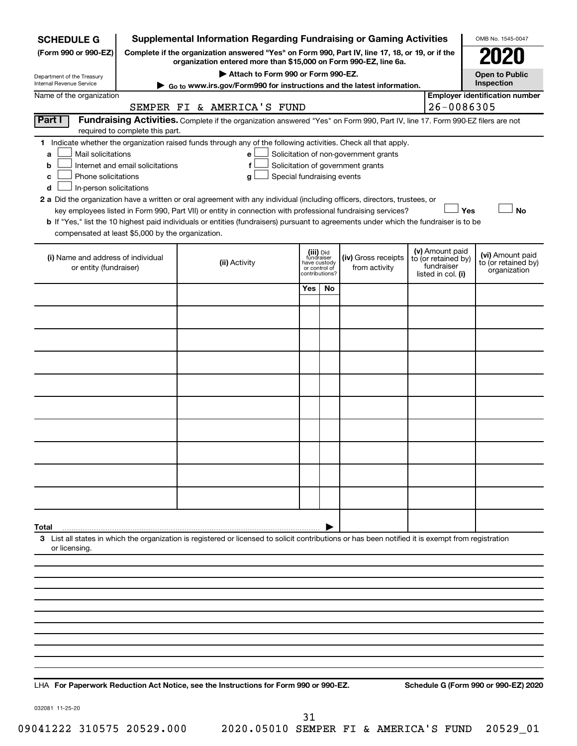| <b>SCHEDULE G</b>                                            |                                  | <b>Supplemental Information Regarding Fundraising or Gaming Activities</b>                                                                                          |                                 |    |                                       |                                   | OMB No. 1545-0047                       |
|--------------------------------------------------------------|----------------------------------|---------------------------------------------------------------------------------------------------------------------------------------------------------------------|---------------------------------|----|---------------------------------------|-----------------------------------|-----------------------------------------|
| (Form 990 or 990-EZ)                                         |                                  | Complete if the organization answered "Yes" on Form 990, Part IV, line 17, 18, or 19, or if the<br>organization entered more than \$15,000 on Form 990-EZ, line 6a. |                                 |    |                                       |                                   |                                         |
| Department of the Treasury                                   |                                  | Attach to Form 990 or Form 990-EZ.                                                                                                                                  |                                 |    |                                       |                                   | <b>Open to Public</b>                   |
| Internal Revenue Service                                     |                                  | $\triangleright$ Go to www.irs.gov/Form990 for instructions and the latest information.                                                                             |                                 |    |                                       |                                   | Inspection                              |
| Name of the organization                                     |                                  | SEMPER FI & AMERICA'S FUND                                                                                                                                          |                                 |    |                                       | 26-0086305                        | <b>Employer identification number</b>   |
| Part I                                                       |                                  | Fundraising Activities. Complete if the organization answered "Yes" on Form 990, Part IV, line 17. Form 990-EZ filers are not                                       |                                 |    |                                       |                                   |                                         |
|                                                              | required to complete this part.  | 1 Indicate whether the organization raised funds through any of the following activities. Check all that apply.                                                     |                                 |    |                                       |                                   |                                         |
| Mail solicitations<br>a                                      |                                  | е                                                                                                                                                                   |                                 |    | Solicitation of non-government grants |                                   |                                         |
| b                                                            | Internet and email solicitations | f                                                                                                                                                                   |                                 |    | Solicitation of government grants     |                                   |                                         |
| Phone solicitations<br>с<br>In-person solicitations<br>d     |                                  | Special fundraising events<br>g                                                                                                                                     |                                 |    |                                       |                                   |                                         |
|                                                              |                                  | 2 a Did the organization have a written or oral agreement with any individual (including officers, directors, trustees, or                                          |                                 |    |                                       |                                   |                                         |
|                                                              |                                  | key employees listed in Form 990, Part VII) or entity in connection with professional fundraising services?                                                         |                                 |    |                                       | Yes                               | No                                      |
| compensated at least \$5,000 by the organization.            |                                  | b If "Yes," list the 10 highest paid individuals or entities (fundraisers) pursuant to agreements under which the fundraiser is to be                               |                                 |    |                                       |                                   |                                         |
|                                                              |                                  |                                                                                                                                                                     | (iii) Did                       |    |                                       | (v) Amount paid                   |                                         |
| (i) Name and address of individual<br>or entity (fundraiser) |                                  | (ii) Activity                                                                                                                                                       | fundraiser<br>have custody      |    | (iv) Gross receipts<br>from activity  | to (or retained by)<br>fundraiser | (vi) Amount paid<br>to (or retained by) |
|                                                              |                                  |                                                                                                                                                                     | or control of<br>contributions? |    |                                       | listed in col. (i)                | organization                            |
|                                                              |                                  |                                                                                                                                                                     | Yes                             | No |                                       |                                   |                                         |
|                                                              |                                  |                                                                                                                                                                     |                                 |    |                                       |                                   |                                         |
|                                                              |                                  |                                                                                                                                                                     |                                 |    |                                       |                                   |                                         |
|                                                              |                                  |                                                                                                                                                                     |                                 |    |                                       |                                   |                                         |
|                                                              |                                  |                                                                                                                                                                     |                                 |    |                                       |                                   |                                         |
|                                                              |                                  |                                                                                                                                                                     |                                 |    |                                       |                                   |                                         |
|                                                              |                                  |                                                                                                                                                                     |                                 |    |                                       |                                   |                                         |
|                                                              |                                  |                                                                                                                                                                     |                                 |    |                                       |                                   |                                         |
|                                                              |                                  |                                                                                                                                                                     |                                 |    |                                       |                                   |                                         |
|                                                              |                                  |                                                                                                                                                                     |                                 |    |                                       |                                   |                                         |
|                                                              |                                  |                                                                                                                                                                     |                                 |    |                                       |                                   |                                         |
|                                                              |                                  |                                                                                                                                                                     |                                 |    |                                       |                                   |                                         |
|                                                              |                                  |                                                                                                                                                                     |                                 |    |                                       |                                   |                                         |
|                                                              |                                  |                                                                                                                                                                     |                                 |    |                                       |                                   |                                         |
|                                                              |                                  |                                                                                                                                                                     |                                 |    |                                       |                                   |                                         |
| Total                                                        |                                  | 3 List all states in which the organization is registered or licensed to solicit contributions or has been notified it is exempt from registration                  |                                 |    |                                       |                                   |                                         |
| or licensing.                                                |                                  |                                                                                                                                                                     |                                 |    |                                       |                                   |                                         |
|                                                              |                                  |                                                                                                                                                                     |                                 |    |                                       |                                   |                                         |
|                                                              |                                  |                                                                                                                                                                     |                                 |    |                                       |                                   |                                         |
|                                                              |                                  |                                                                                                                                                                     |                                 |    |                                       |                                   |                                         |
|                                                              |                                  |                                                                                                                                                                     |                                 |    |                                       |                                   |                                         |
|                                                              |                                  |                                                                                                                                                                     |                                 |    |                                       |                                   |                                         |
|                                                              |                                  |                                                                                                                                                                     |                                 |    |                                       |                                   |                                         |
|                                                              |                                  |                                                                                                                                                                     |                                 |    |                                       |                                   |                                         |
|                                                              |                                  |                                                                                                                                                                     |                                 |    |                                       |                                   |                                         |

**For Paperwork Reduction Act Notice, see the Instructions for Form 990 or 990-EZ. Schedule G (Form 990 or 990-EZ) 2020** LHA

032081 11-25-20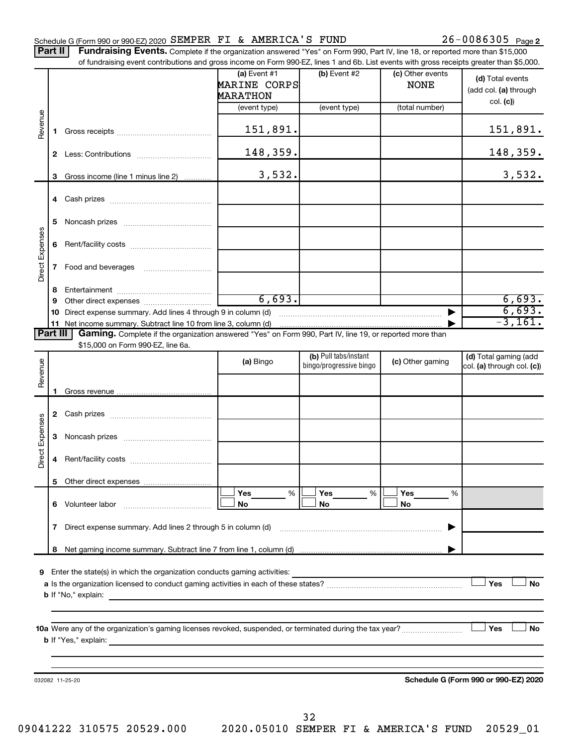#### Schedule G (Form 990 or 990-EZ) 2020  ${\tt SEMPER\; FI\; \&\; AMERICA\; S\; FUND}$  26 - 0086305  $_{\tt Page}$

26-0086305 Page 2

Part II | Fundraising Events. Complete if the organization answered "Yes" on Form 990, Part IV, line 18, or reported more than \$15,000 of fundraising event contributions and gross income on Form 990-EZ, lines 1 and 6b. List events with gross receipts greater than \$5,000.

|                 |    | along over the bond backers and group involved on homicoupled that we have obtained with group roompto groups and not out                     |                                                   |                         |                                 |                                                       |
|-----------------|----|-----------------------------------------------------------------------------------------------------------------------------------------------|---------------------------------------------------|-------------------------|---------------------------------|-------------------------------------------------------|
|                 |    |                                                                                                                                               | (a) Event $#1$<br>MARINE CORPS<br><b>MARATHON</b> | (b) Event #2            | (c) Other events<br><b>NONE</b> | (d) Total events<br>(add col. (a) through<br>col. (c) |
|                 |    |                                                                                                                                               | (event type)                                      | (event type)            | (total number)                  |                                                       |
| Revenue         |    |                                                                                                                                               | 151,891.                                          |                         |                                 | 151,891.                                              |
|                 |    |                                                                                                                                               | 148,359.                                          |                         |                                 | 148,359.                                              |
|                 |    | 3 Gross income (line 1 minus line 2)                                                                                                          | 3,532.                                            |                         |                                 | 3,532.                                                |
|                 |    |                                                                                                                                               |                                                   |                         |                                 |                                                       |
|                 |    |                                                                                                                                               |                                                   |                         |                                 |                                                       |
|                 | 5. |                                                                                                                                               |                                                   |                         |                                 |                                                       |
|                 |    |                                                                                                                                               |                                                   |                         |                                 |                                                       |
| Direct Expenses | 7  | Food and beverages                                                                                                                            |                                                   |                         |                                 |                                                       |
|                 | 8. |                                                                                                                                               |                                                   |                         |                                 |                                                       |
|                 | 9  |                                                                                                                                               | 6,693.                                            |                         |                                 | $\frac{6,693.}{6,693.}$<br>-3,161.                    |
|                 |    | 10 Direct expense summary. Add lines 4 through 9 in column (d)                                                                                |                                                   |                         |                                 |                                                       |
|                 |    |                                                                                                                                               |                                                   |                         |                                 |                                                       |
| Part III        |    | Gaming. Complete if the organization answered "Yes" on Form 990, Part IV, line 19, or reported more than<br>\$15,000 on Form 990-EZ, line 6a. |                                                   |                         |                                 |                                                       |
|                 |    |                                                                                                                                               |                                                   | (b) Pull tabs/instant   |                                 | (d) Total gaming (add                                 |
| Revenue         |    |                                                                                                                                               | (a) Bingo                                         | bingo/progressive bingo | (c) Other gaming                | col. (a) through col. (c))                            |
|                 |    |                                                                                                                                               |                                                   |                         |                                 |                                                       |
|                 |    |                                                                                                                                               |                                                   |                         |                                 |                                                       |
|                 |    |                                                                                                                                               |                                                   |                         |                                 |                                                       |
|                 |    |                                                                                                                                               |                                                   |                         |                                 |                                                       |
| Direct Expenses | 3  |                                                                                                                                               |                                                   |                         |                                 |                                                       |
|                 | 4  |                                                                                                                                               |                                                   |                         |                                 |                                                       |
|                 |    |                                                                                                                                               |                                                   |                         |                                 |                                                       |
|                 |    |                                                                                                                                               | Yes<br>%                                          | Yes<br>%                | <b>Yes</b><br>%                 |                                                       |
|                 | 6. | Volunteer labor                                                                                                                               | No                                                | No                      | No                              |                                                       |
|                 | 7  | Direct expense summary. Add lines 2 through 5 in column (d)                                                                                   |                                                   |                         |                                 |                                                       |
|                 | 8  |                                                                                                                                               |                                                   |                         |                                 |                                                       |
|                 |    |                                                                                                                                               |                                                   |                         |                                 |                                                       |
| 9               |    | Enter the state(s) in which the organization conducts gaming activities:                                                                      |                                                   |                         |                                 |                                                       |
|                 |    |                                                                                                                                               |                                                   |                         |                                 | Yes<br><b>No</b>                                      |
|                 |    | <b>b</b> If "No," explain:                                                                                                                    |                                                   |                         |                                 |                                                       |
|                 |    |                                                                                                                                               |                                                   |                         |                                 |                                                       |
|                 |    |                                                                                                                                               |                                                   |                         |                                 | ⊥ Yes<br><b>No</b>                                    |
|                 |    | <b>b</b> If "Yes," explain:<br>the control of the control of the control of the control of the control of the control of                      |                                                   |                         |                                 |                                                       |
|                 |    |                                                                                                                                               |                                                   |                         |                                 |                                                       |
|                 |    |                                                                                                                                               |                                                   |                         |                                 |                                                       |
|                 |    | 032082 11-25-20                                                                                                                               |                                                   |                         |                                 | Schedule G (Form 990 or 990-EZ) 2020                  |
|                 |    |                                                                                                                                               |                                                   |                         |                                 |                                                       |
|                 |    |                                                                                                                                               |                                                   |                         |                                 |                                                       |

32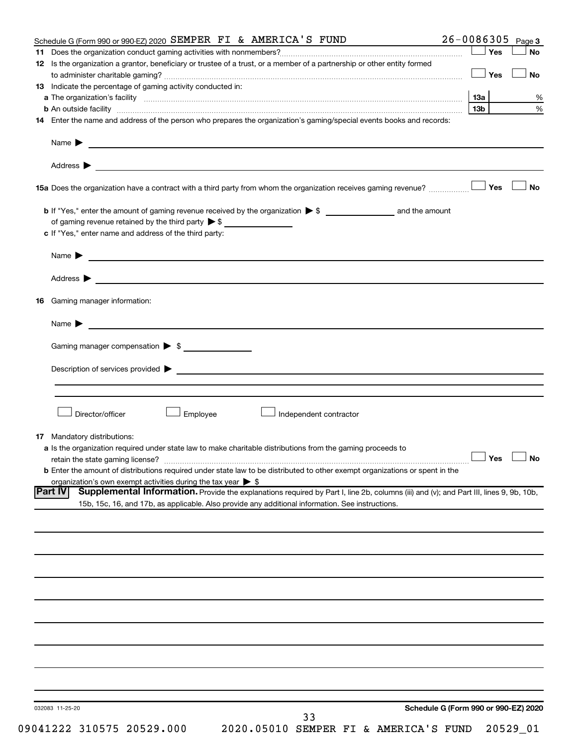|                                    | Schedule G (Form 990 or 990-EZ) 2020 SEMPER FI & AMERICA'S FUND                                                                                                                                                                      | 26-0086305<br>Page 3                 |
|------------------------------------|--------------------------------------------------------------------------------------------------------------------------------------------------------------------------------------------------------------------------------------|--------------------------------------|
|                                    |                                                                                                                                                                                                                                      | ∣ Yes<br>No                          |
|                                    | 12 Is the organization a grantor, beneficiary or trustee of a trust, or a member of a partnership or other entity formed                                                                                                             |                                      |
|                                    |                                                                                                                                                                                                                                      | <b>No</b><br><b>」Yes</b>             |
|                                    | <b>13</b> Indicate the percentage of gaming activity conducted in:                                                                                                                                                                   |                                      |
|                                    |                                                                                                                                                                                                                                      |                                      |
|                                    |                                                                                                                                                                                                                                      | 1За                                  |
|                                    | <b>b</b> An outside facility <i>www.communicality www.communicality.communicality www.communicality www.communicality.communicality www.communicality.com</i>                                                                        | 13 <sub>b</sub>                      |
|                                    | 14 Enter the name and address of the person who prepares the organization's gaming/special events books and records:                                                                                                                 |                                      |
| Name $\blacktriangleright$         | <u>and the state of the state of the state of the state of the state of the state of the state of the state of the state of the state of the state of the state of the state of the state of the state of the state of the state</u> |                                      |
| Address $\blacktriangleright$      | <u>some started and the started and the started and the started and the started and the started and the started and the started and the started and the started and the started and the started and the started and the started </u> |                                      |
|                                    |                                                                                                                                                                                                                                      | <b>No</b>                            |
|                                    |                                                                                                                                                                                                                                      |                                      |
|                                    | of gaming revenue retained by the third party $\triangleright$ \$                                                                                                                                                                    |                                      |
|                                    | c If "Yes," enter name and address of the third party:                                                                                                                                                                               |                                      |
|                                    |                                                                                                                                                                                                                                      |                                      |
| Name $\blacktriangleright$         | <u> 1989 - Andrea Stadt Britain, amerikansk politiker (</u>                                                                                                                                                                          |                                      |
| Address $\blacktriangleright$      | <u>and the contract of the contract of the contract of the contract of the contract of the contract of the contract of</u>                                                                                                           |                                      |
| Gaming manager information:<br>16  |                                                                                                                                                                                                                                      |                                      |
| Name $\blacktriangleright$         | <u> 1989 - Johann Barbara, martxa alemaniar arg</u>                                                                                                                                                                                  |                                      |
|                                    | Gaming manager compensation > \$                                                                                                                                                                                                     |                                      |
|                                    |                                                                                                                                                                                                                                      |                                      |
|                                    |                                                                                                                                                                                                                                      |                                      |
|                                    |                                                                                                                                                                                                                                      |                                      |
|                                    |                                                                                                                                                                                                                                      |                                      |
| Director/officer                   | Employee<br>Independent contractor                                                                                                                                                                                                   |                                      |
|                                    |                                                                                                                                                                                                                                      |                                      |
| <b>17</b> Mandatory distributions: |                                                                                                                                                                                                                                      |                                      |
|                                    | a Is the organization required under state law to make charitable distributions from the gaming proceeds to                                                                                                                          |                                      |
|                                    |                                                                                                                                                                                                                                      | $\Box$ Yes $\Box$ No                 |
|                                    | <b>b</b> Enter the amount of distributions required under state law to be distributed to other exempt organizations or spent in the                                                                                                  |                                      |
|                                    | organization's own exempt activities during the tax year $\triangleright$ \$                                                                                                                                                         |                                      |
| <b>Part IV</b>                     | Supplemental Information. Provide the explanations required by Part I, line 2b, columns (iii) and (v); and Part III, lines 9, 9b, 10b,                                                                                               |                                      |
|                                    | 15b, 15c, 16, and 17b, as applicable. Also provide any additional information. See instructions.                                                                                                                                     |                                      |
|                                    |                                                                                                                                                                                                                                      |                                      |
|                                    |                                                                                                                                                                                                                                      |                                      |
|                                    |                                                                                                                                                                                                                                      |                                      |
|                                    |                                                                                                                                                                                                                                      |                                      |
|                                    |                                                                                                                                                                                                                                      |                                      |
|                                    |                                                                                                                                                                                                                                      |                                      |
|                                    |                                                                                                                                                                                                                                      |                                      |
|                                    |                                                                                                                                                                                                                                      |                                      |
|                                    |                                                                                                                                                                                                                                      |                                      |
|                                    |                                                                                                                                                                                                                                      |                                      |
|                                    |                                                                                                                                                                                                                                      |                                      |
|                                    |                                                                                                                                                                                                                                      |                                      |
|                                    |                                                                                                                                                                                                                                      |                                      |
|                                    |                                                                                                                                                                                                                                      |                                      |
|                                    |                                                                                                                                                                                                                                      |                                      |
|                                    |                                                                                                                                                                                                                                      |                                      |
|                                    |                                                                                                                                                                                                                                      |                                      |
| 032083 11-25-20                    |                                                                                                                                                                                                                                      | Schedule G (Form 990 or 990-EZ) 2020 |
|                                    | 33<br>09041222 310575 20529.000<br>2020.05010 SEMPER FI & AMERICA'S FUND                                                                                                                                                             | 20529_01                             |
|                                    |                                                                                                                                                                                                                                      |                                      |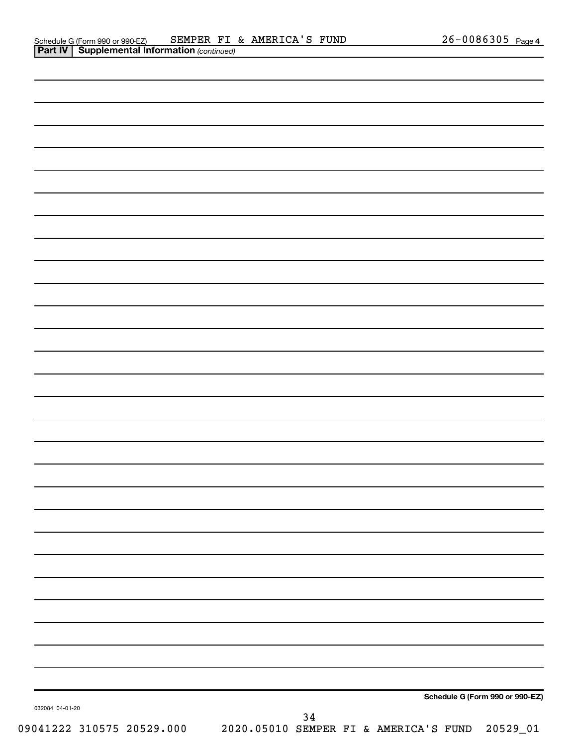|                                                                          |    |  |  | Schedule G (Form 990 or 990-EZ) |
|--------------------------------------------------------------------------|----|--|--|---------------------------------|
| 032084 04-01-20                                                          | 34 |  |  |                                 |
| 09041222 310575 20529.000 2020.05010 SEMPER FI & AMERICA'S FUND 20529_01 |    |  |  |                                 |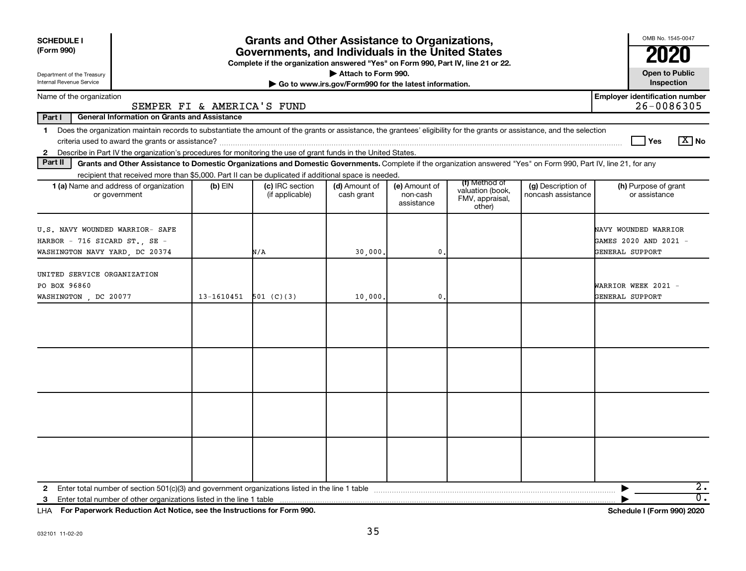| <b>SCHEDULE I</b><br>(Form 990)                                                                                                                                                                                                                                                               |            | <b>Grants and Other Assistance to Organizations,</b><br>Governments, and Individuals in the United States<br>Complete if the organization answered "Yes" on Form 990, Part IV, line 21 or 22. |                                                                              |                                         |                                                                |                                          | OMB No. 1545-0047                                                |
|-----------------------------------------------------------------------------------------------------------------------------------------------------------------------------------------------------------------------------------------------------------------------------------------------|------------|-----------------------------------------------------------------------------------------------------------------------------------------------------------------------------------------------|------------------------------------------------------------------------------|-----------------------------------------|----------------------------------------------------------------|------------------------------------------|------------------------------------------------------------------|
| Department of the Treasury<br>Internal Revenue Service                                                                                                                                                                                                                                        |            |                                                                                                                                                                                               | Attach to Form 990.<br>Go to www.irs.gov/Form990 for the latest information. |                                         |                                                                |                                          | <b>Open to Public</b><br>Inspection                              |
| Name of the organization<br>SEMPER FI & AMERICA'S FUND                                                                                                                                                                                                                                        |            |                                                                                                                                                                                               |                                                                              |                                         |                                                                |                                          | <b>Employer identification number</b><br>26-0086305              |
| Part I<br><b>General Information on Grants and Assistance</b>                                                                                                                                                                                                                                 |            |                                                                                                                                                                                               |                                                                              |                                         |                                                                |                                          |                                                                  |
| 1 Does the organization maintain records to substantiate the amount of the grants or assistance, the grantees' eligibility for the grants or assistance, and the selection<br>2 Describe in Part IV the organization's procedures for monitoring the use of grant funds in the United States. |            |                                                                                                                                                                                               |                                                                              |                                         |                                                                |                                          | $\boxed{\text{X}}$ No<br>Yes                                     |
| Part II<br>Grants and Other Assistance to Domestic Organizations and Domestic Governments. Complete if the organization answered "Yes" on Form 990, Part IV, line 21, for any                                                                                                                 |            |                                                                                                                                                                                               |                                                                              |                                         |                                                                |                                          |                                                                  |
| recipient that received more than \$5,000. Part II can be duplicated if additional space is needed.<br><b>1 (a)</b> Name and address of organization<br>or government                                                                                                                         | $(b)$ EIN  | (c) IRC section<br>(if applicable)                                                                                                                                                            | (d) Amount of<br>cash grant                                                  | (e) Amount of<br>non-cash<br>assistance | (f) Method of<br>valuation (book,<br>FMV, appraisal,<br>other) | (g) Description of<br>noncash assistance | (h) Purpose of grant<br>or assistance                            |
| U.S. NAVY WOUNDED WARRIOR- SAFE<br>HARBOR - 716 SICARD ST., SE -<br>WASHINGTON NAVY YARD, DC 20374                                                                                                                                                                                            |            | N/A                                                                                                                                                                                           | 30,000.                                                                      | $\mathbf{0}$                            |                                                                |                                          | NAVY WOUNDED WARRIOR<br>GAMES 2020 AND 2021 -<br>GENERAL SUPPORT |
| UNITED SERVICE ORGANIZATION<br>PO BOX 96860<br>WASHINGTON, DC 20077                                                                                                                                                                                                                           | 13-1610451 | 501 (C)(3)                                                                                                                                                                                    | 10,000.                                                                      | 0                                       |                                                                |                                          | WARRIOR WEEK 2021 -<br>GENERAL SUPPORT                           |
|                                                                                                                                                                                                                                                                                               |            |                                                                                                                                                                                               |                                                                              |                                         |                                                                |                                          |                                                                  |
|                                                                                                                                                                                                                                                                                               |            |                                                                                                                                                                                               |                                                                              |                                         |                                                                |                                          |                                                                  |
|                                                                                                                                                                                                                                                                                               |            |                                                                                                                                                                                               |                                                                              |                                         |                                                                |                                          |                                                                  |
|                                                                                                                                                                                                                                                                                               |            |                                                                                                                                                                                               |                                                                              |                                         |                                                                |                                          |                                                                  |
| Enter total number of other organizations listed in the line 1 table<br>3                                                                                                                                                                                                                     |            |                                                                                                                                                                                               |                                                                              |                                         |                                                                |                                          | $2\cdot$<br>$\overline{0}$ .                                     |

**For Paperwork Reduction Act Notice, see the Instructions for Form 990. Schedule I (Form 990) 2020** LHA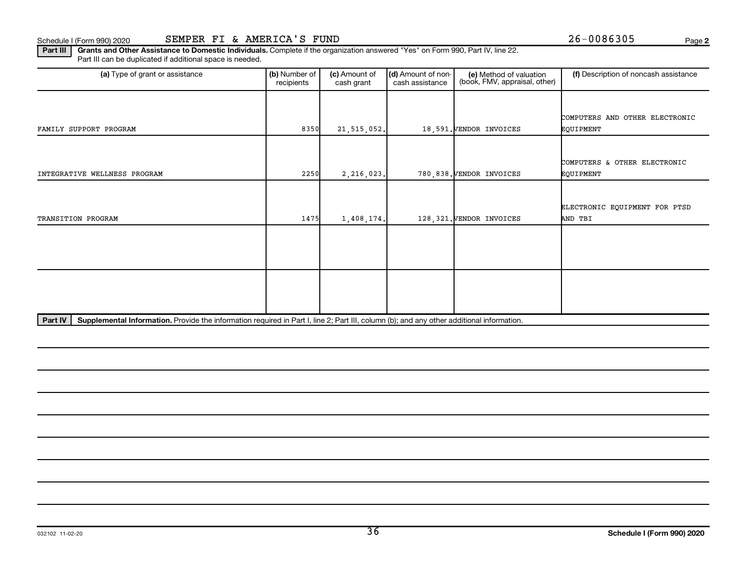**2**

Part III | Grants and Other Assistance to Domestic Individuals. Complete if the organization answered "Yes" on Form 990, Part IV, line 22. Part III can be duplicated if additional space is needed.

| (a) Type of grant or assistance                                                                                                                      | (b) Number of<br>recipients | (c) Amount of<br>cash grant | (d) Amount of non-<br>cash assistance | (e) Method of valuation<br>(book, FMV, appraisal, other) | (f) Description of noncash assistance |
|------------------------------------------------------------------------------------------------------------------------------------------------------|-----------------------------|-----------------------------|---------------------------------------|----------------------------------------------------------|---------------------------------------|
|                                                                                                                                                      |                             |                             |                                       |                                                          |                                       |
|                                                                                                                                                      |                             |                             |                                       |                                                          | COMPUTERS AND OTHER ELECTRONIC        |
| FAMILY SUPPORT PROGRAM                                                                                                                               | 8350                        | 21, 515, 052.               |                                       | 18.591. VENDOR INVOICES                                  | EQUIPMENT                             |
|                                                                                                                                                      |                             |                             |                                       |                                                          |                                       |
|                                                                                                                                                      |                             |                             |                                       |                                                          | COMPUTERS & OTHER ELECTRONIC          |
| INTEGRATIVE WELLNESS PROGRAM                                                                                                                         | 2250                        | 2,216,023.                  |                                       | 780,838. VENDOR INVOICES                                 | EQUIPMENT                             |
|                                                                                                                                                      |                             |                             |                                       |                                                          |                                       |
|                                                                                                                                                      |                             |                             |                                       |                                                          |                                       |
|                                                                                                                                                      |                             |                             |                                       |                                                          | ELECTRONIC EQUIPMENT FOR PTSD         |
| TRANSITION PROGRAM                                                                                                                                   | 1475                        | 1,408,174.                  |                                       | 128, 321. VENDOR INVOICES                                | AND TBI                               |
|                                                                                                                                                      |                             |                             |                                       |                                                          |                                       |
|                                                                                                                                                      |                             |                             |                                       |                                                          |                                       |
|                                                                                                                                                      |                             |                             |                                       |                                                          |                                       |
|                                                                                                                                                      |                             |                             |                                       |                                                          |                                       |
|                                                                                                                                                      |                             |                             |                                       |                                                          |                                       |
|                                                                                                                                                      |                             |                             |                                       |                                                          |                                       |
|                                                                                                                                                      |                             |                             |                                       |                                                          |                                       |
|                                                                                                                                                      |                             |                             |                                       |                                                          |                                       |
| Supplemental Information. Provide the information required in Part I, line 2; Part III, column (b); and any other additional information.<br>Part IV |                             |                             |                                       |                                                          |                                       |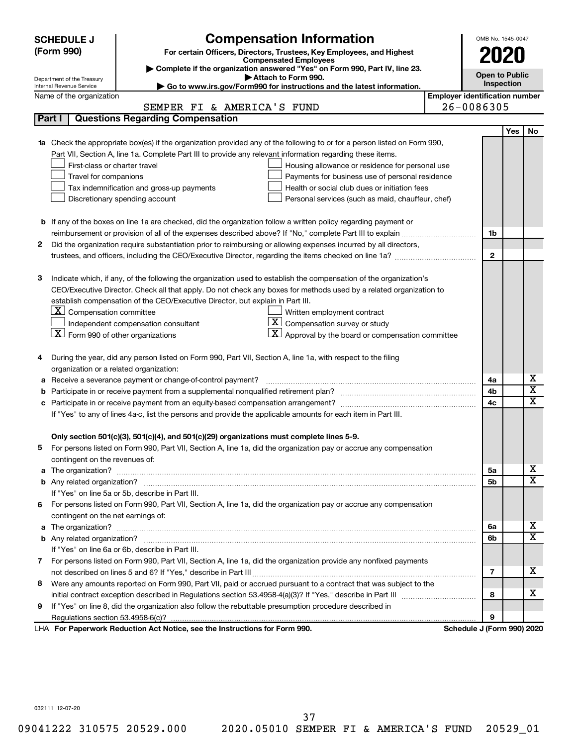|    | <b>SCHEDULE J</b>                                                                                          | <b>Compensation Information</b>                                                                                        |                                       | OMB No. 1545-0047          |     |                         |  |  |  |  |
|----|------------------------------------------------------------------------------------------------------------|------------------------------------------------------------------------------------------------------------------------|---------------------------------------|----------------------------|-----|-------------------------|--|--|--|--|
|    | (Form 990)                                                                                                 | For certain Officers, Directors, Trustees, Key Employees, and Highest                                                  |                                       | 2020                       |     |                         |  |  |  |  |
|    |                                                                                                            | <b>Compensated Employees</b>                                                                                           |                                       |                            |     |                         |  |  |  |  |
|    |                                                                                                            | Complete if the organization answered "Yes" on Form 990, Part IV, line 23.<br>Attach to Form 990.                      |                                       | <b>Open to Public</b>      |     |                         |  |  |  |  |
|    | Department of the Treasury<br>Internal Revenue Service                                                     | Go to www.irs.gov/Form990 for instructions and the latest information.                                                 |                                       | Inspection                 |     |                         |  |  |  |  |
|    | Name of the organization                                                                                   |                                                                                                                        | <b>Employer identification number</b> |                            |     |                         |  |  |  |  |
|    |                                                                                                            | SEMPER FI & AMERICA'S FUND                                                                                             |                                       | 26-0086305                 |     |                         |  |  |  |  |
|    | Part I                                                                                                     | <b>Questions Regarding Compensation</b>                                                                                |                                       |                            |     |                         |  |  |  |  |
|    |                                                                                                            |                                                                                                                        |                                       |                            | Yes | No                      |  |  |  |  |
|    |                                                                                                            | Check the appropriate box(es) if the organization provided any of the following to or for a person listed on Form 990, |                                       |                            |     |                         |  |  |  |  |
|    | Part VII, Section A, line 1a. Complete Part III to provide any relevant information regarding these items. |                                                                                                                        |                                       |                            |     |                         |  |  |  |  |
|    | First-class or charter travel<br>Housing allowance or residence for personal use                           |                                                                                                                        |                                       |                            |     |                         |  |  |  |  |
|    | Travel for companions                                                                                      | Payments for business use of personal residence                                                                        |                                       |                            |     |                         |  |  |  |  |
|    |                                                                                                            | Health or social club dues or initiation fees<br>Tax indemnification and gross-up payments                             |                                       |                            |     |                         |  |  |  |  |
|    | Discretionary spending account<br>Personal services (such as maid, chauffeur, chef)                        |                                                                                                                        |                                       |                            |     |                         |  |  |  |  |
|    |                                                                                                            |                                                                                                                        |                                       |                            |     |                         |  |  |  |  |
|    |                                                                                                            | <b>b</b> If any of the boxes on line 1a are checked, did the organization follow a written policy regarding payment or |                                       |                            |     |                         |  |  |  |  |
|    |                                                                                                            |                                                                                                                        |                                       | 1b                         |     |                         |  |  |  |  |
| 2  |                                                                                                            | Did the organization require substantiation prior to reimbursing or allowing expenses incurred by all directors,       |                                       |                            |     |                         |  |  |  |  |
|    |                                                                                                            |                                                                                                                        |                                       | $\mathbf{2}$               |     |                         |  |  |  |  |
|    |                                                                                                            |                                                                                                                        |                                       |                            |     |                         |  |  |  |  |
| з  |                                                                                                            | Indicate which, if any, of the following the organization used to establish the compensation of the organization's     |                                       |                            |     |                         |  |  |  |  |
|    |                                                                                                            | CEO/Executive Director. Check all that apply. Do not check any boxes for methods used by a related organization to     |                                       |                            |     |                         |  |  |  |  |
|    |                                                                                                            | establish compensation of the CEO/Executive Director, but explain in Part III.                                         |                                       |                            |     |                         |  |  |  |  |
|    | $\lfloor \underline{X} \rfloor$ Compensation committee                                                     | Written employment contract<br>$\overline{X}$ Compensation survey or study                                             |                                       |                            |     |                         |  |  |  |  |
|    | $\lfloor \underline{X} \rfloor$ Form 990 of other organizations                                            | Independent compensation consultant<br>$\vert X \vert$ Approval by the board or compensation committee                 |                                       |                            |     |                         |  |  |  |  |
|    |                                                                                                            |                                                                                                                        |                                       |                            |     |                         |  |  |  |  |
| 4  |                                                                                                            | During the year, did any person listed on Form 990, Part VII, Section A, line 1a, with respect to the filing           |                                       |                            |     |                         |  |  |  |  |
|    | organization or a related organization:                                                                    |                                                                                                                        |                                       |                            |     |                         |  |  |  |  |
| а  |                                                                                                            | Receive a severance payment or change-of-control payment?                                                              |                                       | 4a                         |     | х                       |  |  |  |  |
| b  |                                                                                                            |                                                                                                                        |                                       | 4b                         |     | $\overline{\textbf{x}}$ |  |  |  |  |
| с  |                                                                                                            |                                                                                                                        |                                       | 4c                         |     | $\overline{\text{x}}$   |  |  |  |  |
|    |                                                                                                            | If "Yes" to any of lines 4a-c, list the persons and provide the applicable amounts for each item in Part III.          |                                       |                            |     |                         |  |  |  |  |
|    |                                                                                                            |                                                                                                                        |                                       |                            |     |                         |  |  |  |  |
|    |                                                                                                            | Only section 501(c)(3), 501(c)(4), and 501(c)(29) organizations must complete lines 5-9.                               |                                       |                            |     |                         |  |  |  |  |
|    |                                                                                                            | For persons listed on Form 990, Part VII, Section A, line 1a, did the organization pay or accrue any compensation      |                                       |                            |     |                         |  |  |  |  |
|    | contingent on the revenues of:                                                                             |                                                                                                                        |                                       |                            |     |                         |  |  |  |  |
| a  |                                                                                                            |                                                                                                                        |                                       |                            |     |                         |  |  |  |  |
|    |                                                                                                            |                                                                                                                        |                                       | 5b                         |     | $\overline{\texttt{x}}$ |  |  |  |  |
|    |                                                                                                            | If "Yes" on line 5a or 5b, describe in Part III.                                                                       |                                       |                            |     |                         |  |  |  |  |
| 6. |                                                                                                            | For persons listed on Form 990, Part VII, Section A, line 1a, did the organization pay or accrue any compensation      |                                       |                            |     |                         |  |  |  |  |
|    | contingent on the net earnings of:                                                                         |                                                                                                                        |                                       |                            |     | х                       |  |  |  |  |
| a  |                                                                                                            |                                                                                                                        |                                       |                            |     |                         |  |  |  |  |
|    |                                                                                                            |                                                                                                                        |                                       | 6b                         |     | $\overline{\texttt{x}}$ |  |  |  |  |
|    |                                                                                                            | If "Yes" on line 6a or 6b, describe in Part III.                                                                       |                                       |                            |     |                         |  |  |  |  |
|    |                                                                                                            | 7 For persons listed on Form 990, Part VII, Section A, line 1a, did the organization provide any nonfixed payments     |                                       |                            |     |                         |  |  |  |  |
|    |                                                                                                            |                                                                                                                        |                                       | 7                          |     | x                       |  |  |  |  |
| 8  |                                                                                                            | Were any amounts reported on Form 990, Part VII, paid or accrued pursuant to a contract that was subject to the        |                                       |                            |     |                         |  |  |  |  |
|    |                                                                                                            |                                                                                                                        |                                       | 8                          |     | х                       |  |  |  |  |
| 9  |                                                                                                            | If "Yes" on line 8, did the organization also follow the rebuttable presumption procedure described in                 |                                       |                            |     |                         |  |  |  |  |
|    |                                                                                                            |                                                                                                                        |                                       | 9                          |     |                         |  |  |  |  |
|    |                                                                                                            | LHA For Paperwork Reduction Act Notice, see the Instructions for Form 990.                                             |                                       | Schedule J (Form 990) 2020 |     |                         |  |  |  |  |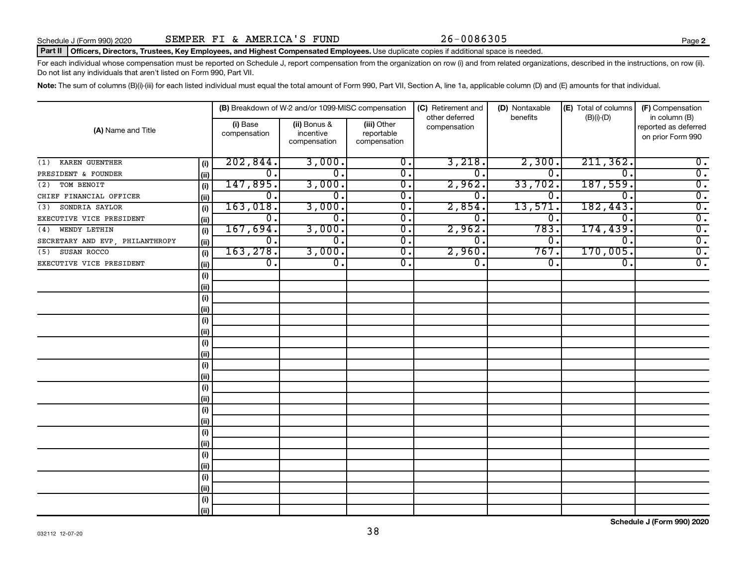#### Part II | Officers, Directors, Trustees, Key Employees, and Highest Compensated Employees. Use duplicate copies if additional space is needed.

For each individual whose compensation must be reported on Schedule J, report compensation from the organization on row (i) and from related organizations, described in the instructions, on row (ii). Do not list any individuals that aren't listed on Form 990, Part VII.

Note: The sum of columns (B)(i)-(iii) for each listed individual must equal the total amount of Form 990, Part VII, Section A, line 1a, applicable column (D) and (E) amounts for that individual.

|                                 | (B) Breakdown of W-2 and/or 1099-MISC compensation | (C) Retirement and       | (D) Nontaxable                            | (E) Total of columns                      | (F) Compensation<br>in column (B) |          |                             |                                           |
|---------------------------------|----------------------------------------------------|--------------------------|-------------------------------------------|-------------------------------------------|-----------------------------------|----------|-----------------------------|-------------------------------------------|
| (A) Name and Title              |                                                    | (i) Base<br>compensation | (ii) Bonus &<br>incentive<br>compensation | (iii) Other<br>reportable<br>compensation | other deferred<br>compensation    | benefits | $(B)(i)$ - $(D)$            | reported as deferred<br>on prior Form 990 |
| KAREN GUENTHER<br>(1)           | (i)                                                | 202,844.                 | 3,000.                                    | $\overline{0}$ .                          | 3,218.                            | 2,300.   | 211, 362.                   | $0$ .                                     |
| PRESIDENT & FOUNDER             | (ii)                                               | 0.                       | $\mathbf 0$ .                             | $\overline{0}$ .                          | 0.                                | 0.       | $\Omega$ .                  | $\overline{0}$ .                          |
| TOM BENOIT<br>(2)               | (i)                                                | 147,895.                 | 3,000.                                    | $\overline{\mathbf{0}}$ .                 | 2,962.                            | 33,702.  | 187,559.                    | $\overline{0}$ .                          |
| CHIEF FINANCIAL OFFICER         | (ii)                                               | $\overline{0}$ .         | 0.                                        | $\overline{\mathbf{0}}$ .                 | 0 <sub>1</sub>                    | $0 \, .$ | $\mathbf 0$ .               | $\overline{0}$ .                          |
| SONDRIA SAYLOR<br>(3)           | (i)                                                | 163,018.                 | 3,000.                                    | $\overline{\mathfrak{o}}$ .               | 2,854.                            | 13,571   | 182,443.                    | $\overline{0}$ .                          |
| EXECUTIVE VICE PRESIDENT        | (ii)                                               | $\overline{0}$ .         | $\overline{0}$ .                          | $\overline{0}$ .                          | 0.                                | 0.       | $\overline{0}$ .            | $\overline{0}$ .                          |
| WENDY LETHIN<br>(4)             | (i)                                                | 167,694.                 | 3,000.                                    | $\overline{0}$ .                          | 2,962.                            | 783      | 174,439.                    | $\overline{0}$ .                          |
| SECRETARY AND EVP, PHILANTHROPY | (ii)                                               | $\overline{0}$ .         | $\overline{0}$ .                          | $\overline{0}$ .                          | $\overline{0}$ .                  | 0,       | $\overline{0}$ .            | $\overline{0}$ .                          |
| SUSAN ROCCO<br>(5)              | (i)                                                | 163, 278.                | 3,000.                                    | $\overline{0}$ .                          | 2,960.                            | 767.     | 170,005.                    | $\overline{0}$ .                          |
| EXECUTIVE VICE PRESIDENT        | (ii)                                               | $\overline{0}$ .         | $\overline{\mathfrak{o}}$ .               | $\overline{0}$ .                          | $\overline{0}$ .                  | 0.       | $\overline{\mathfrak{o}}$ . | $\overline{0}$ .                          |
|                                 | (i)                                                |                          |                                           |                                           |                                   |          |                             |                                           |
|                                 | (ii)                                               |                          |                                           |                                           |                                   |          |                             |                                           |
|                                 | (i)                                                |                          |                                           |                                           |                                   |          |                             |                                           |
|                                 | (ii)                                               |                          |                                           |                                           |                                   |          |                             |                                           |
|                                 | (i)                                                |                          |                                           |                                           |                                   |          |                             |                                           |
|                                 | (ii)                                               |                          |                                           |                                           |                                   |          |                             |                                           |
|                                 | (i)                                                |                          |                                           |                                           |                                   |          |                             |                                           |
|                                 | (ii)                                               |                          |                                           |                                           |                                   |          |                             |                                           |
|                                 | (i)                                                |                          |                                           |                                           |                                   |          |                             |                                           |
|                                 | (ii)                                               |                          |                                           |                                           |                                   |          |                             |                                           |
|                                 | (i)                                                |                          |                                           |                                           |                                   |          |                             |                                           |
|                                 | (ii)                                               |                          |                                           |                                           |                                   |          |                             |                                           |
|                                 | (i)                                                |                          |                                           |                                           |                                   |          |                             |                                           |
|                                 | (ii)                                               |                          |                                           |                                           |                                   |          |                             |                                           |
|                                 | (i)                                                |                          |                                           |                                           |                                   |          |                             |                                           |
|                                 | (ii)                                               |                          |                                           |                                           |                                   |          |                             |                                           |
|                                 | (i)                                                |                          |                                           |                                           |                                   |          |                             |                                           |
|                                 | (ii)                                               |                          |                                           |                                           |                                   |          |                             |                                           |
|                                 | (i)                                                |                          |                                           |                                           |                                   |          |                             |                                           |
|                                 | (ii)                                               |                          |                                           |                                           |                                   |          |                             |                                           |
|                                 | (i)                                                |                          |                                           |                                           |                                   |          |                             |                                           |
|                                 | (iii)                                              |                          |                                           |                                           |                                   |          |                             |                                           |

**Schedule J (Form 990) 2020**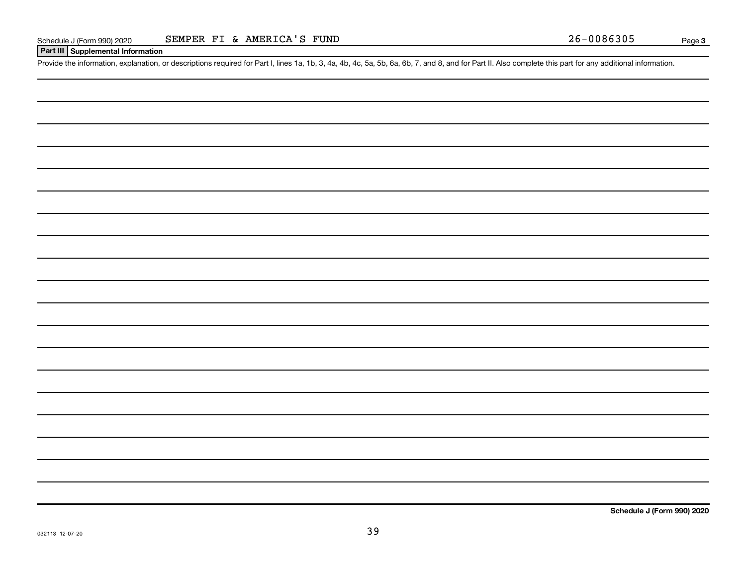#### **Part III Supplemental Information**

Provide the information, explanation, or descriptions required for Part I, lines 1a, 1b, 3, 4a, 4b, 4c, 5a, 5b, 6a, 6b, 7, and 8, and for Part II. Also complete this part for any additional information.

**Schedule J (Form 990) 2020**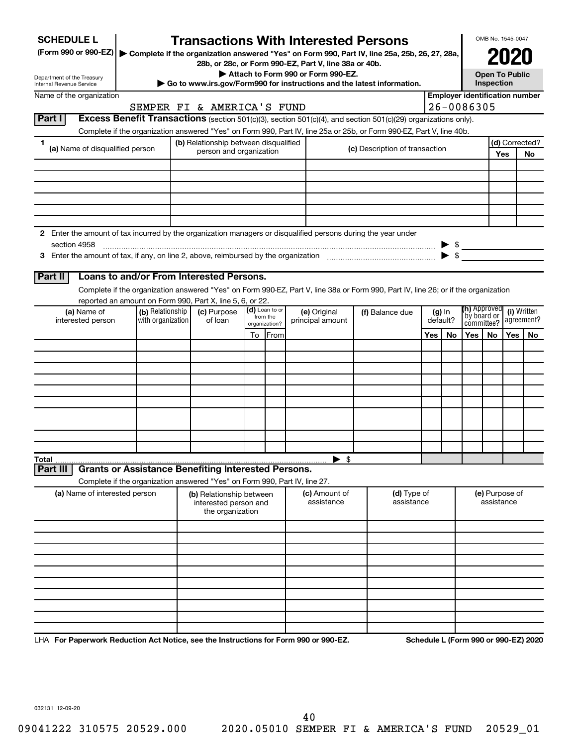| <b>SCHEDULE L</b>                                                                                                    |                   | <b>Transactions With Interested Persons</b>                                                                                                                                                     |                           |                                                       |  |                                |  |          |                                                                                                                                                                                                                                                                                                                                                                                                                                                                                  | OMB No. 1545-0047                          |      |                                      |  |
|----------------------------------------------------------------------------------------------------------------------|-------------------|-------------------------------------------------------------------------------------------------------------------------------------------------------------------------------------------------|---------------------------|-------------------------------------------------------|--|--------------------------------|--|----------|----------------------------------------------------------------------------------------------------------------------------------------------------------------------------------------------------------------------------------------------------------------------------------------------------------------------------------------------------------------------------------------------------------------------------------------------------------------------------------|--------------------------------------------|------|--------------------------------------|--|
| (Form 990 or 990-EZ)   Complete if the organization answered "Yes" on Form 990, Part IV, line 25a, 25b, 26, 27, 28a, |                   |                                                                                                                                                                                                 |                           | 28b, or 28c, or Form 990-EZ, Part V, line 38a or 40b. |  |                                |  |          |                                                                                                                                                                                                                                                                                                                                                                                                                                                                                  |                                            | 2021 |                                      |  |
| Department of the Treasury<br><b>Internal Revenue Service</b>                                                        |                   | Go to www.irs.gov/Form990 for instructions and the latest information.                                                                                                                          |                           | Attach to Form 990 or Form 990-EZ.                    |  |                                |  |          |                                                                                                                                                                                                                                                                                                                                                                                                                                                                                  | <b>Open To Public</b><br><b>Inspection</b> |      |                                      |  |
| Name of the organization                                                                                             |                   |                                                                                                                                                                                                 |                           |                                                       |  |                                |  |          | <b>Employer identification number</b>                                                                                                                                                                                                                                                                                                                                                                                                                                            |                                            |      |                                      |  |
|                                                                                                                      |                   | SEMPER FI & AMERICA'S FUND                                                                                                                                                                      |                           |                                                       |  |                                |  |          | 26-0086305                                                                                                                                                                                                                                                                                                                                                                                                                                                                       |                                            |      |                                      |  |
| Part I                                                                                                               |                   | Excess Benefit Transactions (section 501(c)(3), section 501(c)(4), and section 501(c)(29) organizations only).                                                                                  |                           |                                                       |  |                                |  |          |                                                                                                                                                                                                                                                                                                                                                                                                                                                                                  |                                            |      |                                      |  |
|                                                                                                                      |                   | Complete if the organization answered "Yes" on Form 990, Part IV, line 25a or 25b, or Form 990-EZ, Part V, line 40b.                                                                            |                           |                                                       |  |                                |  |          |                                                                                                                                                                                                                                                                                                                                                                                                                                                                                  |                                            |      |                                      |  |
| 1<br>(a) Name of disqualified person                                                                                 |                   | (b) Relationship between disqualified<br>person and organization                                                                                                                                |                           |                                                       |  | (c) Description of transaction |  |          |                                                                                                                                                                                                                                                                                                                                                                                                                                                                                  |                                            |      | (d) Corrected?                       |  |
|                                                                                                                      |                   |                                                                                                                                                                                                 |                           |                                                       |  |                                |  |          |                                                                                                                                                                                                                                                                                                                                                                                                                                                                                  |                                            | Yes  | No                                   |  |
|                                                                                                                      |                   |                                                                                                                                                                                                 |                           |                                                       |  |                                |  |          |                                                                                                                                                                                                                                                                                                                                                                                                                                                                                  |                                            |      |                                      |  |
|                                                                                                                      |                   |                                                                                                                                                                                                 |                           |                                                       |  |                                |  |          |                                                                                                                                                                                                                                                                                                                                                                                                                                                                                  |                                            |      |                                      |  |
|                                                                                                                      |                   |                                                                                                                                                                                                 |                           |                                                       |  |                                |  |          |                                                                                                                                                                                                                                                                                                                                                                                                                                                                                  |                                            |      |                                      |  |
|                                                                                                                      |                   |                                                                                                                                                                                                 |                           |                                                       |  |                                |  |          |                                                                                                                                                                                                                                                                                                                                                                                                                                                                                  |                                            |      |                                      |  |
|                                                                                                                      |                   |                                                                                                                                                                                                 |                           |                                                       |  |                                |  |          |                                                                                                                                                                                                                                                                                                                                                                                                                                                                                  |                                            |      |                                      |  |
| 2 Enter the amount of tax incurred by the organization managers or disqualified persons during the year under        |                   |                                                                                                                                                                                                 |                           |                                                       |  |                                |  |          |                                                                                                                                                                                                                                                                                                                                                                                                                                                                                  |                                            |      |                                      |  |
| section 4958                                                                                                         |                   |                                                                                                                                                                                                 |                           |                                                       |  |                                |  |          | $\begin{array}{c}\n\blacktriangleright \  \  \, \mathsf{s} \quad \  \  \, \text{and} \quad \  \  \, \mathsf{s} \quad \  \  \, \text{and} \quad \  \  \, \text{and} \quad \  \  \, \text{and} \quad \  \, \text{and} \quad \  \, \text{and} \quad \  \, \text{and} \quad \  \, \text{and} \quad \  \, \text{and} \quad \  \, \text{and} \quad \  \, \text{and} \quad \  \, \text{and} \quad \  \, \text{and} \quad \  \, \text{and} \quad \  \, \text{and} \quad \, \text{and} \$ |                                            |      |                                      |  |
|                                                                                                                      |                   |                                                                                                                                                                                                 |                           |                                                       |  |                                |  |          |                                                                                                                                                                                                                                                                                                                                                                                                                                                                                  |                                            |      |                                      |  |
|                                                                                                                      |                   | Loans to and/or From Interested Persons.                                                                                                                                                        |                           |                                                       |  |                                |  |          |                                                                                                                                                                                                                                                                                                                                                                                                                                                                                  |                                            |      |                                      |  |
| Part II                                                                                                              |                   |                                                                                                                                                                                                 |                           |                                                       |  |                                |  |          |                                                                                                                                                                                                                                                                                                                                                                                                                                                                                  |                                            |      |                                      |  |
|                                                                                                                      |                   | Complete if the organization answered "Yes" on Form 990-EZ, Part V, line 38a or Form 990, Part IV, line 26; or if the organization<br>reported an amount on Form 990, Part X, line 5, 6, or 22. |                           |                                                       |  |                                |  |          |                                                                                                                                                                                                                                                                                                                                                                                                                                                                                  |                                            |      |                                      |  |
| (a) Name of                                                                                                          | (b) Relationship  | (c) Purpose                                                                                                                                                                                     | $(d)$ Loan to or          | (e) Original                                          |  | (f) Balance due                |  | $(g)$ In |                                                                                                                                                                                                                                                                                                                                                                                                                                                                                  | <b>(h)</b> Approved<br>(i) Written         |      |                                      |  |
| interested person                                                                                                    | with organization | of loan                                                                                                                                                                                         | from the<br>organization? | principal amount                                      |  | default?<br>Yes<br>No.         |  |          |                                                                                                                                                                                                                                                                                                                                                                                                                                                                                  | by board or<br>committee?                  |      | agreement?                           |  |
|                                                                                                                      |                   |                                                                                                                                                                                                 | To <b>IFrom</b>           |                                                       |  |                                |  | Yes      | No.                                                                                                                                                                                                                                                                                                                                                                                                                                                                              | Yes                                        | No.  |                                      |  |
|                                                                                                                      |                   |                                                                                                                                                                                                 |                           |                                                       |  |                                |  |          |                                                                                                                                                                                                                                                                                                                                                                                                                                                                                  |                                            |      |                                      |  |
|                                                                                                                      |                   |                                                                                                                                                                                                 |                           |                                                       |  |                                |  |          |                                                                                                                                                                                                                                                                                                                                                                                                                                                                                  |                                            |      |                                      |  |
|                                                                                                                      |                   |                                                                                                                                                                                                 |                           |                                                       |  |                                |  |          |                                                                                                                                                                                                                                                                                                                                                                                                                                                                                  |                                            |      |                                      |  |
|                                                                                                                      |                   |                                                                                                                                                                                                 |                           |                                                       |  |                                |  |          |                                                                                                                                                                                                                                                                                                                                                                                                                                                                                  |                                            |      |                                      |  |
|                                                                                                                      |                   |                                                                                                                                                                                                 |                           |                                                       |  |                                |  |          |                                                                                                                                                                                                                                                                                                                                                                                                                                                                                  |                                            |      |                                      |  |
|                                                                                                                      |                   |                                                                                                                                                                                                 |                           |                                                       |  |                                |  |          |                                                                                                                                                                                                                                                                                                                                                                                                                                                                                  |                                            |      |                                      |  |
|                                                                                                                      |                   |                                                                                                                                                                                                 |                           |                                                       |  |                                |  |          |                                                                                                                                                                                                                                                                                                                                                                                                                                                                                  |                                            |      |                                      |  |
|                                                                                                                      |                   |                                                                                                                                                                                                 |                           |                                                       |  |                                |  |          |                                                                                                                                                                                                                                                                                                                                                                                                                                                                                  |                                            |      |                                      |  |
|                                                                                                                      |                   |                                                                                                                                                                                                 |                           |                                                       |  |                                |  |          |                                                                                                                                                                                                                                                                                                                                                                                                                                                                                  |                                            |      |                                      |  |
| Total                                                                                                                |                   |                                                                                                                                                                                                 |                           | $\blacktriangleright$ \$                              |  |                                |  |          |                                                                                                                                                                                                                                                                                                                                                                                                                                                                                  |                                            |      |                                      |  |
| Part II                                                                                                              |                   | <b>Grants or Assistance Benefiting Interested Persons.</b>                                                                                                                                      |                           |                                                       |  |                                |  |          |                                                                                                                                                                                                                                                                                                                                                                                                                                                                                  |                                            |      |                                      |  |
|                                                                                                                      |                   | Complete if the organization answered "Yes" on Form 990, Part IV, line 27.                                                                                                                      |                           |                                                       |  |                                |  |          |                                                                                                                                                                                                                                                                                                                                                                                                                                                                                  |                                            |      |                                      |  |
| (a) Name of interested person                                                                                        |                   | (b) Relationship between                                                                                                                                                                        |                           | (c) Amount of                                         |  | (d) Type of                    |  |          |                                                                                                                                                                                                                                                                                                                                                                                                                                                                                  | (e) Purpose of                             |      |                                      |  |
|                                                                                                                      |                   | interested person and<br>the organization                                                                                                                                                       |                           | assistance                                            |  | assistance                     |  |          |                                                                                                                                                                                                                                                                                                                                                                                                                                                                                  | assistance                                 |      |                                      |  |
|                                                                                                                      |                   |                                                                                                                                                                                                 |                           |                                                       |  |                                |  |          |                                                                                                                                                                                                                                                                                                                                                                                                                                                                                  |                                            |      |                                      |  |
|                                                                                                                      |                   |                                                                                                                                                                                                 |                           |                                                       |  |                                |  |          |                                                                                                                                                                                                                                                                                                                                                                                                                                                                                  |                                            |      |                                      |  |
|                                                                                                                      |                   |                                                                                                                                                                                                 |                           |                                                       |  |                                |  |          |                                                                                                                                                                                                                                                                                                                                                                                                                                                                                  |                                            |      |                                      |  |
|                                                                                                                      |                   |                                                                                                                                                                                                 |                           |                                                       |  |                                |  |          |                                                                                                                                                                                                                                                                                                                                                                                                                                                                                  |                                            |      |                                      |  |
|                                                                                                                      |                   |                                                                                                                                                                                                 |                           |                                                       |  |                                |  |          |                                                                                                                                                                                                                                                                                                                                                                                                                                                                                  |                                            |      |                                      |  |
|                                                                                                                      |                   |                                                                                                                                                                                                 |                           |                                                       |  |                                |  |          |                                                                                                                                                                                                                                                                                                                                                                                                                                                                                  |                                            |      |                                      |  |
|                                                                                                                      |                   |                                                                                                                                                                                                 |                           |                                                       |  |                                |  |          |                                                                                                                                                                                                                                                                                                                                                                                                                                                                                  |                                            |      |                                      |  |
|                                                                                                                      |                   |                                                                                                                                                                                                 |                           |                                                       |  |                                |  |          |                                                                                                                                                                                                                                                                                                                                                                                                                                                                                  |                                            |      |                                      |  |
|                                                                                                                      |                   |                                                                                                                                                                                                 |                           |                                                       |  |                                |  |          |                                                                                                                                                                                                                                                                                                                                                                                                                                                                                  |                                            |      |                                      |  |
|                                                                                                                      |                   |                                                                                                                                                                                                 |                           |                                                       |  |                                |  |          |                                                                                                                                                                                                                                                                                                                                                                                                                                                                                  |                                            |      |                                      |  |
| LHA For Paperwork Reduction Act Notice, see the Instructions for Form 990 or 990-EZ.                                 |                   |                                                                                                                                                                                                 |                           |                                                       |  |                                |  |          |                                                                                                                                                                                                                                                                                                                                                                                                                                                                                  |                                            |      | Schedule L (Form 990 or 990-EZ) 2020 |  |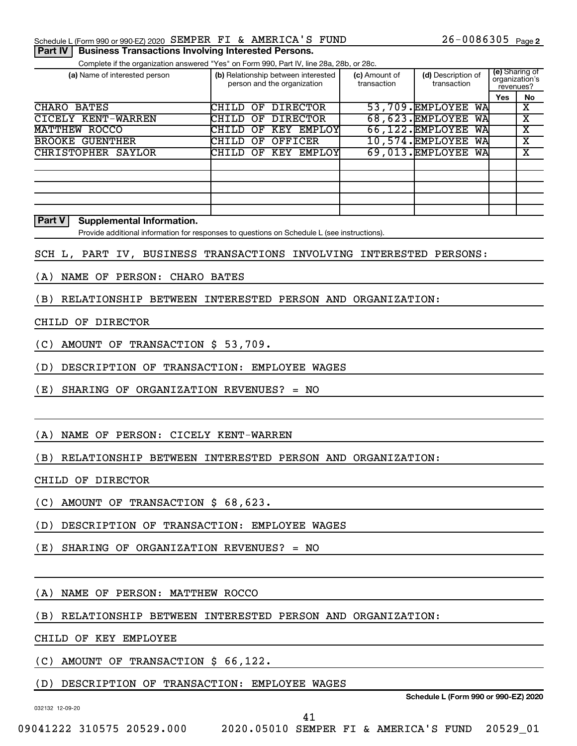#### Schedule L (Form 990 or 990-EZ) 2020 SEMPER FI & AMERICA'S FUND  $26-0086305$  Page

#### **Part IV** | Business Transactions Involving Interested Persons.

Complete if the organization answered "Yes" on Form 990, Part IV, line 28a, 28b, or 28c.

| (a) Name of interested person    |          |    |         | (b) Relationship between interested<br>person and the organization | (c) Amount of<br>transaction | (d) Description of<br>transaction | (e) Sharing of<br>organization's<br>revenues? |    |
|----------------------------------|----------|----|---------|--------------------------------------------------------------------|------------------------------|-----------------------------------|-----------------------------------------------|----|
|                                  |          |    |         |                                                                    |                              |                                   | <b>Yes</b>                                    | No |
| CHARO BATES                      | CHILD OF |    |         | <b>DIRECTOR</b>                                                    |                              | 53,709. EMPLOYEE<br>WA            |                                               | X  |
| CICELY KENT-WARREN               | CHILD    | OF |         | <b>DIRECTOR</b>                                                    |                              | 68,623. EMPLOYEE<br>WA            |                                               | х  |
| MATTHEW ROCCO                    | CHILD    | OF | KEY     | EMPLOY                                                             |                              | 66,122. EMPLOYEE<br>WA            |                                               | х  |
| <b>GUENTHER</b><br><b>BROOKE</b> | CHILD    | OF | OFFICER |                                                                    |                              | 10,574. EMPLOYEE<br>WA            |                                               | x  |
| CHRISTOPHER SAYLOR               | CHILD    |    |         | OF KEY EMPLOY                                                      |                              | 69,013. EMPLOYEE<br>WA            |                                               | x  |
|                                  |          |    |         |                                                                    |                              |                                   |                                               |    |
|                                  |          |    |         |                                                                    |                              |                                   |                                               |    |
|                                  |          |    |         |                                                                    |                              |                                   |                                               |    |
|                                  |          |    |         |                                                                    |                              |                                   |                                               |    |
|                                  |          |    |         |                                                                    |                              |                                   |                                               |    |

#### **Part V Supplemental Information.**

Provide additional information for responses to questions on Schedule L (see instructions).

#### SCH L, PART IV, BUSINESS TRANSACTIONS INVOLVING INTERESTED PERSONS:

(A) NAME OF PERSON: CHARO BATES

(B) RELATIONSHIP BETWEEN INTERESTED PERSON AND ORGANIZATION:

#### CHILD OF DIRECTOR

- (C) AMOUNT OF TRANSACTION \$ 53,709.
- (D) DESCRIPTION OF TRANSACTION: EMPLOYEE WAGES
- (E) SHARING OF ORGANIZATION REVENUES? = NO

#### (A) NAME OF PERSON: CICELY KENT-WARREN

#### (B) RELATIONSHIP BETWEEN INTERESTED PERSON AND ORGANIZATION:

CHILD OF DIRECTOR

(C) AMOUNT OF TRANSACTION \$ 68,623.

- (D) DESCRIPTION OF TRANSACTION: EMPLOYEE WAGES
- (E) SHARING OF ORGANIZATION REVENUES? = NO

#### (A) NAME OF PERSON: MATTHEW ROCCO

(B) RELATIONSHIP BETWEEN INTERESTED PERSON AND ORGANIZATION:

CHILD OF KEY EMPLOYEE

(C) AMOUNT OF TRANSACTION \$ 66,122.

#### (D) DESCRIPTION OF TRANSACTION: EMPLOYEE WAGES

032132 12-09-20

**Schedule L (Form 990 or 990-EZ) 2020**

41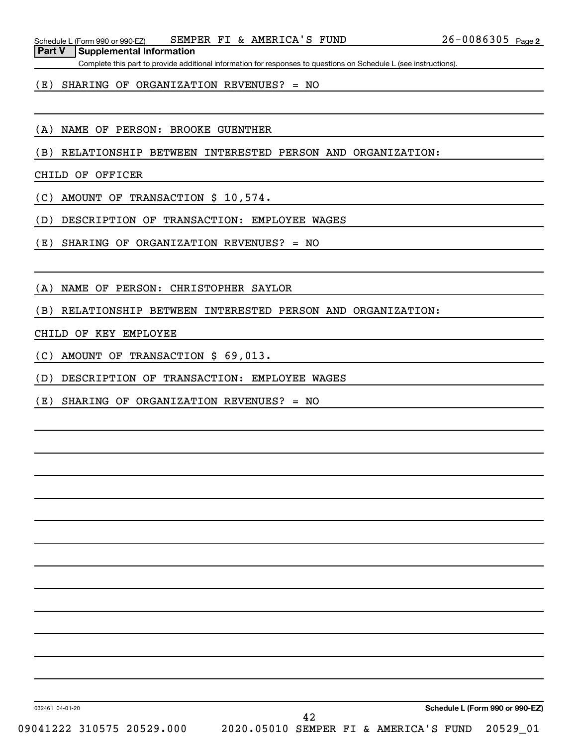**Part V Supplemental Information**

Complete this part to provide additional information for responses to questions on Schedule L (see instructions).

#### (E) SHARING OF ORGANIZATION REVENUES? = NO

(A) NAME OF PERSON: BROOKE GUENTHER

(B) RELATIONSHIP BETWEEN INTERESTED PERSON AND ORGANIZATION:

CHILD OF OFFICER

(C) AMOUNT OF TRANSACTION \$ 10,574.

(D) DESCRIPTION OF TRANSACTION: EMPLOYEE WAGES

(E) SHARING OF ORGANIZATION REVENUES? = NO

(A) NAME OF PERSON: CHRISTOPHER SAYLOR

(B) RELATIONSHIP BETWEEN INTERESTED PERSON AND ORGANIZATION:

CHILD OF KEY EMPLOYEE

(C) AMOUNT OF TRANSACTION \$ 69,013.

(D) DESCRIPTION OF TRANSACTION: EMPLOYEE WAGES

(E) SHARING OF ORGANIZATION REVENUES? = NO

032461 04-01-20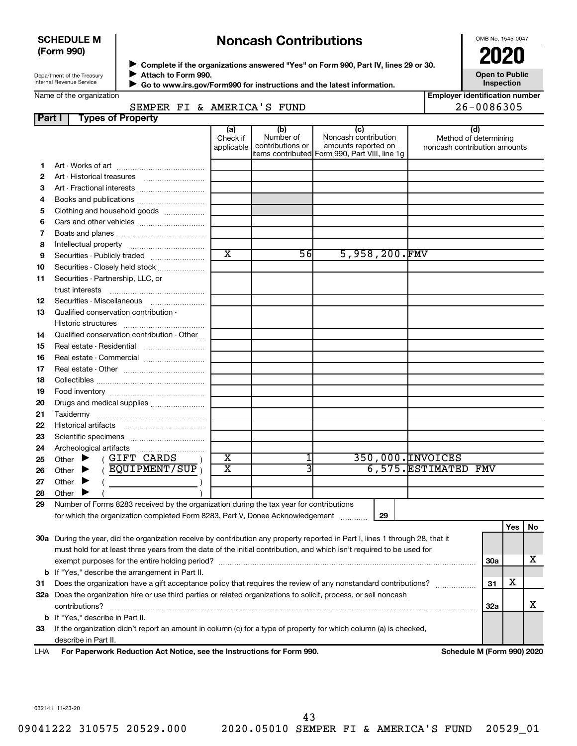#### **SCHEDULE M (Form 990)**

# **Noncash Contributions**

OMB No. 1545-0047

| Department of the Treasury |
|----------------------------|
| Internal Revenue Service   |
|                            |

**Complete if the organizations answered "Yes" on Form 990, Part IV, lines 29 or 30. Attach to Form 990.** →<br>**→** Complete if the organizations answered "Yes" on Form 990, Part IV, lines 29 or 30.<br>● Complete if the organizations answered "Yes" on Form 990, Part IV, lines 29 or 30.  $\blacktriangleright$ 

**Open to Public Inspection**

|  | Name of the organization |  |
|--|--------------------------|--|
|  |                          |  |
|  |                          |  |

 **Go to www.irs.gov/Form990 for instructions and the latest information.** J

|        | Name of the organization                                                                                                       |                               |                                      |                                                                                                      |                     | <b>Employer identification number</b>                        |
|--------|--------------------------------------------------------------------------------------------------------------------------------|-------------------------------|--------------------------------------|------------------------------------------------------------------------------------------------------|---------------------|--------------------------------------------------------------|
| Part I | SEMPER FI & AMERICA'S FUND<br><b>Types of Property</b>                                                                         |                               |                                      |                                                                                                      |                     | 26-0086305                                                   |
|        |                                                                                                                                | (a)<br>Check if<br>applicable | (b)<br>Number of<br>contributions or | (c)<br>Noncash contribution<br>amounts reported on<br>items contributed Form 990, Part VIII, line 1q |                     | (d)<br>Method of determining<br>noncash contribution amounts |
| 1      |                                                                                                                                |                               |                                      |                                                                                                      |                     |                                                              |
| 2      |                                                                                                                                |                               |                                      |                                                                                                      |                     |                                                              |
| з      | Art - Fractional interests                                                                                                     |                               |                                      |                                                                                                      |                     |                                                              |
| 4      |                                                                                                                                |                               |                                      |                                                                                                      |                     |                                                              |
| 5      | Clothing and household goods                                                                                                   |                               |                                      |                                                                                                      |                     |                                                              |
| 6      | Cars and other vehicles                                                                                                        |                               |                                      |                                                                                                      |                     |                                                              |
| 7      |                                                                                                                                |                               |                                      |                                                                                                      |                     |                                                              |
| 8      |                                                                                                                                |                               |                                      |                                                                                                      |                     |                                                              |
| 9      | Securities - Publicly traded                                                                                                   | $\overline{\text{x}}$         | 56                                   | 5,958,200.FMV                                                                                        |                     |                                                              |
| 10     | Securities - Closely held stock                                                                                                |                               |                                      |                                                                                                      |                     |                                                              |
| 11     | Securities - Partnership, LLC, or                                                                                              |                               |                                      |                                                                                                      |                     |                                                              |
|        | trust interests                                                                                                                |                               |                                      |                                                                                                      |                     |                                                              |
| 12     | Securities - Miscellaneous                                                                                                     |                               |                                      |                                                                                                      |                     |                                                              |
| 13     | Qualified conservation contribution -                                                                                          |                               |                                      |                                                                                                      |                     |                                                              |
|        |                                                                                                                                |                               |                                      |                                                                                                      |                     |                                                              |
| 14     | Qualified conservation contribution - Other                                                                                    |                               |                                      |                                                                                                      |                     |                                                              |
| 15     | Real estate - Residential                                                                                                      |                               |                                      |                                                                                                      |                     |                                                              |
| 16     | Real estate - Commercial                                                                                                       |                               |                                      |                                                                                                      |                     |                                                              |
| 17     |                                                                                                                                |                               |                                      |                                                                                                      |                     |                                                              |
| 18     |                                                                                                                                |                               |                                      |                                                                                                      |                     |                                                              |
| 19     |                                                                                                                                |                               |                                      |                                                                                                      |                     |                                                              |
| 20     | Drugs and medical supplies                                                                                                     |                               |                                      |                                                                                                      |                     |                                                              |
| 21     |                                                                                                                                |                               |                                      |                                                                                                      |                     |                                                              |
| 22     |                                                                                                                                |                               |                                      |                                                                                                      |                     |                                                              |
| 23     |                                                                                                                                |                               |                                      |                                                                                                      |                     |                                                              |
| 24     |                                                                                                                                |                               |                                      |                                                                                                      |                     |                                                              |
| 25     | Other $\blacktriangleright$ (GIFT CARDS                                                                                        | $\overline{\textbf{x}}$       |                                      |                                                                                                      | 350,000. INVOICES   |                                                              |
| 26     | ( $\overline{EQUIPMENT/SUP}$ )<br>Other $\blacktriangleright$                                                                  | $\overline{\text{x}}$         | 3                                    |                                                                                                      | 6,575.ESTIMATED FMV |                                                              |
| 27     | Other $\blacktriangleright$<br>$\left(\begin{array}{ccc} 0 & 0 & 0 \\ 0 & 0 & 0 \\ 0 & 0 & 0 \end{array}\right)$               |                               |                                      |                                                                                                      |                     |                                                              |
| 28     | Other $\blacktriangleright$                                                                                                    |                               |                                      |                                                                                                      |                     |                                                              |
| 29     | Number of Forms 8283 received by the organization during the tax year for contributions                                        |                               |                                      |                                                                                                      |                     |                                                              |
|        |                                                                                                                                |                               |                                      |                                                                                                      |                     |                                                              |
|        |                                                                                                                                |                               |                                      |                                                                                                      |                     | Yes<br>No                                                    |
|        | 30a During the year, did the organization receive by contribution any property reported in Part I, lines 1 through 28, that it |                               |                                      |                                                                                                      |                     |                                                              |
|        | must hold for at least three years from the date of the initial contribution, and which isn't required to be used for          |                               |                                      |                                                                                                      |                     |                                                              |
|        |                                                                                                                                |                               |                                      |                                                                                                      |                     | х<br><b>30a</b>                                              |
|        | <b>b</b> If "Yes," describe the arrangement in Part II.                                                                        |                               |                                      |                                                                                                      |                     |                                                              |
| 31     | Does the organization have a gift acceptance policy that requires the review of any nonstandard contributions?                 |                               |                                      |                                                                                                      |                     | x<br>31                                                      |
|        | 32a Does the organization hire or use third parties or related organizations to solicit, process, or sell noncash              |                               |                                      |                                                                                                      |                     |                                                              |
|        | contributions?                                                                                                                 |                               |                                      |                                                                                                      |                     | х<br>32a                                                     |
|        | <b>b</b> If "Yes," describe in Part II.                                                                                        |                               |                                      |                                                                                                      |                     |                                                              |
| 33     | If the organization didn't report an amount in column (c) for a type of property for which column (a) is checked,              |                               |                                      |                                                                                                      |                     |                                                              |
|        | describe in Part II.                                                                                                           |                               |                                      |                                                                                                      |                     |                                                              |
| LHA    | For Paperwork Reduction Act Notice, see the Instructions for Form 990.                                                         |                               |                                      |                                                                                                      |                     | Schedule M (Form 990) 2020                                   |

032141 11-23-20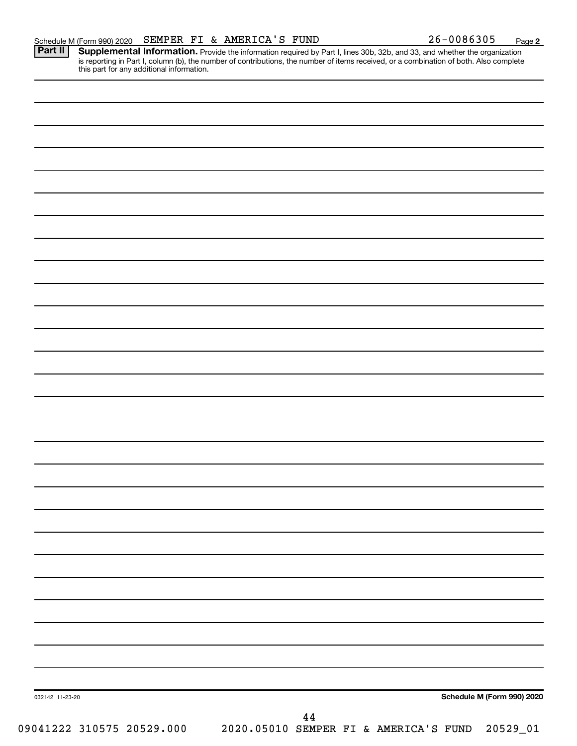**2**

Provide the information required by Part I, lines 30b, 32b, and 33, and whether the organization is reporting in Part I, column (b), the number of contributions, the number of items received, or a combination of both. Also complete this part for any additional information. **Part II Supplemental Information.** 

| 032142 11-23-20           | Schedule M (Form 990) 2020                     |
|---------------------------|------------------------------------------------|
|                           | $\bf 44$                                       |
| 09041222 310575 20529.000 | 2020.05010 SEMPER FI & AMERICA'S FUND 20529_01 |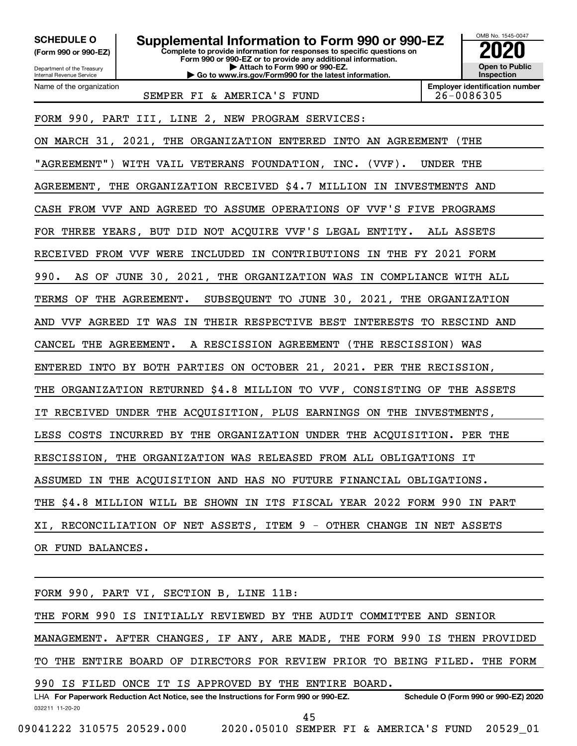**(Form 990 or 990-EZ)**

**Complete to provide information for responses to specific questions on Form 990 or 990-EZ or to provide any additional information. | Attach to Form 990 or 990-EZ. SCHEDULE O Supplemental Information to Form 990 or 990-EZ 2020**<br>(Form 990 or 990-EZ) Complete to provide information for responses to specific questions on

Department of the Treasury Internal Revenue Service Name of the organization

**| Go to www.irs.gov/Form990 for the latest information.**

**Inspection Employer identification number** SEMPER FI & AMERICA'S FUND 26-0086305

OMB No. 1545-0047

**Open to Public**

FORM 990, PART III, LINE 2, NEW PROGRAM SERVICES:

ON MARCH 31, 2021, THE ORGANIZATION ENTERED INTO AN AGREEMENT (THE "AGREEMENT") WITH VAIL VETERANS FOUNDATION, INC. (VVF). UNDER THE AGREEMENT, THE ORGANIZATION RECEIVED \$4.7 MILLION IN INVESTMENTS AND CASH FROM VVF AND AGREED TO ASSUME OPERATIONS OF VVF'S FIVE PROGRAMS FOR THREE YEARS, BUT DID NOT ACQUIRE VVF'S LEGAL ENTITY. ALL ASSETS RECEIVED FROM VVF WERE INCLUDED IN CONTRIBUTIONS IN THE FY 2021 FORM 990. AS OF JUNE 30, 2021, THE ORGANIZATION WAS IN COMPLIANCE WITH ALL TERMS OF THE AGREEMENT. SUBSEQUENT TO JUNE 30, 2021, THE ORGANIZATION AND VVF AGREED IT WAS IN THEIR RESPECTIVE BEST INTERESTS TO RESCIND AND CANCEL THE AGREEMENT. A RESCISSION AGREEMENT (THE RESCISSION) WAS ENTERED INTO BY BOTH PARTIES ON OCTOBER 21, 2021. PER THE RECISSION, THE ORGANIZATION RETURNED \$4.8 MILLION TO VVF, CONSISTING OF THE ASSETS IT RECEIVED UNDER THE ACQUISITION, PLUS EARNINGS ON THE INVESTMENTS, LESS COSTS INCURRED BY THE ORGANIZATION UNDER THE ACQUISITION. PER THE RESCISSION, THE ORGANIZATION WAS RELEASED FROM ALL OBLIGATIONS IT ASSUMED IN THE ACQUISITION AND HAS NO FUTURE FINANCIAL OBLIGATIONS. THE \$4.8 MILLION WILL BE SHOWN IN ITS FISCAL YEAR 2022 FORM 990 IN PART XI, RECONCILIATION OF NET ASSETS, ITEM 9 - OTHER CHANGE IN NET ASSETS OR FUND BALANCES.

032211 11-20-20 **For Paperwork Reduction Act Notice, see the Instructions for Form 990 or 990-EZ. Schedule O (Form 990 or 990-EZ) 2020** LHA FORM 990, PART VI, SECTION B, LINE 11B: THE FORM 990 IS INITIALLY REVIEWED BY THE AUDIT COMMITTEE AND SENIOR MANAGEMENT. AFTER CHANGES, IF ANY, ARE MADE, THE FORM 990 IS THEN PROVIDED TO THE ENTIRE BOARD OF DIRECTORS FOR REVIEW PRIOR TO BEING FILED. THE FORM 990 IS FILED ONCE IT IS APPROVED BY THE ENTIRE BOARD. 45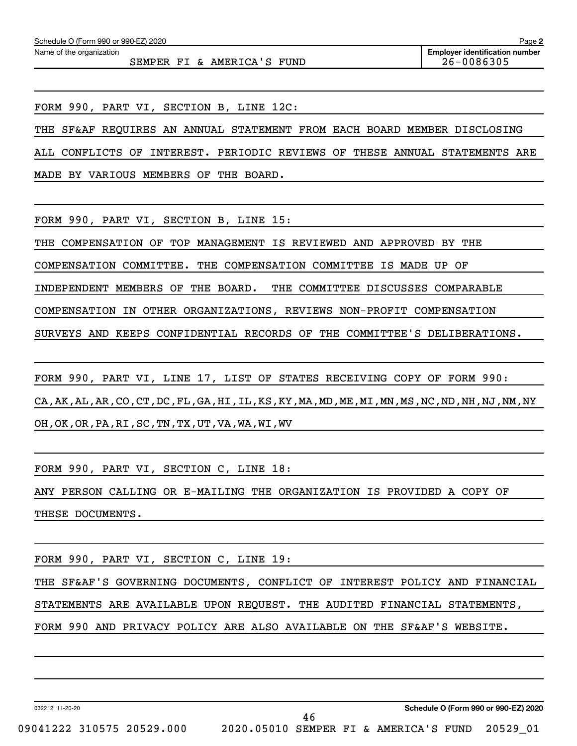SEMPER FI & AMERICA'S FUND 26-0086305

FORM 990, PART VI, SECTION B, LINE 12C:

THE SF&AF REQUIRES AN ANNUAL STATEMENT FROM EACH BOARD MEMBER DISCLOSING

ALL CONFLICTS OF INTEREST. PERIODIC REVIEWS OF THESE ANNUAL STATEMENTS ARE

MADE BY VARIOUS MEMBERS OF THE BOARD.

FORM 990, PART VI, SECTION B, LINE 15:

THE COMPENSATION OF TOP MANAGEMENT IS REVIEWED AND APPROVED BY THE

COMPENSATION COMMITTEE. THE COMPENSATION COMMITTEE IS MADE UP OF

INDEPENDENT MEMBERS OF THE BOARD. THE COMMITTEE DISCUSSES COMPARABLE

COMPENSATION IN OTHER ORGANIZATIONS, REVIEWS NON-PROFIT COMPENSATION

SURVEYS AND KEEPS CONFIDENTIAL RECORDS OF THE COMMITTEE'S DELIBERATIONS.

FORM 990, PART VI, LINE 17, LIST OF STATES RECEIVING COPY OF FORM 990: CA,AK,AL,AR,CO,CT,DC,FL,GA,HI,IL,KS,KY,MA,MD,ME,MI,MN,MS,NC,ND,NH,NJ,NM,NY OH,OK,OR,PA,RI,SC,TN,TX,UT,VA,WA,WI,WV

FORM 990, PART VI, SECTION C, LINE 18:

ANY PERSON CALLING OR E-MAILING THE ORGANIZATION IS PROVIDED A COPY OF THESE DOCUMENTS.

FORM 990, PART VI, SECTION C, LINE 19:

THE SF&AF'S GOVERNING DOCUMENTS, CONFLICT OF INTEREST POLICY AND FINANCIAL

46

STATEMENTS ARE AVAILABLE UPON REQUEST. THE AUDITED FINANCIAL STATEMENTS,

FORM 990 AND PRIVACY POLICY ARE ALSO AVAILABLE ON THE SF&AF'S WEBSITE.

032212 11-20-20